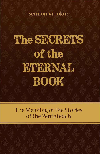**Semion Vinokur** 

# The SECRETS of the ETERNAL BOOK

### The Meaning of the Stories of the Pentateuch

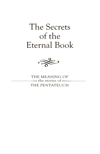### The Secrets of the Eternal Book



THE MEANING OF  $-$  the stories of  $-$ THE PENTATEUCH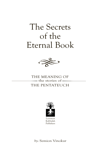### The Secrets of the Eternal Book



#### THE MEANING OF  $-$  the stories of  $-$ THE PENTATEUCH



Laitman Kabbalah Publishers

*by*: Semion Vinokur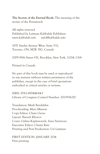**The Secrets of the Eternal Book:** The meaning of the stories of the Pentateuch

All rights reserved Published by Laitman Kabbalah Publishers www.kabbalah.info info@kabbalah.info

1057 Steeles Avenue West, Suite 532, Toronto, ON, M2R 3X1, Canada

2009 85th Street #51, Brooklyn, New York, 11214, USA

Printed in Canada

No part of this book may be used or reproduced in any manner without written permission of the publisher, except in the case of brief quotations embodied in critical articles or reviews.

ISBN: 978-1-897448-84-7 Library of Congress Control Number: 2013936210

Translation: Mark Berelekhis Proofreading: Mary Miesem Copy Editor: Claire Gerus Layout: Baruch Khovov Cover: Galina Kaplunovich, Inna Smirnova Executive Editor: Chaim Ratz Printing and Post Production: Uri Laitman

FIRST EDITION: JANUARY 2014 First printing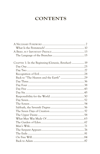### **CONTENTS**

| CHAPTER 1: In the Beginning (Genesis, Beresheet)  19 |  |
|------------------------------------------------------|--|
|                                                      |  |
|                                                      |  |
|                                                      |  |
|                                                      |  |
|                                                      |  |
|                                                      |  |
|                                                      |  |
|                                                      |  |
|                                                      |  |
|                                                      |  |
|                                                      |  |
|                                                      |  |
|                                                      |  |
|                                                      |  |
|                                                      |  |
|                                                      |  |
|                                                      |  |
|                                                      |  |
|                                                      |  |
|                                                      |  |
|                                                      |  |
|                                                      |  |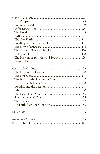| The Babylon of Yesterday and Today120 |  |
|---------------------------------------|--|
|                                       |  |
|                                       |  |
|                                       |  |
|                                       |  |
|                                       |  |
|                                       |  |
|                                       |  |
|                                       |  |
|                                       |  |
|                                       |  |
|                                       |  |
|                                       |  |
|                                       |  |
|                                       |  |
|                                       |  |
|                                       |  |
|                                       |  |
|                                       |  |
|                                       |  |
|                                       |  |
|                                       |  |
|                                       |  |
|                                       |  |
|                                       |  |
|                                       |  |
|                                       |  |
|                                       |  |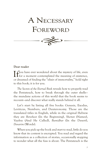## $\approx$ A NecessAry Foreword

#### **Dear reader**

 $\prod_{i=1}^{n} f_i$  for a moment contemplated the meaning of existence, or dreamed of finding the "elixir of immortality," hold tight to this book; it is for you.

*The Secrets of the Eternal Book* reveals how to properly read the Pentateuch, how to break through the outer shells the mundane actions of this world that the book seems to recount—and discover what really stands behind it all.

Let's start by listing all five books: Genesis, Exodus, Leviticus, Numbers, and Deuteronomy. Those are the translated titles in English, while in the original Hebrew they are *Beresheet* (In the Beginning), *Shemot* (Names), *Vayikra* (And He Called), *Bamidbar* (In the Desert), *Devarim* (Words).

When you pick up the book and start to read, little do you know that its content is encrypted. You read and regard the information as a collection of stories, occasionally stopping to wonder what all the fuss is about. The Pentateuch is the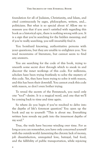foundation for all of Judaism, Christianity, and Islam, and cited continuously by sages, philosophers, writers, and... politicians. But what is so special about it? Allow me to reassure you that if you aren't satisfied with regarding this book as a historical epic, there is nothing wrong with you. It is a sign that you're searching for the hidden meaning; and if you're really searching, you will invariably find it.

You bombard knowing, authoritative persons with your questions, but they are unable to enlighten you. You read mountains of literature, but cannot seem to find any answers.

You are searching for the code of this book, trying to unearth some secret door through which to sneak in and discover the inner workings of this code. For millennia, scholars have been trying fruitlessly to solve the mystery of this code. Yet, they have been trying to solve it with reason, and this has been their downfall. You cannot crack this code with reason, so don't even bother trying.

To reveal the secrets of the Pentateuch, you need only one "tool"—desire. It is a magical word, and one that we'll be coming back to time and time again.

So where do you begin if you've resolved to delve into the depths of life's foremost question? You open up the book and say to yourself: "This is about me. Everything written here reveals my path into the innermost depths of my soul."

True, the trails have become winding over time. For as long as you can remember, you have only concerned yourself with the outside world: lamenting the chronic lack of money, job dissatisfaction, unrequited love, betrayal, bad food, and the fallibility of public transportation, while rejoicing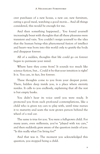over purchases of a new house, a new car, new furniture, eating a good meal, watching a good movie… And all things considered, this would be enough for me.

And then something happened… You found yourself increasingly beset with thoughts that all these pleasures were transient and vain. You couldn't resign yourself to the idea that the human being—this phenomenal fusion of intellect and heart—was born into this world only to gratify the body and disappear forever.

All of a sudden, thoughts that life could go on forever began to permeate your mind.

Where have they come from? It sounds too much like science fiction, but… Could it be that your intuition is right? It is. You can, in fact, live forever.

These thoughts come to you from your deepest point. There, hidden deep inside you, is a place where eternity resides. It calls to you endlessly, explaining that all the rest is but empty husks.

You didn't hear its voice until you were ready. It protected you from such profound contemplations, like a child who is given toy cars to play with, until time nurses it to maturity and seats the now grown person behind the wheel of a real car.

The same is true for you. You were a full-grown child. For many years, even millennia, you've "played with toy cars," and then suddenly grew aware of the question inside of you: "Is this really what I'm living for?"

And that was it. The moment you acknowledged this question, you stopped being a child.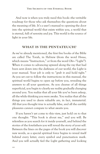And now is when you truly need this book—the veritable roadmap for those who ask themselves the questions about the meaning of life. It's a user's manual to opening the door into the spiritual world that exists within you, a world that is eternal, full of serenity and joy. This world is the source of light in your life.

#### **WHAT IS THE PENTATEUCH?**

As we've already mentioned, the first five books of the Bible are called The Torah, in Hebrew (from the word *Horaa*, which means "Instruction," or from the word *Ohr*—"Light"). When it comes to advancing upward along the ray that had been sent down into the darkness of our world, the Light is your manual. Your job is only to "grab it and hold tight." As you set out to follow the instructions in this manual, the spiritual world begins to open up before you, revealing the answers to all your questions. As you cleanse of all things superficial, you begin to clearly see reality gradually changing around you. You realize that all your life you've been asleep, all the while thinking you were awake. You realize that all the things you used to deem valuable are, in fact, immaterial. All that you thought true is actually false, and all the earthly pleasures cannot compare to what awaits you.

If you haven't yet come to this view, just hold on to that one thought: "This book is about me," and you will. Be relentless as you search for it inside yourself, and behind the stories of the forefathers you will reveal the story of your self. Between the lines on the pages of the book you will discover new words, as a special spiritual force begins to reveal itself behind every letter, every symbol and punctuation mark. And you will actually feel the Light gathering and looking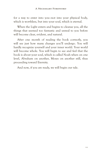for a way to enter into you—not into your physical body, which is worthless, but into your soul, which is eternal.

When the Light enters and begins to cleanse you, all the things that seemed too fantastic and unreal to you before will become clear, evident, and natural.

After one month of reading the book correctly, you will see just how many changes you'll undergo. You will hardly recognize yourself and your inner world. Your world will become whole. You will begin to see and feel that the book is about your soul, which is called Noah when on one level, Abraham on another, Moses on another still, thus proceeding toward Eternity.

And now, if you are ready, we will begin our tale.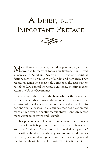## $\approx$ A BRIEF, BUT IMPORTANT PREFACE

More than 5,000 years ago in Mesopotamia, a place that gave rise to many of today's civilizations, there lived a man called Abraham. Nearly all religions and spiritual factions recognize him as their founder and patriarch. They record his name into their holy writings as the first man to reveal the Law behind the world's existence, the first man to attain the Upper Governance.

It is none other than Abraham who is the forefather of the science that transcends nationality, a science that is universal, for it emerged before the world was split into nations and languages. It is a science that has disappeared many a time over the centuries, but always reappeared, ever more wrapped in myths and legends.

This process was deliberate. People were not yet ready to accept it, as it is precisely in our time that this science, known as "Kabbalah," is meant to be revealed. Why is that? It is written about a time when egoism in our world reaches its final phase of development and becomes so powerful that humanity will be unable to control it, needing a remedy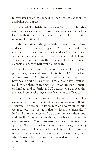to save itself from the ego. It is then that the wisdom of Kabbalah will appear.

The word "Kabbalah" translates as "reception." In other words, it is a science about how to receive correctly, or how to properly utilize one's egoism to receive all the pleasures prepared for humanity.

Kabbalah takes nothing on faith. It invites you to "taste and see that the Creator is good." Dear reader, I call your attention to this once more: "taste and see" does not mean you should agree with something that somebody tells you. You yourself must acquire the sensation of the Creator, and Kabbalah is here to help you do just that.

Therefore, brace yourself, for as you ascend level by level, you will experience all kinds of situations. On every level, you will give the Creator different names, depending on how near or far you are from Him. On one level, you will call him Ruthless; on another, Just; on yet another, Merciful, or Unified, and so forth, and all because you will feel Him as such. Every level brings a new Name for the Creator.

Indeed, the same thing is true for our lives here. For example, when we first meet a person we may call him "reserved." As we get to know him and warm up to him, we may say, "No, it's just that he knows a great deal." Befriend him even more and we deem him wise, then kind, and finally—friendly… even though we began the process with "reserved!" Our assessments change as we reveal his qualities. That person has always been this way; we simply needed to get to know him better. It is very important for our advancement to understand that it wasn't the person who changed, but that we have opened up to him, as if absorbing him within us.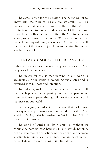The same is true for the Creator. The better we get to know Him, the more of His qualities we attain, i.e., His names. This happens when we literally live through the contents of the Five Books of Moses, as we let the text flow through us. In this manner we attain the Creator's names as we proceed through the books. With every level—a new name. How long will this process take? Until we discover all the names of the Creator, join Him and attain Him as the absolute Law of Love.

#### **THE LANGUAGE OF THE BRANCHES**

Kabbalah has developed its own language. It is called "the language of the branches."

The reason for this is that nothing in our world is accidental. On the contrary, everything was created and is governed with purpose and intention.

The universe, rocks, plants, animals, and humans, all that has happened, is happening, and will happen comes from the Creator, passes through all the spiritual worlds and manifests in our world.

Let us also jump ahead a bit and mention that the Creator has a system of governance over our world. It is called "the world of *Atzilut*," which translates as "At His place." "His" means the Creator's.

The world of *Atzilut* is like a brain, as without its command, nothing ever happens in our world, nothing, not a single thought or action, war or scientific discovery, absolutely nothing… as it is written, "not an insect crawls" or "a blade of grass moves" without His bidding.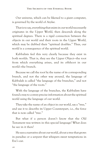Our universe, which can be likened to a giant computer, is governed by the world of *Atzilut*.

That is to say, everything that exists in our world necessarily originates in the Upper World, then descends along the spiritual degrees. There is a rigid connection between the objects in our world and their roots in the Upper World, which may be dubbed their "spiritual doubles." Thus, our world is a consequence of the spiritual world.

Kabbalists feel this very clearly because they exist in both worlds. That is, they see the Upper Object—the root from which everything arises, and its offshoot in our world—the branch.

Because we call the root by the name of its corresponding branch, and not the other way around, the language of Kabbalah is called "the language of the branches," and not "the language of the roots."

With the language of the branches, the Kabbalists have found a way to convey precise information about the spiritual world using the language of our world.

They take the name of an object in our world, say a "tree," and use it to describe its Upper Counterpart, i.e., the force that is now called "tree."

But what if a person doesn't know that the Old Testament was written in this special language? What does he see in it then?

He sees a narrative about our world, about a tree that grows in paradise or a serpent that whispers sweet temptations in Eve's ear.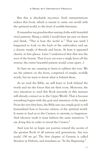#### A Brief, but Important Preface

But this is absolutely incorrect. Such interpretations reduce this book, which is meant to unite our world with the spiritual world, to the level of earthly literature.

(I remember my grandmother sewing cloths with beautiful vivid patterns. Being a child, I would feast my eyes on them and think, "This is how the world is." That was until I happened to look on the back of the embroidery and see a chaotic tangle of threads and knots. At least it appeared chaotic at first glance. Later I understood that that was the root of the beauty. That if you cut even a single knot off the reverse, the entire beautiful pattern would come apart…)

So here we are, wanting to learn to address the root. We see the pattern on the front, comprised of simple, worldly words, but we want to know what is behind them.

As we read the Bible, we will learn to look behind the words and see the forces that are their roots. Moreover, the very intention to read this Book precisely in this manner will already connect us to the Upper World. That is because everything begins with the goal and intention of the reader. From the very first lines, the Bible sets one simple goal: to tell humankind how to become citizens of the spiritual world. It wants to lead us to the Creator, to eternity, to happiness. And whoever reads it must fashion the same intention: "I am doing this in order to reveal the Creator."

And now let us begin our journey toward the secrets of the greatest Book of all nations and generations. Are you ready? Off we go! The first chapter of Genesis is called *Beresheet* in Hebrew, and translates as: "In the Beginning."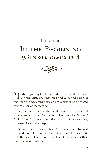



"In the beginning God created the heaven and the earth. And the earth was unformed and void, and darkness was upon the face of the deep; and the spirit of God hovered over the face of the waters."

Interpreting these words literally can spark the mind to imagine what the Creator looks like, how He "moves," "talks," "sees"… There is unlimited room for fantasy: waters, darkness, face of the deep…

But who needs these fantasies? Those who are trapped by the desires of our physical world, who want to learn but not attain, who like to contemplate and argue, especially if there's someone around to listen.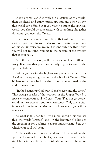If you are still satisfied with the pleasures of this world, then go ahead and enjoy music, art, and any other delight this world can offer. But if you want to attain the spiritual world, you should be concerned with something altogether different—you need the Creator.

If you need answers to questions that will not leave you alone, if you want to know why you were born, the purpose of this vast universe we live in, it means only one thing: that you will not rest until you get to the bottom of the mystery that is your soul.

And if that's the case, well, that is a completely different story. It means that you have already begun to ascend the spiritual ladder.

Before you awaits the highest rung one can attain. It is *Beresheet*—the opening chapter of the Book of Genesis. The highest state described therein can only be attained at the end of correction.

"In the beginning God created the heaven and the earth." This passage speaks of the creation of the Upper World—a space wherein your soul will exist. Your "I" is not yet awake; you do not yet perceive your own existence. Only the habitat is created—the Supernal Mother in whose womb you will be conceived.

So what is this habitat? I will jump ahead a bit and say this: the words "created" and "in the beginning" allude to the creation of two qualities—egoistic and altruistic—between which your soul will soar.

"…the earth was unformed and void." Here is where the spiritual terms make their first appearance. The word "earth" in Hebrew is *Eretz*, from the word *Ratzon*—desire. Therefore,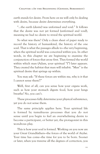earth stands for desire. From here on we will only be dealing with desire, because desire determines everything.

"…the earth (desire) was unformed and void." It follows that the desire was not yet formed (unformed and void), meaning we had no desire to reveal the spiritual world.

So what was there? Only a clean sheet of paper ready to record the history of humankind, the history of the one soul. That is what the passages allude to—the very beginning, when the spiritual world was conceived within you. In other words, in this chapter we are beginning to examine the conjunction of forces that arose first. They formed the world within which man (Adam, your spiritual "I") later appears. They created the habitat that man will inhabit. "Man" is the spiritual desire that springs up within.

You may ask: "If these forces are within me, why is it that I cannot sense them?!"

Well, first of all, can you sense how your organs work, such as how your stomach digests food, how your lungs breathe? No, you can't.

These processes fully determine your physical subsistence, yet you do not sense them.

The same principle applies here. Your spiritual life is formed by tumultuous processes that you do not sense until you begin to feel an overwhelming desire to become a participant, or better yet, the protagonist in this wondrous play.

This is how your soul is formed. Working on you now are your Great Grandfathers—the forces of the world of *Atzilut*. Your time has come—the time for you to be born. Sooner or later, when you traverse all the degrees of correction, you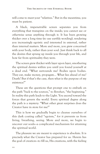will come to meet your "relatives." But in the meantime, you must be patient.

A black, impenetrable screen separates you from everything that transpires on the inside; you cannot see or otherwise sense anything through it. It has been growing thicker over a long time (to use earthly wording), rendering you increasingly egoistic and interested in external, rather than internal matters. More and more, you grew concerned with your body, rather than your soul. Just think back to all the desires that sprang up inside you through your life, and how far from spirituality they were.

The screen grew thicker with layer upon layer, smothering the spiritual desires within you until you found yourself at a dead end. "What surrounds me? Bodies upon bodies. They eat, make money, propagate… What lies ahead of me? Death? But if that's the case, then what is the purpose of my existence?"

These are the questions that prompt one to embark on the path "back to the sources," to *Beresheet*, "the beginning." In reality this path leads to the Light. You ascend toward the forces that govern the world. Every spiritual degree along the path is a mystery: "What other great surprises does the Creator have in store for me?"

This is how we gradually begin to cleanse ourselves of this dark coating called "egoism," for it prevents us from living, breathing, seeing. More and more, we begin to uncover our souls—a complicated mechanism for attaining the spiritual world.

The pleasure we are meant to experience is absolute. It is precisely what the Creator has prepared for us. Herein lies the goal of creation—to fill us, His creations, with the feeling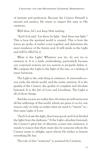of eternity and perfection. Because the Creator Himself is eternal and perfect, He wants to impart His state to His creations.

Well then, let's not keep Him waiting.

"And God said, 'Let there be light.' And there was light." This is how the spiritual world is created. This is how the forces we spoke of earlier come together and determine the exact residence of the future soul. It will reside in the Light and will be filled by it.

What is the Light? Whatever you do, do not try to envision it. It is a futile undertaking, particularly because our corporeal notions are too narrow to properly define it. We compare the Light to the light of the sun, or a feeling of inner harmony.

The Light is the only thing in existence. It surrounds us our souls, the whole world, and the entire universe. It is the quality of the Creator, the quality of complete and absolute bestowal. It is the law of Love and Goodness. The Light is all of those things.

And the sooner we realize this, the faster we will surmount all the sufferings of this world, which are given to us for one reason only—to help us realize what we need to "return" to that same Light of Love.

"And God saw the light, that it was good; and God divided the light from the darkness." If the Light—absolute bestowal, the Creator's great law of altruism—comes into existence, it stands to reason that there must also be someone whom the Creator wants to delight, upon whom He wishes to bestow everything He has.

The role of this "someone" is assumed by Creation.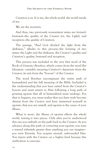Creation is us. It is me, the whole world, the world inside of me.

We are the receivers.

And thus, two previously nonexistent states are formed: bestowal—the quality of the Creator (or, the Light), and reception—the quality of Creation.

The passage, "And God divided the light from the darkness," alludes to this process—the forming of two states: the Light and the darkness, the Creator's quality and Creation's quality, bestowal and reception.

This process was included in the very first word of the Book of Genesis—*Beresheet*, which comes from the word *Bar* (Aramaic: outside), meaning Creation's departure from the Creator, its exit from the "bosom" of the Creator.

The word *Beresheet* encompasses the entire path of humankind and the full meaning of the Bible. Included is the understanding that you have exited from the Creator's bosom and must return to Him following a long path of growing egoism that all of humankind must undergo. For that to happen, you must realize that you have truly become distant from the Creator and have immersed yourself in egoism, that you are unwell, and egoism is the cause of your illness.

What is more, the illness of egoism affects the whole world, tearing it into pieces. Only after you've understood this can you embark on the path back to the Creator. As you advance along this path of correcting your egoism, you earn a reward infinitely greater than anything you can imagine you earn Eternity. You acquire eternal, unbounded bliss. You rejoin with the Creator on a higher level because this unification is *conscious*.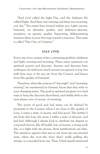"And God called the light Day, and the darkness He called Night. And there was evening and there was morning, one day." Two states have formed within you: Light—ascent, bestowal, an altruistic quality, and darkness—descent, reception, an egoistic quality. Separating, differentiating between them is your first step toward correction. This state is called "Day One of Creation."

#### **DAY ONE**

Every one of us consists of two contrasting qualities: darkness and light, evening and morning. These states represent our spiritual ascents and descents. Ascents and descents have nothing to do with how much money you gained or lost, but with how near or far you are from the Creator, and hence from His quality of bestowal.

Therefore, when the notions of "day-night" and "morningevening" are mentioned in Genesis, know that they refer to your changing states. The goal in spiritual progress is to find ways to keep the descents short-lived, and swiftly shift to the next phase—one of ascent, of morning.

The secret of good and bad states can be defined by proximity to the Creator: when I am close to His quality of Love, I enjoy a state of ascent, and feel good. The farther I am from this Law, the more I suffer a state of descent, and feel bad. Although I always look to attribute my despair to corporeal factors, like ill health, loss of money, a tiring work day, or a fight with my spouse, these justifications are false. The situation appears that way to me from my uncorrected state, when the root—the force that's really pulling the strings—is concealed from me. Thus, I find myself immersed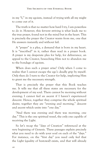in my "I," in my egoism, instead of trying with all my might to come out of it.

The truth is that no matter how hard I try, I am powerless to do it. However, this fervent striving is what leads me to the true prayer, found not in the mind but in the heart. This is precisely the prayer the Creator wants from me, one that He answers instantly and without fail.

A "prayer" is a plea, a demand that is born in my heart. It is "inscribed" in it, rather than read in a prayer book. A prayer is my desperate plea for help, for deliverance, an appeal to the Creator, beseeching Him not to abandon me to the bondage of egoism.

When does such a prayer arise? Only when I come to realize that I cannot escape the ego's deadly grip by myself. Only then do I turn to the Creator for help, imploring Him to grant me the necessary strength.

That is precisely the prayer that this Book teaches me. It tells me that all these states are necessary for the development of my soul. There cannot be morning without evening; I cannot feel an ascent if I haven't experienced descent. Hence, together they comprise the whole spiritual desire; together they are "evening and morning," descent and ascent which unite into "one day."

"And there was evening and there was morning, one day." This is the one spiritual vessel, the only one capable of receiving the Light.

So let's recap the "days of Creation" referenced at the very beginning of Genesis. These passages explain precisely what you need to do with your soul on each of the "days." For instance, on the "first day" you need only feel that the Light (quality of bestowal) exists, and that will already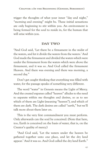trigger the thoughts of what your inner "day and night," "morning and evening" might be. These initial sensations are only beginning to stir within you. An environment is being formed for the soul to reside in, for the human that will arise within you.

#### **DAY TWO**

"And God said, 'Let there be a firmament in the midst of the waters, and let it divide the waters from the waters.' And God made the firmament and divided the waters which were under the firmament from the waters which were above the firmament, and it was so. And God called the firmament Heaven. And there was evening and there was morning, a second day."

Don't get caught thinking that everything was filled with water, for the passage speaks of something very different.

The word "water" in Genesis means the Light of Mercy. And the created expanse called "heaven" alludes to the need to separate within me thoughts and desires, so as to see which of them are Light (meaning "heaven"), and which of them are dark. The dark desires are called "earth," but we'll talk more about them later on.

This is the very first commandment you must perform. Only afterwards can the soul be conceived. (Note that here, too, Earth is conceived on the basis of water, that is, on the Creator's quality of mercy.)

"And God said, 'Let the waters under the heaven be gathered together unto one place, and let the dry land appear.' And it was so. And God called the dry land Earth."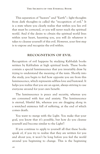This separation of "heaven" and "Earth"— light thoughts from dark thoughts—is called the "recognition of evil." It is a state where you clearly realize that within you lies evil that must be corrected, or you will never reach the spiritual world. And if the desire to obtain the spiritual world lives within your heart, haunting you, you will do whatever it takes to cleanse yourself of this evil. However, your first step is to expose and recognize the evil within.

#### **RECOGNITION OF EVIL**

Recognition of evil happens by studying Kabbalah books written by Kabbalists at high spiritual levels. These books contain a special luminescence that you invariably draw by trying to understand the meaning of the texts. Shortly into the study, you begin to feel how opposite you are from this luminescence, which represents selfless love and bestowal. It helps you realize that you are an egoist, always striving to use everyone around for your own benefit.

The luminescence is peace and security, whereas you are consumed with fear and anxiety. The luminescence is eternal, blissful life, whereas you are dragging along in a wretched existence full of suffering, at the end of which comes death.

You want to merge with the Light. You make that your goal, you know that it's possible, but how do you cleanse yourself and become similar to the Light?!

If you continue to apply to yourself all that these books speak of, if you try to realize that they are written for you and about you, it won't be long before you feel the world around you beginning to change. This is the beginning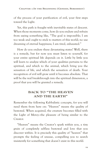of the process of your purification of evil, your first steps toward the Light.

Yet, this path is fraught with inevitable states of descent. When those moments come, how do you endure and refrain from saying something like, "The goal is impossible; I am too weak and ought to stick to matters of this world; no use dreaming of eternal happiness; I am tired, exhausted."

How do you endure these devastating states? Well, there is a remedy, but for now you must listen to yourself, for your entire spiritual life depends on it. Little by little you will learn to analyze which of your qualities pertains to the spiritual, and which to the animal, which bring you the sensation of life, and which the sensation of death. Your recognition of evil will grow until it becomes absolute. That will be the real breakthrough into the spiritual dimension, a proof that you will be granted a remedy.

#### **BACK TO "THE HEAVEN AND THE EARTH"**

Remember the following Kabbalistic concepts, for you will need them from here on: "Heaven" means the quality of bestowal. When acquired, the creature becomes filled with the Light of Mercy—the pleasure of being similar to the Creator.

"Heaven" means the Creator's spark within you, a tiny grain of completely selfless bestowal and love that you discover within. It is precisely this quality of "heaven" that prompts the feeling of unease, compelling you to search insistently for something that doesn't exist in this world.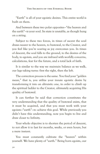"Earth" is all of your egoistic desires. This entire world is built on them.

And between these two polar opposites—"the heaven and the earth"—is your soul. Its state is unstable, as though hung on a string.

Subject to these two forces, in times of ascent the soul draws nearer to the heaven, to bestowal, to the Creator, and you feel like you're soaring as joy overcomes you. In times of descent, the soul falls to the ground, to the desires of the body, to egoism, and you are imbued with worldly concerns, calculations, fear for the future, and a total lack of faith.

It is similar to the way we maintain balance as we walk, our legs taking turns: first the right, then the left.

The correction process is the same. You find your "golden mean," that is, you utilize your innate egoistic desire by transforming it into an altruistic one, in order to climb up the spiritual ladder to the Creator, ultimately acquiring His quality of bestowal.

It can further be said that correction constitutes the very understanding that the quality of bestowal exists, that it must be acquired, and that you must work with your egoism—"earth"—to achieve this goal. While previously you didn't have this understanding, now you begin to live and draw closer to Infinity.

Your whole objective is to shorten the period of descent, to not allow it to last for months, weeks, or even hours, but a mere instant.

You must constantly cultivate the "heaven" within yourself. We have plenty of "earth." Being born egoists, our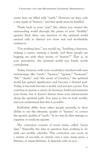entire lives are filled with "earth." However, we have only a tiny spark of "heaven," and this spark must be kindled.

Think back to your "past" life, where you viewed the surrounding world through the prism of your "healthy" egoism! Back then, any mention of the spiritual world seemed only to distract you from real and worthwhile endeavors.

"I'm working here," you would say, "building a business, making a career, starting a family, and these people are bugging me with their stories of 'heaven'!" That is, in your perception, the spiritual world was barely worth considering.

Today, however, with your vocabulary enriched with new terminology, like "earth," "heaven," "egoism," "bestowal," "life," "death," and "the secret of Creation," the spiritual world has gained significance and become a desired goal. Today, it has truly become a world, and not just a point. You continue to pursue a career, do business, build and maintain your home, but it doesn't detract from your advancement along the spiritual path. You want to live in both worlds, and you understand that this is possible.

Kabbalists differ from other people precisely in their ability to use the altruistic quality of "heaven" to correct the egoistic quality of "earth." In no way do they attempt to suppress or eradicate egoism.

The correction consists of seven states, called "seven days." Naturally, the days in question have nothing to do with our earthly calendar. This correction can occur in a matter of seconds, or stretch over a year, many years, a lifetime, or many lifetimes. It depends only on you.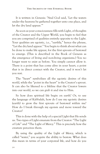It is written in Genesis: "And God said, 'Let the waters under the heavens be gathered together unto one place, and let the dry land appear.'"

As soon as your consciousness fills with Light, of thoughts of the Creator and the Upper World, you begin to feel that you are comprised of qualities entirely opposite to the Light. Your qualities are egoistic, i.e., "earthly," hence the phrase, "Let the dry land appear." You begin to think about what can be done to make life appear, for the first sprouts of bestowal to emerge. (This is described in the Book of Genesis as the emergence of living and non-living organisms.) You no longer want to exist as before. You simply cannot allow it. There is a point that has come alive in your heart, a point that is in direct contact with the Creator, and it won't let you rest.

The "heart" symbolizes all the egoistic desires of this world, while the "point in the heart" is the Creator's sprout. It can also be likened to a lifeline that the Creator lowers into our world, so we can grab it and rise to Him.

So how does spiritual life begin on earth? Or, to use the language of Kabbalah, how do I use my egoistic desires (earth) to grow the first sprouts of bestowal within me? How do I break through my egoism and move toward the Creator?

This is done with the help of a special Light that He sends us. Two types of Light emanate from the Creator: "The Light of Life" and "The Light of Mercy." This is precisely how the creature perceives them.

By using the quality of the Light of Mercy, which is called "water," you acquire the ability to bestow. What does this mean in terms of your corporeal life, and how do you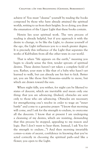achieve it? You must "cleanse" yourself by reading the books composed by those who have already attained the spiritual worlds, writing to us from their heights. In so doing, you draw the emanation of the Upper Light that these books contain.

Herein lies your spiritual work. The very process of reading is already helpful, but if you approach it with the desire to change, to be like the Light, to cleanse yourself of the ego, the Light influences you to a much greater degree. It is precisely this influence of the Light that separates the works of Kabbalists from all the other texts in our world.

That is when "life appears on the earth," meaning you begin to clearly sense the first, tender sprouts of spiritual desires. These desires haven't yet taken a complete hold of you. Rather, your state is like that of a baby who hasn't yet learned to walk, but can already use his feet to kick. Better yet, you are like those first blossoms—unable to move, but which are drawn toward the sun.

When night falls, you wither, for night can be likened to states of descent, which are inevitable and mean only one thing: that you are advancing. (Indeed, obstacles are sent only to those who are advancing. Obstacles are necessary for strengthening one's resolve in order to wage an "inner battle" and come to a genuine prayer: "I know that morning will come, and I ask for the strength to endure, to overcome all the descents. I know that at present I am undergoing a cleansing of my desires, which are resisting, demanding that this process be stopped, appealing to my reason and logic. But I don't want to hear them. Instead, I ask You for the strength to endure…") And then morning invariably comes—a state of ascent, confidence in knowing that you've acted correctly in choosing the spiritual path—and like a flower, you open to the Light.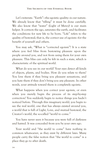Let's reiterate. "Earth"—the egoistic quality—is our nature. We already know that "tilling" it must be done carefully. We also know that "water" (Light of Mercy) is our main helper. It corrects the ego, saturates the earth, and facilitates the conditions for new life to be born. "Life" refers to the quality of bestowal; that is, the correct use of egoism—for the benefit of yourself and others.

You may ask, "What is "corrected egoism"? It is a state where you feel bliss from bestowing pleasure upon the people around you, and not from using them for your own pleasure. This bliss can only be felt in such a state, which is characteristic of the spiritual world.

What do you see in our world? Your eyes detect all kinds of objects, plants, and bodies. How do you relate to them? You love them if they bring you pleasant sensations, and you hate them if they don't bring you any pleasure. In other words, your attitude toward them is completely egoistic.

What happens when you correct your egoism, or even when you merely begin the process of its step-by-step correction? You suddenly begin to notice things you hadn't noticed before. Through this imaginary world, you begin to see the real world, one that has always existed around you, a world that is full of Light, Love, and mutual bestowal, the Creator's world, the so-called "world to come."

You have never seen it because you were full of darkness and hatred. It was concealed from you by your own ego.

Your world and "the world to come" have nothing in common whatsoever, as they exist by different laws. Many people carry the false notion that "the world to come" is a place they go to after death.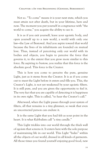Not so. "To come" means it is your next state, which you must attain not after death, but in your lifetime, here and now. The moment you put yourself in congruence with "the world to come," you acquire the ability to see it.

It is as if you exit yourself, leave your egoistic body, and open yourself up to a new world, a world with only one law—the Law of Bestowal. And you aspire toward that world because the lives of its inhabitants are founded on mutual love. Thus, instead of perceiving only our world with its bodies and objects, you begin to perceive the force that governs it, to the extent that you grow more similar to this force. By aspiring to bestow, you realize that this force is the absolute good. This force is the Creator.

This is how you come to perceive the pure, genuine Light, just as it stems from the Creator. It is as if you come out to meet the Light before it enters and fills you. This, the Creator's Light, is not yet weakened by your egoistic filters. It is still pure, and you are given the opportunity to feel it. The very fact that you are capable of detecting it is happiness in its own right. This is called, "to hear the Creator's call."

Afterward, when the Light passes through your system of filters, all that remains is a tiny glimmer, so weak that even an uncorrected person can endure it.

It is the same Light that you had felt as your point in the heart. It is what Kabbalists call "a tiny candle."

This Light trickles into our world through the thick wall of egoism that screens it. It enters here with the sole purpose of maintaining life in our world. This Light "hides" within all the objects of our world, dressed in all kinds of garments. All those times you found yourself enjoying good food, new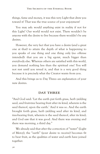things, fame and money, it was this very Light that drew you toward it! That was the true source of your enjoyment!

You may ask: would anything exist in reality if not for this Light? Our world would not exist. There wouldn't be anyone with the desire to live because there wouldn't be any desires.

However, the very fact that you have a desire (and a great one at that) to attain the depth of what is happening to you speaks of one thing and one thing only (no offense intended): that you are a big egoist, much bigger than everybody else. Whereas others are satisfied with this world, you demand nothing less than the spiritual one! You will not rest until you reveal it, and that is a very good thing because it is precisely what the Creator wants from you.

And this brings us to Day Three—an explanation of your new desires.

#### **DAY THREE**

"And God said: 'Let the earth put forth grass, herb yielding seed, and fruit-tree bearing fruit after its kind, wherein is the seed thereof, upon the earth.' And it was so. And the earth brought forth grass, herb yielding seed after its kind, and tree-bearing fruit, wherein is the seed thereof, after its kind; and God saw that it was good. And there was evening and there was morning, a third day."

We already said that after the correction of "water" (Light of Mercy), the "earth" (your desire to receive) becomes fit to bear fruit, as the qualities of water and earth have joined together.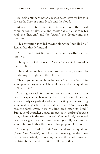In itself, abundant water is just as destructive for life as is dry earth. Case in point, Noah and the flood.

Man's correction is built precisely on the ideal combination of altruistic and egoistic qualities within his soul, the "heavens" and the "earth," the Creator and the creature.

This correction is called moving along the "middle line." Remember this definition!

Your innate egoistic nature is called "earth," or the left line.

The quality of the Creator, "water," absolute bestowal is the right line.

The middle line is what you must create on your own, by combining the right and the left lines.

That is, you must combine the "water" with the "earth" in a complementary way, which would allow the two qualities to "bear fruit."

You ought to ask for rain and not a storm, since you are not yet capable of bestowing like the Creator. However, you are ready to gradually advance, starting with correcting your smaller egoistic desires, as it is written: "And the earth brought forth grass, herb yielding seed after its kind." Subsequently, rougher desires emerge, as in "and tree bearing fruit, wherein is the seed thereof, after its kind," followed by even rougher desires … until your eyes fully open to the wonderful world that the Creator has prepared for you.

You ought to "ask for rain" so that these two qualities ("water" and "earth") combine to ultimately grow the "Tree of Life"—a spiritual person who perceives the whole universe, existing eternally and blissfully in all the worlds.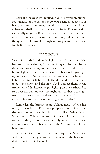Eternally, because by identifying yourself with an eternal soul instead of a transient body, you begin to equate your being with your soul, relegating the body to its true role—an ephemeral shell that simply accompanies it. This transition to identifying yourself with the soul, rather than the body, is strictly internal, taking place as you gradually acquire the quality of bestowal through working correctly with the Kabbalistic books.

#### **DAY FOUR**

"And God said: 'Let there be lights in the firmament of the heaven to divide the day from the night; and let them be for signs, and for seasons, and for days and years; and let them be for lights in the firmament of the heaven to give light upon the earth.' And it was so. And God made the two great lights: the greater light to rule the day, and the lesser light to rule the night; and the stars. And God set them in the firmament of the heaven to give light upon the earth, and to rule over the day and over the night, and to divide the light from the darkness; and God saw that it was good. And there was evening and there was morning, a fourth day."

Reminder: the human being (Adam) inside of you has not yet been born. This excerpt speaks only of creating the environment for his birth and life. What is an "environment"? It is forces—the Creator's forces that will influence the person. They exist only to bring one to the goal of Creation—unification with the Creator and eternal happiness.

So, which forces were revealed on Day Four? "And God said: 'Let there be lights in the firmament of the heaven to divide the day from the night.'"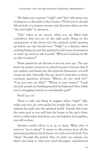The lights are to govern "night" and "day"—the states one undergoes on the path to the Creator. I'll bet you've already felt periods of constant ascents and descents—these are the "day and night" in question.

"Day" refers to an ascent, when you are filled with confidence that you are on the right path, flying on the anticipation of the doors into the spiritual world opening up before you any second now. "Night" is a descent, when nothing brings joy and the spiritual world seems nonexistent or made up, and you ask yourself, "Why am I wasting my life on this nonsense?"

These questions are thrown at you by your ego. The ego finds the perfect moment to attack because it knows that if you endure, and break into the spiritual dimension, you will escape its rule. Naturally, the ego doesn't want this, so these common questions abound, "Whom do you work for?" "Can you even see Him?" "Where is your reason?" "Look around, people are leading peaceful and pleasant lives, while you're struggling toward an unrealizable goal!"

Need I go on?

There is only one thing to suggest: when "night" falls, make sure you are surrounded by people like you, who are seeking the path into the spiritual world. Friends who have the same goal as you will bear the brunt of the ego's blow, and you will realize that alone, you are helpless, but together, you will endure.

Another useful advice is to go to sleep. What does it mean to "go to sleep?" It means to disconnect from all the pestering questions, block them out, and not look back. You "sleep" through this period. Hey, it's dark out, anyway. Lie down and sleep so that your head (thoughts, calculations)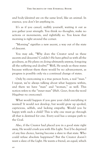and body (desires) are on the same level, like an animal. In essence, you don't let anything in.

It's as if you cancel, nullify yourself, waiting it out as you gather your strength. You think no thoughts, make no actions or movements, and rightfully so. You know that morning is right around the corner.

"Morning" signifies a new ascent, a way out of the state of descent.

You may ask, "Why does the Creator send us these ascents and descents? Couldn't He have gifted us with all the goodness, as He plans on doing ultimately anyway, foregoing all the suffering and doubts?" Well, He sends us these states because without them there would be no advancement, as progress is possible only via a continual change of states.

Only by overcoming is a true person born, a real "man." I repeat, we're always talking about what happens within, and there we have "man" and "woman," as well. This notion refers to the "inner man" (Heb. *Gever*, from the word *Hitgabrut*—to overcome).

What would happen if you gave your child everything it wanted? It would not develop, but would grow up spoiled, capricious, selfish, and lacking empathy. Would you be happy with such a child? This is why one must go through all that is destined for one. Every soul has a unique path to the Goal.

Also, if the Creator had placed you in a good state right away, He would crush you with His Light. You'd be deprived of any free choice, having become a slave to that state. Who could refuse absolute happiness?! But the Creator doesn't want a slave of the Light. He wants a friend, an equal, which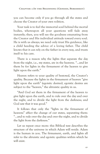you can become only if you go through all the states and choose the Creator of your own volition.

Your task is to feel the immortal soul behind the mortal bodies, whereupon all your questions will fade away instantly; then, you will see the goodness emanating from the Creator and His individual attitude toward every soul. He is with us always; we need only trust His guidance, like a child heeding the advice of a loving father. The child knows that it can rely on the father in every way, and trusts itself to his care.

There is a reason why the lights that separate the day from the night, i.e., my states, are in the heavens. "…and let them be for lights in the firmament of the heaven to give light upon the earth."

Heaven refers to your quality of bestowal, the Creator's quality. Because the lights in the firmament of heaven "give light upon the earth" (egoistic desires), egoistic desires are subject to the "heaven," the altruistic quality in us.

"And God set them in the firmament of the heaven to give light upon the earth, and to rule over the day and over the night, and to divide the light from the darkness; and God saw that it was good."

It follows that only the "lights in the firmament of heavens" affect the change of our states, separating them: "…and to rule over the day and over the night, and to divide the light from the darkness."

Let us repeat once more: this Biblical text describes the structure of the universe in which Adam will reside. Adam is the human in you. The firmament, earth, and lights all refer to the altruistic and egoistic qualities within which he will exist.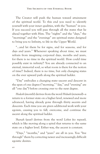The Creator will push the human toward attainment of the spiritual world. To this end you need to identify yourself with your inner qualities, with the "human" in you. If you succeed you will pass through all the states that lie ahead together with Him. The "nights" and the "days," the "mornings" and the "evenings" are spiritual states designed to bring you to Infinity, to life in the Upper World.

"…and let them be for signs, and for seasons, and for days and years." Whenever speaking about time, we must refrain from imagining corporeal days, months and years, for there is no time in the spiritual world. How could time possibly exist in infinity?! You are already connected to an eternal, immortal soul, so what room is there for the notion of time?! Indeed, there is no time, but only changing states on the ever upward path along the spiritual ladder.

"Day" embodies a changing state—ascent and descent in the span of one degree ("morning," "day," and "evening" are all "one day") before crossing over to the next degree.

*Hodesh* (month) derives from the word *Hidush* (renewal)—a return to a former state on a higher level, renewed and more advanced, having already gone through thirty ascents and descents. Each time you are given additional work with your egoism, causing you to fall, overcome, and continue the ascent along the spiritual ladder.

*Shanah* (year) derives from the word *Lishot* (to repeat), which is like moving along a spiral that returns to the same state on a higher level. Either way, the ascent is constant.

"Days," "months," and "years" are all in you. You "live through" them by correcting newer and increasingly difficult egoistic desires.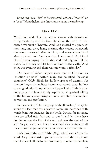Some require a "day" to be corrected, others a "month" or a "year." Nonetheless, the direction remains invariably up.

## **DAY FIVE**

"And God said: 'Let the waters swarm with swarms of living creatures, and let fowl fly above the earth in the open firmament of heaven.' And God created the great seamonsters, and every living creature that creeps, wherewith the waters swarmed, after its kind, and every winged fowl after its kind; and God saw that it was good. And God blessed them, saying: 'Be fruitful, and multiply, and fill the waters in the seas, and let fowl multiply in the earth.' And there was evening and there was morning, a fifth day."

*The Book of Zohar* depicts each day of Creation as "erection of halls" within man, the so-called "celestial chambers" (Heb. *Heichalot*—hollow spaces of desires). As the soul's egoistic qualities become corrected, these hollow spaces gradually fill up with the Upper Light. This is what every person subconsciously aspires to. A gradual filling of the hollow spaces brings all souls to a state of complete correction and perfection.

In the chapter, "The Language of the Branches," we spoke about the fact that the Creator's forces are described with words from our language. In the book, *Genesis*, for instance, they are called fish, fowl and so on: "…and let them have dominion over the fish of the sea, and over the fowl of the air." As you read these lines, you should clearly visualize all the actions that you must carry out for your own correction.

Let's look at the word "fish" (*Dag*), which stems from the word *Daaga* (concern). If you see this word in the text, know that it doesn't allude to fish swimming in water (remember,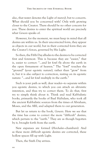also, that water denotes the Light of mercy), but to concern. What should you be concerned with? Only with growing closer to the Creator. There should be no other concern for you. These desires to enter the spiritual world are precisely what *Genesis* speaks of.

However, for the moment, we must keep in mind that all desires are within us. In their uncorrected form, they appear as objects in our world, but in their corrected form they are the Creator's forces, governed by His Light.

So then, the Fifth Day alludes to the desires to be corrected first and foremost. This is because they are "easier," that is, easier to correct: "…and let fowl fly above the earth in the open firmament of heaven." The "fowl" touches the "ground" (your egoistic nature), rather than "grow" from it, but it is also subject to correction, resting on its egoistic nature: "…and let fowl multiply in the earth."

Such is your path as well, dear reader—to separate within you egoistic desires, to which you can attach an altruistic intention, and thus try to correct them. To do that, first try to simply think about it. Think and read Kabbalistic books, primarily the books of Baal HaSulam, who took all the ancient Kabbalistic sources from the times of Abraham, Moses, and the ARI, and adapted them to our generation.

But let us return to the book, *Genesis*. Here we see that the time has come to correct the more "difficult" desires, which pertain to the "earth." They are as though begotten by it, brought forth from the earth.

New expanses are formed (*Heichalot*—chambers). And as these more difficult egoistic desires are corrected, these hollow spaces fill up with Light.

Then, the Sixth Day arrives.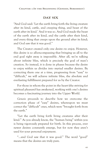# **DAY SIX**

"And God said: 'Let the earth bring forth the living creature after its kind, cattle, and creeping thing, and beast of the earth after its kind.' And it was so. And God made the beast of the earth after its kind, and the cattle after their kind, and every thing that creeps upon the ground after its kind; and God saw that it was good."

The Creator created only one desire—to enjoy. However, this desire is so all-encompassing that bringing us all to the end goal right away is impossible. After all, we're talking about infinite bliss, which is precisely the goal of man's creation. So instead, it is done in phases because the desire to enjoy within us divides into myriad smaller desires. By correcting them one at a time, progressing from "easy" to "difficult," we will achieve infinite bliss, the absolute and everlasting fulfillment prepared for us by the Creator.

For those in whom the point in the heart (the striving for spiritual pleasure) has awakened, working with one's desires becomes a fascinating journey into the Upper World.

*Genesis* proceeds to describe how we overcome the correction phase of "easy" desires, whereupon we must correct the "difficult" ones, which were "brought forth from the earth."

"Let the earth bring forth living creatures after their kind." As you already know, the "human being" within you is being vigorously prepared for birth. In this process, ever newer desires constantly emerge, but for now they aren't used for your personal enjoyment.

"…and God saw that it was good." The word "good" means that the desires are truly pure.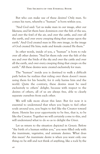But who can make use of these desires? Only man. So comes his turn, whereby a "human" is born within you.

"And God said: 'Let us make man in our image, after our likeness; and let them have dominion over the fish of the sea, and over the fowl of the air, and over the cattle, and over all the earth, and over every creeping thing that creeps upon the earth.' And God created man in His own image, in the image of God created He him; male and female created He them."

In other words, inside of you, a "human" is born to rule over all other desires: "And let them rule over the fish of the sea and over the birds of the sky and over the cattle and over all the earth, and over every creeping thing that creeps on the earth." All these desires were created exclusively for man.

The "human" inside you is destined to walk a difficult path before he realizes that ruling over them doesn't mean using them for his benefit, for it only harms him and the world. Quite the contrary, these desires must be used exclusively to others' delight, because with respect to the desires of others, all of us are always free, able to clearly separate ourselves from each other.

We will talk more about this later. But for now it is essential to understand that when you begin to feel other souls around you, you begin to feel like the Creator toward them. Herein lies your opportunity to be free, that is, to be like the Creator. Together we will certainly come to this, and will understand what to do so as to delight the Giver.

Let us return to the situation depicted in *Genesis*. Before "the birth of a human within you," you were filled only with the inanimate, vegetative, and animate desires. What does this mean? An inanimate desire is when you want only one thing—to be still and not think of anything, like a rock by the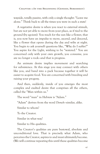wayside, totally passive, with only a single thought: "Leave me alone." Think back to all the times you were in such a state!

A vegetative desire is when you react to external stimuli, but are not yet able to move from your place, as if tied to the ground (by egoism). You reach for the sun like a flower, that is, you now have an impulse to move, ascend, and descend, like a flower that opens during the day and wilts at night. You begin to ask yourself questions like, "Why do I suffer?" You aspire for the Light, wishing to be "watered." You are concerned only with your own growth, you consume, you are no longer a rock—and that is progress.

An animate desire implies movement and searching for subsistence. At this stage you may connect with others like you, and band into a pack because together it will be easier to acquire food. You are concerned with breeding and raising your progeny.

And then, suddenly, inside of you emerges the most complex and exalted desire that comprises all the others, called the "Man within us."

The word "man" in Hebrew is "Adam."

"Adam" derives from the word *Domeh*—similar, alike.

Similar to whom?

To the Creator.

Similar in what way?

Similar to His qualities.

The Creator's qualities are pure bestowal, absolute and unconditional love. That is precisely what Adam, who perceives the Creator, aspires to and must ultimately become. (We will continue repeating this until these qualities become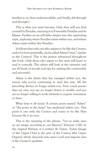familiar to us, then understandable, and finally, felt through and through.)

This is what you must become. Only then will you find yourself in Paradise, meaning you'll resemble Paradise and its Master. Further on we will delve deeper into this captivating topic, exploring where Paradise exists within you, and where Adam exists within this Paradise.

It follows that only one who aspires to be like the Creator, and to be born spiritually, can be called Adam ("man," similar to the Creator). This is the person referenced throughout the book. Only those who aspire to this state will learn to read it correctly. The others will look at the narrative and see all kinds of morals and tips for making life comfortable and successful.

Adam is the desire that has emerged within you, the reason why you're continuing to read this text. All the preceding desires no longer satisfy you. Your couch potato days are over; you are no longer drawn to wealth, and you are no longer willing to work tirelessly to acquire veneration or fame.

What does it all mean? A certain point named "Adam" or "the point in the heart" has awakened within you. This point is one with the Creator and wants to be like Him because He is its root.

This is the meaning of the phrase, "Let us make man in our image, according to our likeness" (Genesis 1:26). In the original Hebrew, it is written *Be Tzelem*. *Tzelem* (image of the Upper One) is the part of the Creator (the Upper Degree), which descends into man's soul and imports into it the Creator's qualities.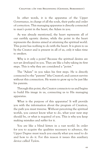In other words, it is the apparatus of the Upper Governance, in charge of all the souls, their paths and order of correction. This managing apparatus is directly connected to man's point in the heart, the Adam in you.

As was already mentioned, the heart represents all of our earthly egoistic desires, while the point in the heart represents the desires aimed at attaining the spiritual world. This point has nothing to do with the heart. It is given to us by the Creator and is present in all of us, only it takes time to awaken.

Why is it only a point? Because the spiritual desires are not yet developed in you. They are like a baby taking its first steps. This is why they are considered a "point."

The "Adam" in you takes his first steps. He is directly connected to the "parents" (the Creator), and cannot survive without this connection. He wants to grow up to be just like his parents.

Through this point, the Creator connects to us and begins to build His image in us, connecting us to His managing apparatus.

What is the purpose of this apparatus? It will provide you with the information about the program of Creation, the path you must traverse. Without perceiving the spiritual worlds, you cannot know what to do, what your next step should be, or what is required of you. This is why you keep making mistakes and suffer for it.

You are like a blind kitten in a vast world. In order for you to acquire the qualities necessary to advance, the Upper Degree must teach you exactly what you need to do and how to do it. For this reason it issues this auxiliary device called *Tzelem*.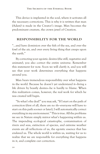This device is implanted in the soul, where it activates all the necessary corrections. This is why it is written that man (Adam) is made in the Creator's image. Man becomes the predominant creature, the crown jewel of Creation.

#### **RESPONSIBILITY FOR THE WORLD**

"…and have dominion over the fish of the sea, and over the fowl of the air, and over every living thing that creeps upon the earth."

By correcting your egoistic desires (the still, vegetative and animate), you also correct the entire universe. Remember this statement for now. Soon we will clarify it, and you will see that your work determines everything that happens around you.

Man bears tremendous responsibility over what happens in the world. Because he doesn't yet understand it—living a life driven by beastly desires—he is hardly to blame. When this realization comes, however, the real work for which he was created will begin.

"So what's the deal?" you may ask, "If I start on the path of correction (first of all, there are no ifs—everyone will have to start on this path sooner or later), I will automatically correct everything in my environment." This is true. All the problems we see in Nature simply mirror what's happening within us. The impending ecological catastrophe, contamination of rivers and seas, extinction of species, and extreme weather events are all reflections of us, the egoistic essence that has enslaved us. The whole world is within us, waiting for us to realize that we are responsible for everything that happens in it, and complete our correction.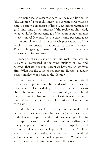For instance, let's assume there is a rock, and let's call it "the Creator." This rock comprises a certain percentage of slate, a certain percentage of lime, a certain percentage of gold, and some other minerals. If the rock were shattered, what would be the percentage of the composing elements in each piece? It would be the exact same percentage as in the complete rock. Because each piece is part of the whole, its composition is identical to the entire piece. This is why geologists need only break off a piece of a rock to learn its contents.

Every one of us is a shard from this "rock," the Creator. We are all comprised of the same qualities of love and bestowal that exist in Him, except we have broken off from Him. What was the cause of this rupture? Egoism—a quality that's completely opposite to the Creator.

How do we return to Him? The moment we understand that we are opposite from Him, and wish to return to the Creator, we will immediately embark on the path back to Him. The main objective on the spiritual path is to build the desire for it. However, we must experience this desire thoroughly, to the very end, until it hurts, until we scream with pain!

Desire is the basis for all things in the world, and determines absolutely everything. Your objective is to adhere to the Creator. If you have the desire to do so, you'll begin to escape the slavery of self-love and you'll immediately feel changes in your environment. There will no longer be a need to hold conferences on ecology, or "Green Peace" rallies, worry about endangered species, and so on. Humankind will understand that the buck stops with us. We must rise above the ego and begin the journey to the Creator.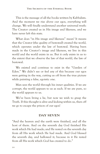This is the message of all the books written by Kabbalists. And the moment we rise above our egos, everything will change. We will finally understand another universal truth: The Creator created us in His image and likeness, and we have never left this state.

What does "in His image and likeness" mean? It means that the Creator (the quality of bestowal) created the world, which operates under the law of bestowal. Having been made in the Creator's image and likeness, we live in this world and the world exists in us. But it only exists in us to the extent that we observe the law of that world, the law of bestowal.

We existed and continue to exist in the "Garden of Eden." We didn't see or feel any of this because our egos were getting in the way, cutting us off from the true picture while painting a false, egoistic one.

Man sees the world through his inner qualities. If we are corrupt, the world appears to us as such. If we are pure, so the world appears to us.

We've been living a lie, but now we wish to grasp the Truth. If this thought is alive and kicking within us, then off we go to escape the prison of our egos!

#### **DAY SEVEN**

"And the heaven and the earth were finished, and all the host of them. And on the seventh day God finished His work which He had made; and He rested on the seventh day from all His work which He had made. And God blessed the seventh day, and hallowed it; because in it He rested from all His work which God has created to do."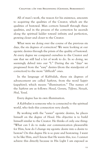All of man's work, the reason for his existence, amounts to acquiring the qualities of the Creator, which are the qualities of bestowal. Man corrects himself through these qualities, and in the process of the correction he ascends along the spiritual ladder toward infinity and perfection, growing closer and closer to the Creator.

What were we doing over the course of the previous six days, the six degrees of correction? We were looking at our egoistic desires through the prism of the quality of bestowal. At every degree we compared ourselves to the Creator and saw that we still had a lot of work to do. In so doing, we seemingly delved into our "I." During the six "days" we progressed from the "easy" desires (from the standpoint of correction) to the more "difficult" ones.

In the language of Kabbalah, these six degrees of advancement are called *Sephirot*, from the word *Sappir* (sapphire), which means "illumination." The names of the *Sephirot* are as follows: *Hesed*, *Gevura*, *Tifferet*, *Netzah*, *Hod*, *Yesod*.

Every degree has its own illumination.

A Kabbalist is someone who is connected to the spiritual world, who feels this connection very clearly.

By working with the "easier" egoistic desires, he places himself on the degree of *Hesed*. His objective is to build himself similar to the Creator. He thinks of only one thing: "What can I do to make our communication pleasurable for Him, how do I change my egoistic desire into a desire to bestow? On this degree He is so pure and bestowing. I want to be like Him, and I know that He wants this, too. I cannot achieve this directly because in His Light I am exposed as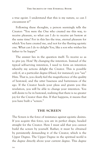a true egoist. I understand that this is my nature, so can I circumvent it?"

Following these thoughts, a person seemingly tells the Creator: "You were the One who created me this way, to receive pleasure, so what can I do to receive yet bestow at the same time? For in this lies the true, eternal pleasure for which You have created me, and not for the fleeting egoistic one. What can I do to delight You, like a son who wishes his father to be happy?"

The answer lies in the question itself: To receive so as to give joy. How? By changing the intention. Instead of the typical self-serving intention, I need to form an intention whereby my actions delight the Creator. This is possible only if, at a particular degree (*Hesed*, for instance), you "see" Him. That is, you clearly feel the magnificence of the quality of bestowal, and the utter baseness and barrenness of the ego. If the Creator heeds your pleas and grants you this revelation, you will be able to change your intention. You will desire to be in bestowal, realizing that there is no greater joy for the Creator than this. If that happens, it means that you have built a "screen."

#### **THE SCREEN**

The Screen is the force of resistance against egoistic desires. If you acquire this force, you are in perfect shape, headed straight for the Creator. Here I must add that you cannot build the screen by yourself. Rather, it must be obtained by persistently demanding it of the Creator, which is the Upper Degree. The Upper Degree in the spiritual world is the degree directly above your current degree. This degree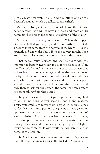is the Creator for you. This is how you attain one of the Creator's names (which we talked about earlier).

At each subsequent degree, you will know the Creator better, meaning you will be revealing more and more of His names until you reach the complete revelation of the Maker.

So, when do you acquire a screen? When the Upper Degree feels that you're prepared to do anything to get it. The plea must come from the bottom of the heart: "Give me strength to bestow like You… Help me correct myself, I beg You." If your plea is sincere, you will receive the screen.

That is, you must "correct" the egoistic desire with the intention to bestow. Every day, it is as if you place your "I" in the Creator's "clinic" and ask for the cure—the screen that will enable you to open your eyes and see the true picture of reality. In this clinic, you are given additional egoistic desires with which you must begin to work and feel, to check your attitude toward them, realize how powerful they are, and only then to ask for the screen—the force that can protect you from falling from this degree.

The goal is clear—to correct your ego, which is supplied to you in portions as you ascend upward and mature. Thus, you gradually move from degree to degree. Once you've dealt with one portion of egoism, you are given an opportunity to ascend, to draw closer to the next batch of egoistic desires. And then you begin to work with them, correcting your intention from egoistic to altruistic, so you can say, "I receive and in so doing I am giving You delight." Every degree contains its own work, its own screen, a new name of the Creator.

The Six Days of Creation correspond to the *Sephirot* in the following manner: *Hesed* is the first day, *Gevura* is the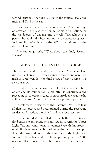second, *Tifferet* is the third, *Netzah* is the fourth, *Hod* is the fifth, and *Yesod* is the sixth.

These six successive corrections, called "the six days of creation," are also the six millennia of Creation, or the six degrees of delving into oneself. Throughout this period, humankind labors arduously to correct its egoism. Incidentally, we're living in the 5770s, the tail end of the sixth millennium.

Now you might ask, "What about the final, Seventh Degree?"

## **SABBATH, THE SEVENTH DEGREE**

The seventh and final degree is called "the complete, independent creature," which wants to receive and perceives itself as a receiver. It is the final phase of every degree. It is also our root.

This degree cannot correct itself, for it is a concentration of egoism, its foundation. Only after it experiences the preceding six corrections (days of creation) does it acquire the ability to "absorb" them within and adopt their qualities.

Therefore, the objective of the "Seventh Day" is to take all that was created and accumulated during the preceding six days and produce a finished, independent creature.

This seventh degree is called "the Sabbath." It is a special day because in this state, the souls are filled with the Upper Light. The only condition is to not interfere with this process, symbolically represented by the laws of the Sabbath. You put down the oars and go with the flow toward the Light. You submit to these laws and thereby keep your ego in the "off" position. It is also written, "He who works for six days will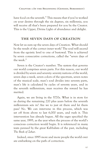have food on the seventh." This means that if you've worked on your desires through the six degrees, six millennia, you will receive all that's been prepared for you by the Creator. This is the Upper, Divine Light of abundance and delight.

# **THE SEVEN DAYS OF CREATION**

Now let us sum up the seven days of Creation. What should be the result of the correct inner work? The soul will ascend from the egoistic level to one of bestowal. This is achieved by seven consecutive corrections, called the "seven days of the week."

Seven is the Creator's number. The system that governs our world comprises seven parts. For this reason, our world is divided by seven and seventy: seventy nations of the world, seven days a week, seven colors of the spectrum, seven notes of the musical scale, man's soul divides into seventy parts, man's life is calculated by cycles of seventy years, and in the seventh millennium, man receives the reward he has merited.

Again, we are living in the 5770s. What is in store for us during the remaining 220 plus years before the seventh millennium sets in? Are we to just sit there and let them pass? No. We can intervene in this process, which was set off from above to last 6,000 years, and rush it. This intervention has already begun. All the sages specified the same year, 1995, as the year when the process of the world's conscious correction would begin. It is referenced in many texts penned by the great Kabbalists of the past, including *The Book of Zohar*.

Indeed, since 1995 more and more people the world over are embarking on the path of correction.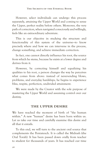However, select individuals can undergo this process separately, attaining the Upper World and coming to sense the Upper, perfect reality before others. Moreover, the very path of correction, when navigated consciously and willingly, feels like an extraordinary adventure.

This is our objective in studying the structure and functionality of this system of the universe—to know precisely where and how we can intervene in the process, change something, and achieve immediate correction.

In fact, one cannot directly influence his root, the source from which he stems, because he exists at a lower degree and derives from it.

However, by correcting himself and equalizing his qualities to his root, a person changes the way he perceives what comes from above: instead of never-ending blows, problems, and everyday hardships, he begins to experience bliss, respite, perfection, undivided attainment.

We were made by the Creator with the sole purpose of mastering the Upper World and assuming control over our destiny.

#### **THE UPPER DESIRE**

We have reached the moment of birth of "the human" within." A new "human" desire has been born within us. Let us take our time and carefully examine this desire and all that it entails.

To this end, we will turn to the ancient oral source that complements the Pentateuch. It is called the Midrash (the Oral Torah). It has been passed down orally from teacher to student for thousands of years. It has reached our time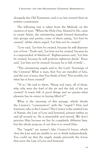alongside the Old Testament, and is no less revered than its written counterpart.

The following text is taken from the Midrash on the creation of man: "When the Holy One, blessed be He, came to create Adam, the ministering angels formed themselves into groups and parties, some of them saying, 'Let him be created,' whilst others urged, 'Let him not be created.'

"Love said, 'Let him be created, because he will dispense acts of love.' Truth said, 'Let him not be created, because he is compounded of falsehood.' Righteousness said, 'Let him be created, because he will perform righteous deeds.' Peace said, 'Let him not be created, because he is full of strife'…

"The ministering angels said to the Lord: 'Sovereign of the Universe! What is man, that You are mindful of him, and the son of man, that You think of him? This trouble, for what has it been created?'

"'If so,' He said to them, 'Sheep and oxen, all of them, why; why were the fowl of the air and the fish of the sea created? A tower full of good things and no guests—what pleasure has its owner in having filled it?'"

What is the meaning of this passage, which details the Creator's "conversation" with the "angels"? First and foremost, who is the Creator? The Creator is the unified Law of Nature, the Law of Love and bestowal, present within us and all around us. He is immutable and eternal. We don't perceive Him because we live by completely different laws, but the whole purpose of our lives is to reveal Him.

The "angels" are nature's (the Creator's) forces, which obey the Law and are unable to act or think independently. You could say that the angels simply personify the forces that serve the Law of Love and bestowal.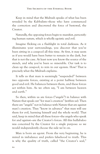Keep in mind that the Midrash speaks of what has been revealed by the Kabbalists—those who have commenced the correction and discovered the force of bestowal, the Creator.

Naturally, the opposing forces begin to manifest, personifying human nature, which is wholly egoistic and evil.

Imagine flicking on a flashlight in total darkness. As it illuminates your surroundings, you discover that you've been sitting in a cesspool all this time. At first, it may seem as if you would have been better to remain in the dark, but that is not the case. At least now you know the source of the stench, and why you've been so miserable. Our task is to clean up the cesspool, to rein in our egoism. How? That is precisely what the Midrash explains.

It tells us that man is seemingly "suspended" between two opposite forces, existing at a point halfway between good and evil. He balances between them, and these forces act within him. As we often say, "I am between heaven and earth."

So then, within us are forces ("angels") in balance with Nature that speak out "for man's creation" (within us). Then there are "angels" not in balance with Nature that are against man's creation. They "know in advance" that man will use them for evil, harming himself and the whole world. That said, keep in mind that all these forces—the angels who speak for and against—are the Creator's forces. All this hullabaloo was conceived by the Creator for a single purpose: so we would independently choose the side we're on.

Man is born an egoist. From the very beginning, he is mired in imbalance and prefers falsehood to truth. This is why the quality of truth, called "the Creator's seal,"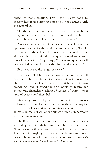objects to man's creation. This is for his own good—to prevent him from suffering, since he is not balanced with the general law.

"Truth said, 'Let him not be created, because he is compounded of falsehood.' Righteousness said, 'Let him be created, because he will perform righteous deeds.'"

Precisely because man is an egoist, he will have the opportunity to realize this, and then to show mercy. Thanks to his good deeds he'll be able to realize what is good, so that afterward he can acquire the quality of bestowal and correct himself. It is as if this "angel" says, "All of man's qualities will be corrected because I exist within him, so don't worry."

But there is also the "angel of peace."

"Peace said, 'Let him not be created, because he is full of strife.'" He protests because man is opposite to peace. He lives for himself and his only thought is to possess everything. And if everybody only wants to receive for themselves, shamelessly taking advantage of others, what kind of peace could there be?

Man is aggressive, delights in the misery of others, strives to harm others, and longs to hoard more than necessary for his existence. The evil qualities in him elevate him above the animate degree, but while the animate degree is in harmony with Nature, man is not!

The lion and the cow take from their environment only what they need for their sustenance, but man does not. Nature dictates this behavior in animals, but not in man. There is not a single quality in man that he uses to achieve peace. The notion of peace means the following: *I take only what I need to survive; the rest does not belong to me*.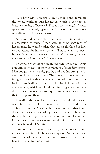He is born with a grotesque desire to rule and dominate the whole world to suit his needs, which is contrary to Nature's quality of bestowal. This is why the angel of peace speaks so vehemently against man's creation, for he brings only discord and war to the world.

And, indeed, we see that the history of humankind is a procession of wars. If man were to grow cognizant of his essence, he would realize that all he thinks of is how to use others for his own benefit. This is what we mean by "war": perpetual takeover of another's territory, i.e., the enslavement of another's "I" by my own.

The whole progress of humankind throughout millennia amounts to the development of weapons of mass destruction. Man sought ways to rule, profit, and use his strengths by elevating himself over others. This is why the angel of peace is right in saying that man is all discord. Not one of his inclinations is directed toward achieving balance with his environment, which would allow him to give others their due. Instead, man strives to acquire and control everything that belongs to others.

The Midrash states that in this form, man shouldn't even come into the world. The reason is clear: the Midrash is an instruction that "lives" within man, but he resists it and doesn't want to live according to its instruction. Therefore, the angels that oppose man's creation are initially correct. Given the circumstances, man should not be created, for he is opposite to all of Nature.

However, when man uses his powers correctly and achieves correction, he becomes king over Nature and the world, the whole process becomes purposeful, and man becomes equal to the Creator.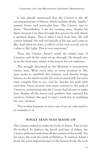It was already mentioned that the Creator is the allencompassing law of Nature, which includes all the "angels," namely forces and particular laws. The Creator says to them, "Nevertheless, I am for creating man, despite his flaws, because I see that through this process he will obtain a spiritual degree. That is what I need from him. He will correct himself. He will rid himself of his ego and come to Me. And when he does, it will be of his own accord, not as a slave to My Light. This is very important."

Thus, the Creator doesn't mind the initial state of Creation and all the states we go through. He already sees us in the final state, which is the reason for our existence.

The struggle described in the Midrash is ever-present within man. With every step, at every moment in life, man works to establish this balance, and thereby brings balance to the whole world. He cannot stand still, for every state compels him to act, and he chooses his path with each step. Every second, man must connect to the goal of Creation, scrutinizing why the Creator had chosen to make him, despite all the forces and qualities that opposed his creation. Indeed, the goal of man's work lies in justifying his own creation.

This is what happens in every one of us; we only need to be sensitive to it.

## **WHAT MAN WAS MADE OF**

The Creator wished to make the body of Adam. This is how He worked: To fashion the hands and legs of Adam, the Creator gathered earth from all the corners of the world. For his torso, He took the earth of Babylon. To fashion Adam's head, the most important part of the human body, He took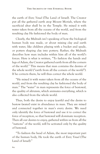the earth of *Eretz Ysrael* (The Land of Israel). The Creator put all the gathered earth atop Mount Moriah, where the sacrificial altar shall be in the Temple. He mixed it with water taken from all the oceans of the world, and from the resulting clay He fashioned the body of man.

Clearly, the Midrash isn't speaking of how the biological human body was made, or about mixing clay and earth with water, like children playing with a bucket and spade, or potters shaping clay into pottery. Rather, the Midrash describes how man includes within him all of the world's forces. Here is what is written, "To fashion the hands and legs of Adam, the Creator gathered earth from all the corners of the world." This means that man contains the desires of the whole world ("earth from all the corners of the world"). If he corrects them, he will thus correct the whole world.

"He mixed it with water taken from all the oceans of the world, and from the resulting clay he fashioned the body of man." The "water" in man represents the force of bestowal, the quality of altruism, which animates everything, which is also collected from the whole world.

Thus, both the desire to enjoy (earth) and the desire to bestow (water) exist in abundance in man. They are mixed and connected together in man's every desire. We need only identify the force of bestowal and use it to correct the force of reception, so that bestowal will dominate reception. Then all our desires to enjoy, gathered within us from all the "nations" of the world, will be activated only by the quality of bestowal.

"To fashion the head of Adam, the most important part of the human body, He took the earth of *Eretz Ysrael* (The Land of Israel)."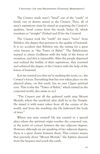The Creator made man's "head" out of the "earth" of Israel, out of desires aimed at the Creator. Thus, all of man's aspirations must be aimed at acquiring the Creator's qualities. Israel comes from the words *Yashar El*, which translates as "straight" (*Yashar*) and *El* (to the Creator).

The Creator took the "earth" for man's "torso" from Babylon, the degree that pertains to the quality of bestowal. It is no accident that Babylon was the setting for a great crisis known as "the Tower of Babel." The Babylonians wanted to attain Godliness with the help of the forces of reception, and this is impossible. After the people dispersed and realized the futility of their aspirations, they reunited and achieved the degree of the Creator with the help of the forces of bestowal.

(Let me remind you that we're studying the roots, i.e., the Creator's forces. Everything that has ever taken place on the physical plane, on this earth, has its own Upper spiritual root. This is why the "Tower of Babel," which existed in the corporeal world, also exists in us.)

"The Creator put all the gathered earth atop Mount Moriah, where the sacrificial altar shall be in the Temple. He mixed it with water taken from all the oceans of the world, and from the resulting clay He fashioned the body of man."

Where was man created? He was created in a special place where the spiritual origin touches the corporeal one, at the point of contact between the two adjacent degrees. However, although we are speaking of two adjacent degrees, there is a great chasm between them. This contact means that precisely above "Mount Moriah," the *Sephirot* descend from the heavens and touch the earth.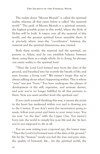The reality above "Mount Moriah" is called the spiritual reality, whereas all that exists below is called "the material world." The peak of Mount Moriah is a spiritual summit, the highest possible point in this world, where the Holy of Holies will be built. It towers over all the material of this world, and the greatest spiritual forces assemble there. It is precisely where man—the "coordinator" between the material and the spiritual dimensions—was created.

Both these worlds, the material and the spiritual, are present in Adam, and he can establish balance between them, using them as a single whole. In so doing, he elevates our entire reality to the spiritual level.

"Then the Lord God formed man from the dust of the ground, and breathed into his nostrils the breath of life; and man became a living soul." We mustn't forget that we're always talking about what's happening within. This is where "man" was just "born." You have undergone the phases of development of the still, vegetative, and animate desires, and now you're no longer fulfilled by all that pertains to them. Now you want another level—the spiritual one!

If you catch yourself thinking this way, it means the point in the heart has awakened within you and is drawing you to the Creator. If you don't want this incarnation going to waste, follow your point and listen to your inner voice. You are now "on the line" with the Upper One. You weren't born into the world to simply live your life and die. In fact, you're not supposed to die at all.

You are now exiting your corporeal ego, the lowest state: "Then the Lord God formed man of the dust of the ground." He let the "human" inside you feel the true and pure state, the quality of bestowal, life… (in the spiritual world, the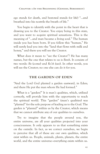ego stands for death, and bestowal stands for life) "…and breathed into his nostrils the breath of life."

You begin to identify with the point in the heart that is drawing you to the Creator. You enjoy being in this state, and you want to acquire spiritual sensations. This is the meaning of "…and man became a living soul." The human inside you has been born. If you follow this "human," He will surely lead you into the "land that flows with milk and honey," and there you will see the Creator.

What does it mean to "see the Creator"? He has many names, but the one that relates to us is *Boreh*. It consists of two words: *Bo* (come) and *Re'eh* (see). In other words, you will see the Creator; no one else can do it for you.

## **THE GARDEN OF EDEN**

"And the Lord God planted a garden eastward, in Eden; and there He put the man whom He had formed."

What is a "garden?" It is man's qualities, which, utilized correctly, will provide him with the opportunity to reach the spiritual world. This "garden" (man's qualities) was "planted" for the sole purpose of leading us to the Goal. The garden is "planted" within us by the Creator, which means that we cannot attribute any of our qualities to ourselves.

Try to imagine that the people around you, the entire universe, are all your qualities projected into your consciousness. It only appears to us that something exists on the outside. In fact, as we correct ourselves, we begin to perceive that all of these are our own qualities, which exist within us. People, animals, plants, planets, the entire world, and the entire universe—everything exists within us.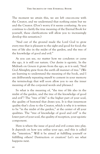The moment we attain this, we are left one-on-one with the Creator, and we understand that nothing exists but we and the Creator. (Don't worry if it seems confusing. As you continue to clarify the true meaning of the Eternal Book for yourself, these clarifications will allow you to increasingly develop this sensation.)

"And out of the ground made the Lord God to grow every tree that is pleasant to the sight and good for food; the tree of life also in the midst of the garden, and the tree of the knowledge of good and evil."

As you can see, no matter how we condemn or curse the ego, it is still our nature. Our desire is egoistic. In the Midrash on *Genesis* it grows from the ego, as it is said, "And God Almighty grew from the earth all manner of tree." (We are learning to understand the meaning of the book, and I am deliberately repeating myself to cement in your memory the terminology that will soon allow you to see the inner meaning of all the corporeal words and phrases.)

So what is the meaning of, "the tree of life also in the midst of the garden, and the tree of the knowledge of good and evil"? The "tree of life" is the higher part of your soul, the quality of bestowal that draws you. It is that innermost quality that's close to the Creator, which is why it is written to be "in the midst of the garden," at the center of all your qualities. The "tree of knowledge of good and evil" is the lower part of your soul, the quality of reception, your egoistic component.

Here is where the issue of good and evil comes into play. It depends on how you utilize your ego, and this is called the "intention." Will it be aimed at fulfilling yourself or fulfilling others? Destruction or creation? Let's see what happens next.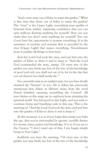"And a river went out of Eden to water the garden." What is this river that flows out of Eden to water the garden? The "river" is the Upper Light, nourishing your quality of bestowal from within, imparting confidence that you can exist without desiring anything for yourself. How can you claim that you don't want anything for yourself? You can if you have the opportunity to possess everything. It is the sensation of security and serenity that is provided by the river (Upper Light) that waters everything. Nourishment from it enables all things to bear fruit.

And the Lord God took the man, and put him into the garden of Eden to dress it and to keep it. "And the Lord God commanded the man, saying: 'Of every tree of the garden you may freely eat; but of the tree of the knowledge of good and evil, you shall not eat of it; for in the day that you eat thereof you shall surely die.'"

You currently exist in an exalted state, for you have finally attained the "human" in you. He is Adam (we previously mentioned that Adam in Hebrew stems from the word *Domeh* (similar), meaning resembling the Creator). All your desires at this stage are in euphoria from attaining the spiritual world. You feel good in this Light, and you wish to continue living and breathing only in this way. This is the meaning of, "And the Lord God took the man, and put him into the garden of Eden to dress it and to keep it."

At this moment, it is as if you forget that inside you lurks the ego, that you're surrounded by egoistic, worldly desires for money, fame, power and knowledge. It is as if you say to the Creator, "I don't need any of this; I am happy simply being in Your Light."

Suddenly you hear the warning, "Of every tree of the garden you may freely eat; but of the tree of the knowledge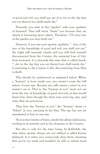of good and evil, you shall not eat of it; for in the day that you eat thereof you shall surely die."

Presently, you exist in this "garden" with your qualities of bestowal. They will never "harm" you because they are aimed at bestowing upon others. Therefore, "Of every tree of the garden you may freely eat."

However, if you use your egoistic qualities, "…but of the tree of the knowledge of good and evil, you shall not eat," the Light will instantly vanish and you will find yourself disconnected from the Creator, the universal Law of Life, from bestowal. It is precisely this state that is called death: "…for in the day that you eat thereof you shall surely die." Connecting to the Creator is life; disconnecting from Him is death.

This should be understood as explained below: When a "human" is born inside you, you mustn't rouse the full extent of your ego. Because you still cannot correct it, you mustn't use it. That is, the "human in you" must not eat from the tree of knowledge of good and evil, as that would harm him. Even though the fruits may seem big, ripe, and tasty, they are poisonous.

Thus lives the "human in you," the "human" desire or "Adam" in you, rejoicing in his bliss. The ego has not yet manifested in him in any way.

He is in the Garden of Eden, amidst the allowed pleasures, reveling in its serenity and in his closeness to the Creator.

But this is only for the time being. In Kabbalah, the state when egoistic desires are not utilized is called *Katnut* (infancy). It is when you consciously deny them, knowing that you're too weak and wouldn't be able to refrain from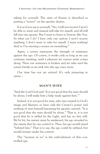taking for yourself. The state of *Katnut* is described as putting a "screen" on the egoistic desires.

It is as if you say to yourself, "No, I will not receive! I won't be able to resist and instead will take for myself, and all will fall into my egoism. But I want to learn to bestow, like You. So what can I do? I have only one option: I won't receive anything. I don't want to take for myself. I want nothing! And so I'm erecting a screen on everything."

Again, a screen represents the strength of resistance against the ego. Of course, it works only as long as we can continue resisting, until a pleasure we cannot resist comes along. Then our resistance is broken and we take—and the screen breaks as we sink into the ego once more.

Our time has not yet arrived. It's only preparing to arrive…

## **MAN'S WIFE**

"And the Lord God said: 'It is not good that the man should be alone; I will make him a help made against him.'"

Indeed, it is not good for man, who was created in God's image and likeness, to have only the Creator's power and nothing of man himself (meaning his egoistic nature). "It is not good that the man should be alone." That is, it is not good that he is stifled by the Light, and has no free will. Bit by bit, his nature must be awakened, his ego revealed to the extent that he can control it. Thus, his ego would stand "behind him." That is to say, the ego could be utilized, but would remain under his control.

The "woman in us" is the embodiment of this controlled ego.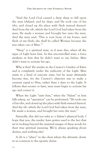"And the Lord God caused a deep sleep to fall upon the man (Adam), and he slept; and He took one of his ribs, and closed up the place with flesh instead thereof. And from the rib, which the Lord God had taken from the man, He made a woman and brought her unto the man. And the man said, 'This is now bone of my bones, and flesh of my flesh; she shall be called Woman because she was taken out of Man.'"

"Sleep" is a spiritual state, as if man dies, when all the types of Light leave him. In this uncontrolled state, a force awakens in him that he didn't want to use before. Man didn't want to activate his ego.

Why is that? He resides in the Creator's Garden of Eden and is completely under the authority of the Light. Man exists in a kind of narcotic state, but he must ultimately become free, for the Creator's objective was to make a creature equal to Him, rather than a slave to the Light. It follows that sooner or later, man must begin to activate his ego and correct it.

When the Light "exits him," when the "Adam" in him falls asleep, an "operation" can be performed: "He took one of his ribs, and closed up the place with flesh instead thereof. And the rib, which the Lord God had taken from the man, He made a woman, and brought her unto the man."

Naturally, this did not refer to a Adam's physical body. I hope that you, the reader, have gotten used to the fact that we're looking beyond the material images of these words for their true spiritual meaning. We're always speaking about desires, and nothing else!

A rib is a "place" in the chest where the altruistic desire in us connects to the egoistic desire.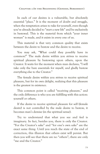In each of our desires is a vulnerable, but absolutely essential "place." It is the moment of doubt and struggle, when the temptation arises to take for yourself, even though you've already decided to "start a new life" and be exclusively in bestowal. This is the material from which "your inner woman" is made, and it exists in every one of us.

This material is that very common quality that exists between the desire to bestow and the desire to receive.

You may ask, "What could they possibly have in common?" The male desire within you strives to receive spiritual pleasure by bestowing upon others, upon the Creator. It waits for the moment when man declares, "I will take only the bare essentials for myself, and gladly bestow everything else to the Creator."

The female desire within you strives to receive spiritual pleasure, but for its own delight, realizing that this pleasure is the greatest in existence.

This common point is called "receiving pleasure," and the only difference is who you are fulfilling with this action: yourself or others.

If the desire to receive spiritual pleasure for self (female desire) is not controlled by the male desire to bestow, it becomes man's demise (in the spiritual sense).

Try to understand that what you see and feel is imaginary. In fact, besides you, there is only the Creator. "For the Creator's sake" and "for one's own sake" are the exact same thing. Until you reach the state of the end of correction, this illusion that others exist will persist. But then you will see that there are no "others"; there are only "me and the Creator."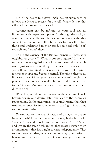But if the desire to bestow (male desire) submits to or follows the desire to receive for oneself (female desire), that will spell demise for man, as well.

Advancement can be infinite, as your soul has no limitation with respect to capacity, for through the soul you connect to others. The soul is the communicator with other souls. One can connect all of humanity to himself—to feel, think and understand in their stead. You need only "exit" yourself and "enter" them.

This is the essence of the Biblical principle, "Love your neighbor as yourself." What is our true egoism? It is when you love yourself egoistically, willing to disregard the whole world just to grab something for yourself. If you can exit yourself and give up all your possessions, you will begin to feel other people and become eternal. Therefore, there is no limit to your spiritual growth; we simply aren't taught this practice. Everyone can actualize himself and become equal to the Creator. Moreover, it is everyone's responsibility and duty to do so.

We will expound on this junction of the male and female beginnings in our desires later and clarify the necessary proportions. In the meantime, let us understand that their true coalescence lies in submission to the Light, in aspiring to it no matter what.

To summarize, the manifestation of an egoistic quality in Adam, which he had never felt before, is the birth of a "woman," the additional, external form called "Eve." Adam and Eve are the same flesh, in that they create between them a combination that has a right to exist independently. They support one another, whereas before they (the desire to bestow and the desire to receive) were estranged from one another.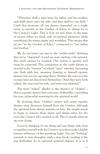"Therefore shall a man leave his father and his mother, and shall cleave unto his wife, and they shall be one flesh." Until that moment, all our desires depended on a single need: to remain in the Garden of Eden, to always be in the Creator's Light. This is how we feel when in the state of ascent, when we think only of spiritual pleasures, while everything else seems empty and worthless. This means that we are "in the Garden of Eden," connected to "our father and mother."

We do not lower our eyes to the "sinful earth," thinking that we've "departed" it and are now aspiring only upward. But earth cannot be escaped. Our nature is egoistic and must be corrected. The connection to the earth (desire to receive) is the "woman" to which "man" attaches, becoming one flesh with her, meaning drawing to himself egoistic desires, but not yet exposing them. Neither the man nor the woman have yet discovered themselves: "And they were both naked, the man and his wife, and were not ashamed."

The term "naked" alludes to the absence of "clothes" that is, egoistic desires that coat man, clothes-like, concealing his true, primordial yearning for the spiritual world.

By donning these "clothes"—newer and newer egoistic desires—man distances himself from the Creator, although the spiritual basis always remains in him. He simply needs to begin to remove these layers and always strive for the root—the Creator who created us all. This is exactly what we are now doing.

If you're thinking of one thing and one thing only—how to equalize yourself with the Creator—you thus evoke a highly intense influence of the purifying Light. You are "bathing" yourself in true thoughts, with a true book, reading it the way Kabbalists do at supernal spiritual degrees. It is as if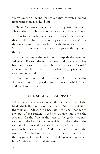you've caught a lifeline that they threw to you. Now the important thing is to hold on!

"Naked" means a complete absence of egoistic intentions. This is why the Kabbalists weren't ashamed of their desires.

Likewise, animals don't need to conceal their actions; they are driven by instincts, not by egoistic desires. Man is the only creature that can blush with shame or needs to "cover" his intentions, for they are egoistic through and through.

But at this time, at the beginning of the path, the separated Adam and Eve (our desires) are naked and uncovered. They have nothing to be ashamed of because they lead a "beastly" existence, run by instincts. This is what living by instincts is called in our world.

They are naked and unashamed, for shame is the discovery of one's opposition to the Creator, which Adam and Eve have yet to realize.

#### **THE SERPENT APPEARS**

"Now the serpent was more subtle than any beast of the field which the Lord God had made. And he said unto the woman: 'Indeed, God has said, 'You shall not eat of any tree of the garden.'' And the woman said unto the serpent: 'Of the fruit of the trees of the garden we may eat; but of the fruit of the tree which is in the midst of the garden, God has said: 'You shall not eat of it, neither shall you touch it, lest you die.'' And the serpent said unto the woman: 'You shall not surely die; for God knows that in the day you eat thereof, your eyes shall open, and you shall be as God, knowing good and evil.'"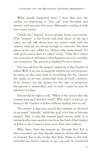What exactly happened here? I trust that you, the reader, are beginning to "feel out" your thoughts and desires, and perceive this story differently, reading it with your inner vision.

Clearly, the "serpent" is your egoistic desire, your nature. (The "serpent" is the fourth and final phase of the ego.) Later, we will talk about how we cannot work with the serpent until we are strong enough to overcome this final phase of the ego, called *Lev HaEven* (the stony heart). It's with good reason that it's called "stony." Only the Creator can overcome it, and that is what happens once we complete our correction. The process is finalized by the Creator.

You may ask how the serpent ended up in the Garden of Eden? Well, if no one is using the serpent for evil purposes, he exists on the same level as everything else the Creator has made, in its true, primordial form as God's creation. If he doesn't use his desires for the sake of reception, his egoism is unrevealed, and in such a state he may be wherever he likes.

You would be right to ask, "What is the reason that the serpent (our ego) revealed itself?" Why didn't it just go on living in the Garden of Eden, without leading man to sin?

The answer is that man would then remain on the level of an angel, "infertile," while the goal is for him to become human! This is why the serpent (ego) reveals itself. It is precisely what man needs to rise from the level of the Garden of Eden to the Creator's level, and of his own volition.

Why, then, does the serpent go through Eve? Eve is that concealed ego that already exists in Adam (the desire to bestow). Eve is the bridge that links Adam to the real, powerful ego (man's nature, as ego can only be connected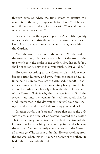through ego). So when the time comes to execute this connection, the serpent appears before Eve: "And he said unto the woman: 'Indeed, God has said, 'You shall not eat of any tree of the garden.''"

Because Eve is the egoistic part of Adam (the quality of bestowal), she resists the serpent because she wishes to keep Adam pure, an angel, so she can stay with him in the Garden.

"And the woman said unto the serpent: 'Of the fruit of the trees of the garden we may eat; but of the fruit of the tree which is in the midst of the garden, God has said: 'You shall not eat of it, neither shall you touch it, lest you die.''"

However, according to the Creator's plan, Adam must become truly human, and grow from the state of *Katnut* (infancy) he is in, to the state of *Gadlut* (adulthood). He will achieve this after finally demonstrating his ego to the full extent, but using it exclusively to benefit others, for the sake of the Creator. This is why the true ego insists: "And the serpent said unto the woman: 'Ye shall not surely die; for God knows that in the day you eat thereof, your eyes shall open, and you shall be as God, knowing good and evil.'"

In other words, our "serpent" insists that this is the only way to actualize a true act of bestowal toward the Creator. That is, carrying out a true act of bestowal toward the Creator involves attaching the whole egoism, and achieving the goal of Creation, namely equivalence with the Creator, all in one go. (The serpent didn't lie. He was speaking from the end goal when this will happen one way or the other. He had only the best intentions.)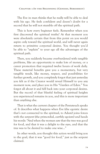The Eve in man thinks that he really will be able to deal with his ego. He feels confident and doesn't doubt for a second that he will not stumble off the spiritual path.

This is how every beginner feels. Remember when you first discovered the spiritual truths? At that moment you were absolutely certain that from this point on you would aspire only toward the spiritual world, and will never again return to primitive corporeal desires. You thought you'd be able to "explain" to your ego all the advantages of the spiritual path.

Then, you suddenly became overburdened with tangible problems, like an opportunity to make lots of money, or a career promotion that required twelve hours of work daily. These material benefits gave you a momentary, but very tangible result, like money, respect, and possibilities for further growth, and you completely forgot that just yesterday you felt as if the Creator would reveal Himself to you any moment now, and place you in His "Garden of Eden." You forgot all about it and fell back into your corporeal desires. But the record of that blissful feeling of spiritual heights you experienced remains in you, and this is more important than anything else.

That is what the current chapter of the Pentateuch speaks of. It describes what happens when Eve (the egoistic desire that's not connected to the spiritual, to Adam) joins forces with the serpent (the primordial, earthly egoism) and heeds his words: "And when the woman saw that the tree was good for food, and that it was a delight to the eyes, and that the tree was to be desired to make one wise…"

In other words, you thought this action would bring you to the goal, that it was "good for food," just as the serpent claimed.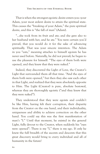That is when the strongest egoistic desire enters you—your Adam, your most ardent desire to attain the spiritual state. This causes the "breaking of your Adam," the pure spiritual desire, and this is "the fall of man" (Adam).

"…she took from its fruit and ate; and she gave also to her husband with her, and he ate." You were certain you'd prevail, that you would do it for the sake of advancing spiritually. That was your sincere intention. The Adam in you "eats," meaning attaches to himself egoism he has never used before. Naturally, he did not prevail; he began to use the pleasure for himself. "The eyes of them both were opened, and they knew that they were naked."

Indeed, they discovered the Light of Love, the Creator's Light that surrounded them all that time. "And the eyes of them both were opened," but then they also saw each other in that Light, and realized that they were absolutely opposite to Him. The Light (Creator) is pure, absolute bestowal, whereas they are thoroughly egoistic ("and they knew that they were naked").

They understood that they were egoists and couldn't be like Him, having felt their corruption, their disparity from the Creator on the one hand, and their individuality, uniqueness and ability to achieve correction on the other hand. You could say this was the first manifestation of man's "I." Until that moment, he existed in the general Light, fully devout to the Creator, when suddenly his "eyes were opened": There is my "I," there is my ego. If only he knew the full breadth of the ascents and descents that this great discovery would bring to every individual and all of humanity in the future!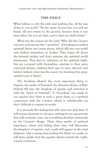# **THE EXILE**

What follows is only the exile and nothing else, all the way down to our world. "By the sweat of your face you will eat bread, till you return to the ground, because from it you were taken; for you are dust, and to dust you shall return."

What was the reason for the exile? Why did the Creator conceive and execute this "operation" of breaking an exalted spiritual desire into many pieces, which fell into our world and clothed themselves in bodies? They forgot all about the fairytale garden and don't perceive the spiritual world whatsoever. They feel no influence of the spiritual Light, but are occupied with themselves, catering to their petty corporeal desires, clashing their egos in wars, discord, and hatred. Indeed, what was the reason for breaking this great, unified soul of Adam?

The breaking allowed the most important thing to happen: the sparks of bestowal, the altruistic desires of Man (Adam) fell into the kingdom of egoism and saturated it with the "spirit of bestowal." A "recording" was made in our egoism that there is such a great thing as a spiritual connection with the Creator, which is unbelievable joy that's difficult to express in words.

It is precisely this feeling that will come into play later. It will remain dormant in our egos, waiting for an opportunity that will certainly come, for everything develops exclusively by the Creator's design. Then, these sparks of spiritual experience, latent and biding their time, will illuminate the kingdom of egoism, and a path will appear in the total darkness. Like a seeing man leading the blind on a path, so will these sparks lead the egoistic desires toward the Light, toward correction.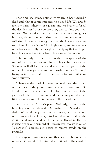That time has come. Humanity realizes it has reached a dead end, that it cannot progress to a good life. We already feel the harm inherent in egoism, and we blame it for all the deadly sins: "…for you are dust, and to dust you shall return." We perceive it as dust from which nothing grows but war, depression, terrorism, and an endless string of suffering. This sensation signifies that the Creator is calling us to Him. He has "shone" His Light on us, and in it we saw ourselves as we really are—a sight so terrifying that we began to seek a way out of our selves. This is called "a prayer."

It is precisely in this situation that the sparks of the soul of the first man awaken in us. They exist in everyone. Soon we will all feel them and realize we are parts of the one soul, one organism, and we'll wish to return "Home," living in unity with all the other souls, for without it we won't survive.

"Therefore the Lord God sent him forth from the garden of Eden, to till the ground from whence he was taken. So He drove out the man; and He placed at the east of the garden of Eden the cherubim, and the flaming sword which turned every way, to keep the way to the tree of life."

So, this is the Creator's plan. Obviously, the act of the breaking was preordained. Otherwise, the "kingdom of darkness" would reign within us forever, and we would never awaken to feel the spiritual world as we crawl on the ground and consume dust like serpents. (Incidentally, this is exactly why our primordial, uncorrected egoism is called "a serpent," because our desire to receive crawls on the ground.)

The serpent cannot rise above this desire (it has no arms or legs; it is bound to the ground and cursed by the Creator,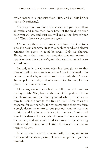which means it is opposite from Him, and all this brings man only suffering).

"Because you have done this, cursed are you more than all cattle, and more than every beast of the field; on your belly you will go, and dust you will eat all the days of your life." This is how we perceive our egoism.

Of course, there aren't any curses from the Creator's side. He never changes; He is the absolute good, and always remains the same—in total bestowal. Only we change. Today, more than ever, we recognize that our nature is opposite from the Creator's, and that egoism has led us to a dead end.

Indeed, it is the Creator who has brought us to this state of futility, for there is no other force in the world—no demons, no devils, no witches—there is only the Creator. To compel us to independently ascend to His level, He has placed us in this situation.

Moreover, on our way back to Him we will need to undergo trials: "He placed at the east of the garden of Eden the cherubim, and the flaming sword which turned every way, to keep the way to the tree of life." These trials are prepared for our benefit, for by overcoming them we form a single desire—to return to our previous state of our own volition, and live in accordance with the law of unity and love. Only then will the angels with swords allow us to enter the garden, and we won't need to return to the suffering of this world. Instead we will attain the Creator's secrets in infinite delight.

Now let us take a brief pause to clarify the text, and try to understand the whole picture. This will simplify our journey onward.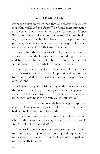#### **ON FREE WILL**

From the above we've learned that one gradually learns to sense this world and the Upper World, and their interaction at the same time. Information descends from the Upper World into ours and manifests as matter. We see physical objects, plants, animals, birds, insects, and people. But if we possess spiritual vision in addition to the corporeal one, we can also sense the forces that govern matter.

It is precisely this perception of reality that everyone must achieve: to sense the Creator behind everything that exists and transpires. We needn't believe it blindly, but actually see and sense it. This is what the book teaches us.

Our reaction to the forces that descend from above as information ascends to the Upper World, where our future is decided, whether it materializes in a good result or a bad one.

Being at the highest spiritual degree, the Creator created the creature from the quality of egoism, which is opposite to Him. He filled the creature with the Light, and then emptied it, thereby lowering it to the state called "our world."

In return, the creature ascends back along the spiritual degrees, thereby meriting pleasures far greater than what it had before its descent into this world.

A question arises: to reach equivalence with its Maker, why did the creature need to experience the worst possible state? Couldn't it be avoided?

The fact is that the creature must have the strength and freedom to act freely in between two opposite qualities: its own ego and the Creator, to freely choose its own path and independently follow it.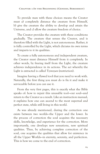To provide man with these choices means the Creator must a) completely distance the creature from Himself, b) give the creature the ability to develop and attain the Universe, and c) allow the creature freedom of choice.

The Creator provides the creature with these conditions gradually. The creature that senses the Creator, and is therefore filled with the Light, is not autonomous. Rather, it is fully controlled by the Light, which dictates its own terms and imparts to it its qualities.

To create a fully autonomous and independent creature, the Creator must distance Himself from it completely. In other words, by freeing itself from the Light, the creature achieves independence in its actions. The act whereby the Light is extracted is called *Tzimtzum* (restriction).

Imagine having a flawed tool that you need to work with. Naturally, the first thing you must do is fix it and make it serviceable before you can use it.

From the very first pages, this is exactly what the Bible speaks of: how to repair this unusable tool—our soul—and return to the Creator as a result. Like an instruction manual, it explains how one can ascend to the most supernal and perfect state, while still living in this world.

As was already mentioned, during the correction one exists between two worlds—the Upper and the lower. In the process of correction the soul acquires the necessary skills, knowledge, and experience for the correction. More importantly, one develops new sensations, new spiritual qualities. Thus, by achieving complete correction of the soul, one acquires the qualities that allow for existence in all the Upper Worlds—in eternity, serenity, and perfection. This is how we come to the end of correction.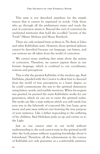This state is not described anywhere for the simple reason that it cannot be expressed in words. Only those who go through all the preliminary states and reach the end of correction attain it. Beyond the end of correction lie uncharted territories that hold the so-called "secrets of the Torah" (*Maase Merkava* and *Maase Beresheet*).

There are only isolated hints at them in *The Book of Zohar* and other Kabbalistic texts. However, those spiritual spheres cannot be described because our language, our letters, and our notions are all taken from the world of correction.

We cannot sense anything that exists above the system of correction. Therefore, we cannot express them in our human language, which is confined to our coordinates, notions and perceptions.

This is why the greatest Kabbalist of the modern age, Baal HaSulam, pleaded with the Creator to allow him to descend from the world of true perceptions to a lower degree, so he could communicate the way to the spiritual dimension using letters, words, and earthly emotions. When his request was granted, he penned the main Kabbalistic works for our generation, which we can use to enter the spiritual realm. His works are like a map without which you will surely lose your way in the labyrinth of corporeal life, lose hope, grow weary and pass away without ever learning the true purpose of your existence. Like a father responding to the suffering of his children, Baal HaSulam picks us up and carries us to the Light.

Just as one cannot exist in our world without understanding it, the soul cannot exist in the spiritual world after the body passes without acquiring knowledge about it beforehand. Therefore, all the achievements in the science of Kabbalah not only guarantee us a comfortable existence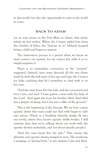in this world, but also the opportunity to exist in the world to come.

# **BACK TO ADAM**

Let us now return to the First Man, to Adam, that desire which we feel within. When the Creator exiled him from the Garden of Eden, the "human in us" (Adam) stopped being a child and began to mature.

The maturation process is a period when we know we must correct our egoism, for we cannot live with it or to simply suppress it.

There is no immediate correction, as the "serpent" suggested. Instead, man must descend all the way down until he feels the full span of his ego and begs the Creator for help, realizing that he's powerless to deal with it on his own.

"And the man knew Eve his wife; and she conceived and bore Cain, and said: 'I have gotten a man with the help of the Lord.' And again she bore his brother Abel. And Abel was a keeper of sheep, but Cain was a tiller of the ground."

This is the beginning of the descent. We see how a great egoistic desire that man could not deal with began to split into pieces. (There is a breaking whereby sparks fly into our world, where they receive egoistic shells—bodies. I will reiterate here that we're talking about our work with the egoistic desires exclusively, and not about specific people.)

"And the man knew Eve his wife." This means the altruistic and egoistic desires merged in man. The result was a merging, or "giving birth," to two desires: Cain and Abel.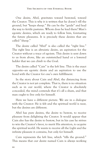One desire, Abel, gravitates toward bestowal, toward the Creator. This is why it is written that he doesn't till the ground, but "keeps sheep." He can be the "guide" and lead the way to fertile pastures. Whom does he lead there? Man's egoistic desires, which are ready to follow him, foretasting the future pleasures. It is precisely these desires that are called "sheep."

The desire called "Abel" is also called the "right line." The right line is an altruistic desire, an aspiration for the Creator without a trace of egoism. This desire is sent down to us from above, like an outstretched hand or a lowered ladder that we can climb to the Goal.

The desire called "Cain" is the left line. This is the exact opposite—an egoistic desire and an aspiration to use the bond with the Creator for one's own fulfillment.

In the story about Cain and Abel, the distancing from the Creator is not yet complete. That is, there is no situation such as in our world, where the Creator is absolutely concealed, the mind contends that it's all a sham, and that man ought to live only for himself.

Here we have a different picture. We are in a dialogue with the Creator: He is felt and the spiritual world is near, but the desires are different.

Abel has pure desires, the desire to bestow, to receive pleasure from delighting the Creator. It would appear that Cain also has the desire to bestow, but in his case he strives to win the Creator's favor, to merit His attention, to acquire the spiritual world. He wants to receive all the Light and the infinite pleasure it contains, but only for himself.

Cain represents the left line, which "tills the ground." This means that our desire named Cain is always working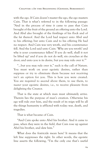with the ego. If Cain doesn't master the ego, the ego masters Cain. That is what's referred to in the following passage: "And in the process of time it came to pass that Cain brought of the fruit of the ground an offering unto the Lord. And Abel also brought of the firstlings of his flock and of the fat thereof. And the Lord had respect unto Abel and to his offering; but unto Cain and to his offering He had no respect. And Cain was very wroth, and his countenance fell. And the Lord said unto Cain: 'Why are you wroth? and why is your countenance fallen? If you do well, shall it not be lifted up? and if you do not do well, sin crouches at the door; and unto you is its desire, but you may rule over it.'"

"…but you may rule over it," such is the call of Nature. You must work on your egoistic desires, rather than suppress or try to eliminate them because not receiving isn't an option for you. This is how you were created. You are required to ascend above them, to use them, to *master* your egoistic desires, i.e., to receive pleasure from delighting the Creator.

That is the state at which man must ultimately arrive. Therein lies the purpose of man's creation. Otherwise his ego will rule over him, and the result of its reign will be all the things humanity is afflicted with today: war, death, and tragedies.

That is what became of Cain.

"And Cain spoke unto Abel his brother. And it came to pass, when they were in the field, that Cain rose up against Abel his brother, and slew him."

What does the fratricide mean here? It means that the left line suppresses the right. In other words, the egoistic line asserts the following, "I'm the only one that's useful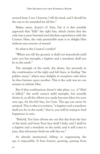around here; I act, I harvest, I till the land, and I should be the one to be rewarded for all this."

Makes sense, doesn't it? Sure, but it is this sensible approach that "kills" the right line, which claims that the only way is pure bestowal and absolute equivalence with the Creator. Here, the only permissible state is to delight Him without any concern of reward.

So what is the Creator's verdict?

"When you till the ground, it shall not henceforth yield unto you her strength; a fugitive and a wanderer shall you be in the earth."

The strength of the earth, the desire, lies precisely in the combination of the right and left lines, in finding "the golden mean," where man delights in reception only when he thus bestows upon another. This is the only way we can remain in infinite bliss.

But if this combination doesn't take place, i.e., if "Abel is killed," the earth cannot yield strength, but actually drains it, as all the efforts you made become labor for your own ego, for the left line, for Cain. The ego can never be satiated. This is why it is written, "a fugitive and a wanderer shall you be in the earth," that is, you will be trying to find happiness in vain.

"Behold, You have driven me out this day from the face of the land; and from Your face shall I hide; and I shall be a fugitive and a wanderer in the earth; and it will come to pass, that whosoever finds me will slay me."

As already mentioned, killing or suppressing the ego is impossible. It lives forever, growing, passing from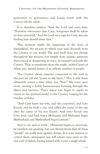generation to generation, and losing touch with the Creator all the while.

It is therefore written: "And the Lord said unto him: 'Therefore whosoever slays Cain, vengeance shall be taken on him sevenfold.' And the Lord set a sign for Cain, lest any finding him should smite him."

This moment marks the beginning of the story of humankind, the process in which your soul descends from the Creator to our world. The soul itself does not change throughout the process, but simply dons egoistic garments that conceal it, dampening its voice, its eternal bond with the Creator. Thus it transforms from the single, unified heart of Adam into myriad points of an infinite number of people.

The Creator always remains connected to the soul in the part we call the "point in the heart." This is why there ultimately comes a time when you "hear" His voice once more, sensing a feeble luminescence bursting through the filters and barriers. That's when you begin to aspire to return to the spiritual world, to the Creator, longing for the Garden of Eden.

"And Cain knew his wife; and she conceived, and bore Enoch; and he built a city, and called the name of the city after the name of his son Enoch. And unto Enoch was born Irad; and Irad begot Mehujael; and Mehujael begot Methushael; and Methushael begot Lamech."

And so on, and so forth… Humanity begins to procreate, its numbers are growing, but you already know that all these "people" are really your egoistic desires. It is your mission to correct them, whereupon you will return once more to the one soul of Adam, having joined with it into a single whole.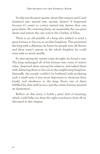So why was the great egoistic desire (the serpent and Cain) shattered into myriad tiny, egoistic desires? It happened because it's easier to correct myriad tiny desires than one great desire. By correcting them, we reassemble the one great desire and restore the one soul in the Garden of Eden.

There is an old parable of a king who wished to send a great fortune to his son in another kingdom. This presented the king with a dilemma: he knew his people were all thieves and there wasn't anyone in the whole kingdom he could trust with so much wealth.

So after giving the matter some thought, he found a way. The king exchanged all of his fortune into coins of minor value, dispersed them among his subjects, and tasked them with delivering them to his son in the neighboring kingdom. Naturally, the people couldn't be bothered with pocketing such a small sum; it was more important to showcase their loyalty and obedience to the king. Every one of them fulfilled his duty with honor, and the entire fortune reached its destination.

Reflect on this story; it holds a great deal of meaning, which could help you draw the right conclusion from all we discussed in this chapter.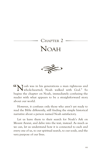# CHAPTER 2 NoAh



"Noah was in his generations a man righteous and whole-hearted; Noah walked with God." So begins the chapter on Noah, immediately confusing the reader with what appears to be a straightforward story about our world.

However, it confuses only those who aren't yet ready to read the Bible differently, still finding the simple historical narrative about a person named Noah satisfactory.

Let us leave them to their search for Noah's Ark on Mount Ararat, and delve into the text, instead. As much as we can, let us understand how it is connected to each and every one of us, to our spiritual search, to our souls, and the very purpose of our lives.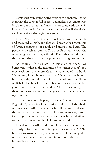Let us start by recounting the topic of this chapter. Having seen that the earth is full of sin, God makes a covenant with Noah to build an ark and take shelter there with his wife, kids, and animals. In the meantime, God will flood the earth, effectively destroying everyone.

Then, Noah is to emerge from his ark with his family and the saved animals, and they will become the progenitors of future generations of people and animals on Earth. The people will wish to build a Tower of Babel and speak the same language, but they will fail. Then, they will disperse throughout the world and stop understanding one another.

Ask yourself, "Where am I in this story of Noah?" Or better yet, "What is the meaning of my inner Noah?" You must seek only one approach to the contents of this book: "Everything I read here is about me." Noah, the righteous, his wife, kids, and all the animals, the ark and the Tower of Babel all exist within me. They are forces, desires that govern my inner and outer worlds. All I have to do is get to them and sense them, and the gates to all the secrets will open for me.

In the previous chapter, *Beresheet* (Genesis, "In the Beginning") we spoke of the creation of the world, the abode of souls. We clarified how, following all the animal desires, the human desire was born, symbolizing man's aspiration for the spiritual world, for the Creator, which then shattered into myriad tiny pieces that fell into our world.

This descent is still continuing. It will continue until we are ready to face our primordial egos, to see our true "I." We have yet to arrive at this point; we must still be prepped to not only see the ego but endure it, and not only endure it, but resolve to escape from it.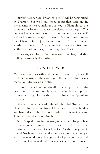Jumping a bit ahead, know that our "I" will be personified by Pharaoh. But we'll talk more about that later on. In the meantime, we're making our way to Pharaoh, to the complete realization that we are slaves to our egos. The descent has only just begun. For the moment, we feel as if we're still close to the spiritual world. We continue to sense the Light—this initial joy from meeting the Creator. In other words, the Creator isn't yet completely concealed from us, so the night of our escape from Egypt hasn't yet arrived.

However, we already feel ourselves as egoists, and this feeling is extremely distressing.

#### **NOAH'S SPARK**

"And God saw the earth, and, behold, it was corrupt; for all flesh had corrupted their way upon the earth." This means that all our desires are egoistic.

However, we still see amidst all that corruption a certain point, miniscule and lonely, which is completely opposite from everything else on the earth. This is the "point in the heart."

At the first egoistic level, this point is called "Noah." The Noah within us is our first spiritual desire. It may be tiny and barely discernible, but we already feel it living inside us. Thus, we have discovered Noah.

Noah's spark lives inside every one of us. The problem is that we've surrounded it with heaps of selfishness that continually drown out its soft voice. As the ego grew, it coated Noah with more and more layers, overwhelming it with incessant desires. The pursuit of pleasure distanced man from Noah, making him coarser and more egoistic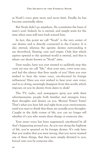as Noah's voice grew more and more faint. Finally, he has become essentially silent.

But Noah didn't go anywhere. He constitutes the basis of man's soul. Indeed, he is eternal, and simply waits for the time when man will turn back toward him.

In fact, this point we call "Noah" is the very center of our desires and is directly connected to the Creator. It is also eternal, whereas the egoistic desires surrounding it are short-lived, fleeting, vain and empty. Only that which aspires upward to the spiritual world is eternal, and that is where our desire known as "Noah" aims.

Dear reader, have you ever wanted to suddenly stop this crazy rat race we call "life," shut your eyes, cover your ears, and feel the silence that lives inside of you? Have you ever wished to hear the inner voice, un-obscured by foreign influences? Have you ever wished to hear your own voice, and in so doing, seemingly disappear from this world, which imposes on you its desires from dawn to dusk?

The TV, radio, and newspapers spray you with their advertisements; people both familiar and strangers force their thoughts and desires on you. Money! Power! Fame! That's what you hear left and right from your environment, until you start to think that these are actually your thoughts. Caught in the daily vortex of life, you can no longer tell whether it's you who wants these things or someone else.

Your inner voice has been suppressed, smothered by all that's happening around you. As you run along the highway of life, you're spurred on by foreign desires. It's only later that you realize that you were wrong, that you never wanted any of these things, that they were simply dictated to you, forced onto you by someone else.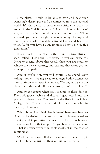How blissful it feels to be able to stop and hear your own, single desire, pure and disconnected from the material world. It's the desire to experience spirituality, which is known in the Old Testament as "Noah." It lives on inside of you, whether you're a president or a mass murderer. When you wade your way through the husk of foreign feelings and thoughts, you will ultimately arrive at Noah and hear the voice: "...for you have I seen righteous before Me in this generation."

If you can hear the Noah within you, this tiny altruistic spark called, "Noah the Righteous," if you can sense the desire to ascend above this world, then you are ready to achieve the peace, security, and eternity that await you on your spiritual path.

And if you're not, you will continue to spend every waking moment slaving away to foreign bodily desires, as they continue to whisper in your ear, "Go on, indulge in the pleasures of this world, live for yourself, don't be an idiot!"

And what happens when you succumb to these desires? The body grows feeble and dies and gets tossed into the ground to decompose. The death of the flesh is inevitable. A pity, isn't it? You work your entire life for the body, but in the end, it betrays you.

What about Noah? Well, Noah doesn't betray you because Noah is the desire of the eternal soul. It is connected to eternity, and if you attach yourself to Noah, you become eternal as well. It's that simple. All you have to do is to want it. That is precisely what the book speaks of in the chapter about Noah.

"And the earth was filled with violence… it was corrupt; for all flesh had corrupted their way upon the earth."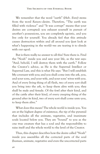We remember that the word "earth" (Heb. *Eretz*) stems from the word *Ratzon*—desire. Therefore, "The earth was filled with violence" and "It was corrupt" means that your desires are corrupted: you exhaust yourself in pursuit of another's possessions, you are completely egoistic, and you live only for yourself. You already feel that this attitude causes destruction within and all around you (just look at what's happening in the world—we are tearing it to shreds with our egos).

But is there really no answer to all this? Sure there is. Find the "Noah" inside you and save your life, as the text says: "And, behold, I will destroy them with the earth." Follow the Creator's advice, as He is the Supernal Intellect or Supernal Law, and this is what He says: "But I will establish My covenant with you; and you shall come into the ark, you, and your sons, and your wife, and your sons' wives with you. And of every living thing of all flesh, two of every sort shall you bring into the ark, to keep them alive with you; they shall be male and female. Of the fowl after their kind, and of the cattle after their kind, of every creeping thing of the ground after its kind, two of every sort shall come unto you, to keep them alive."

What does this mean? The whole world is inside you. You are at the highest degree of existence, the tip of the pyramid that includes all the animate, vegetative, and inanimate souls located below you. They are "bound" to you as the one true creature that has a soul and the responsibility to raise itself and the whole world to the level of the Creator.

Thus, this chapter describes how the desire called "Noah" inside you assembles all the corrected parts of the soul (human, animate, vegetative and even the uncorrected parts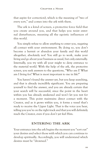that aspire for correction), which is the meaning of "two of every sort," and comes into the ark with them.

The ark is a kind of screen, a protective force field that you create around you, and that helps you resist external disturbances, meaning all the egoistic influences of this world.

You simply refuse to allow anything to enter you, negating all contact with your environment. By doing so, you don't become a hermit or abandon your family and this world altogether, absolutely not! You still go to work, make your living and go about your business as usual, but only externally. Internally, you try with all your might to deny entrance to the material world. With the help of the ark, the protective screen, you seek answers to the questions, "Who am I? What am I living for? What is most important to me in life?"

You haven't found the answer yet, but you keep searching, and that is already incredibly significant. You are preparing yourself to find the answer, and you are already certain that your search will be successful, since the point in the heart within you has already awakened and won't let you rest for a moment. This point maintains direct contact with the Creator, and as it grows within you, it forms a vessel that's ready to receive the Upper Light. That is the voice you hear, telling you you're on the right track and that you will definitely reach the Creator, even if you don't yet feel Him.

## **ENTERING THE ARK**

Your entrance into the ark begins the moment you "sort out" your desires and select those with which you can continue to develop spiritually. Accordingly, you will understand which desires must be "drowned."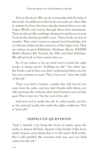How is this done? We can do it primarily with the help of the books. In addition to this book, you seek out others like it, written by those who have already attained their root, the Upper World, and convey through them their attainment. These books are like roadmaps designed to guide you to your Goal via the shortest possible route. These books are few in number. They aren't meant to expand your knowledge, but to cultivate within you the sensation of the Upper One. They are written by great Kabbalists: Abraham, Moses, RASHBI (Rabbi Shimon Bar Yochai), the ARI, and Baal HaSulam. We will get back to these names later on.

So, if you refuse to let up until you've found the right books, it means you're "building an ark." You delve into the books, and at first, you don't understand them one bit, but you continue to read. This is how you "erect the walls of the ark."

Then, you find a teacher, a guide who will not let you stray from the path, and you find friends with whom you will overcome the obstacles that stand between you and the goal. This is how you "lay the roof of the ark."

And now you're inside the ark. In other words, you live in the material world, but under the right conditions. This is "your ark."

## **DIFFICULT QUESTIONS**

"And I, behold, I do bring the flood of waters upon the earth, to destroy all flesh, wherein is the breath of life, from under heaven; every thing that is in the earth shall perish. But I will establish My covenant with you; and you shall come into the ark."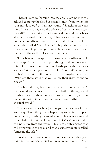There it is again: "coming into the ark." Coming into the ark and escaping the flood is possible only if you switch off your mind, as odd as that may sound. "Switching off your mind" means you ignore the advice of the body, your ego. It's a difficult condition, but it can be done, and many have already traversed this journey. They wrote the authentic books about discovering the true, exalted force of love, which they called "the Creator." They also wrote that the tiniest grain of spiritual pleasure is billions of times greater than all of the earthly pleasures combined.

So, achieving the spiritual pleasure is possible only if you escape from the iron grip of the ego and conquer your mind. Of course, your mind bombards you with questions such as, "What are you doing this for?" and "What are you really getting out of it?" "Where are the tangible benefits?" "Who are these sages that you follow their instructions so closely?"

You hear all this, but your response to your mind is, "I understand your concerns but I have faith in the sages and in what I read in these books. I have faith in the path I'm on because without faith you cannot achieve anything in the spiritual world."

You respond to each objection your body raises in the same way: "Everything that's happening to me is the Upper Force's mercy, leading me to salvation. This mercy is indeed concealed, but I am walking toward it *despite* my mind. I will not stray from the path." This is the only answer that will bring you to the goal, and that is exactly the state called "entering the ark."

I realize that I have confused you, dear reader, that your mind is rebelling against such oppression, screaming, "Don't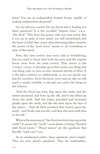listen! You are an independent human being, capable of making independent decisions!"

Let me tell you a secret. Do you know who's feeding you these questions? It is the so-called "impure force," a.k.a., "the devil." This force has power only over your mind. But if you act in spite of your mind, you will immediately feel the kind of relief that comes after exhausting labor, because the power of the "pure force" means to do something in spite of the mind.

Now, this next notion may seem odd or bewildering, but you need to know that both the pure and the impure forces stem from the same source. That source is the Creator, a force of absolute good that wants one thing and one thing only: to turn us into creatures worthy of Him. It is He who confuses us, deliberately, so we can decide our fate for ourselves. Every decision, every step we take we will need to weigh carefully, as though our entire life hangs in the balance.

"And the flood was forty days upon the earth; and the waters increased, and bore up the ark, and it was lifted up above the earth. And the waters prevailed and increased greatly upon the earth; and the ark went upon the face of the waters. …And all flesh perished that moved upon the earth… and Noah only was left, and they that were with him in the ark."

What is the meaning of, "the flood was forty days upon the earth"? It means the "earth"—your desire—is being "flooded with flood waters." "Flood waters" are the questions that literally "wash over" you.

As we mentioned earlier, these questions aren't simple. They are your mind's questions. They are materialistic,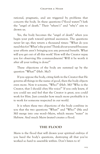rational, pragmatic, and are triggered by problems that concern the body. In these questions ("flood waters") lurk the "angel of death." Their "where's" and "why's" aim to drown us.

Yes, the body becomes the "angel of death" when you begin your path toward spiritual ascension. The questions never let up; they return a thousand times: "What do you need this for? What's the point? Think about yourself because your efforts aren't bringing you any personal benefit. What will you get out of all this work? How will the Creator repay you for observing His commandments? Will it be worth it after all your toiling is done?"

These objections of the body are summed up by the question "What?" (Heb. *Ma*?)

If you oppose the body, citing faith in the Creator that He governs all things in the name of good, then the body objects even more. Now it screams, "Who?" (Heb. *Mi*) "Who is the Creator, that I should obey His voice?" If you only knew, if you could see and feel that the Creator is great, you could work for Him. Just consider how much more profitable it is to work for someone respected in our world.

It is when these two objections of the body combine in you that the two questions "What?" and "Who?" (*Ma* and *Mi*) merge into one word—*Maim*, which means "water" in Hebrew. And much *Maim* (water) creates a flood.

## **THE FLOOD**

*Maim* is the flood that will drown your spiritual embryo if you heed the body's questions, destroying all that you've worked so hard to assemble within. Don't listen to it!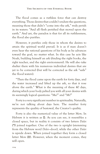The flood comes as a ruthless force that can destroy everything. Those desires that couldn't endure the questions, meaning those that didn't "come into the ark," truly perish in its waters: "And all flesh perished that moved upon the earth." And yet, the paradox is that for all its ruthlessness, the flood also purifies.

However, it purifies only those in whom the desires to attain the spiritual world prevail. It is as if man doesn't even hear the rational questions of his body as he advances toward the goal, no matter what. In this case he acts like Noah, building himself an ark (finding the right books, the right teacher, and the right environment). He will also take shelter there with his numerous individual desires that are yet to be corrected (but will be corrected as the ark "sails" the flood waters).

"Then the flood came upon the earth for forty days, and the water increased and lifted up the ark, so that it rose above the earth." What is the meaning of these 40 days, during which your body pelted you with all your desires with its seemingly logical questions: "*Ma*?" and "*Mi*?"

Forty is a very significant number in spirituality. Naturally, we're not talking about days here. The number forty represents the quality of bestowal, the Creator's quality.

Forty is also the numerical value of the letter *Mem*. In Hebrew it is written as  $\square$ . As you can see, it resembles a closed space, but in reality it consists of two letters *Dalet* (T) joined together. One of the two is upright (stemming from the Hebrew word *Delet*—door), while the other *Dalet* is upside down. When joined together they form a closed letter *Mem* (ם). However, when the moment comes, they will open.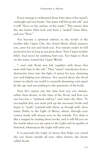If you manage to withstand those forty days of the mind's onslaught and not break, "the water will lift up the ark" and it will "float on the surface of the water." This means that the two letters *Dalet* lock and form a "sealed" letter *Mem*, and you "float."

You become a spiritual embryo in the womb of the mother (the Upper One, the closed *Mem*), which protects you, cares for you and feeds you. You remain under its full protection for as long as you grow there. Your Upper mother (Heb. *Ima*) won't let anything hurt you. You begin to float on the water, toward the Upper World.

"…and only Noah was left, together with those that were with him in the ark." Thus "water" transforms from a destructive force into the light of mercy for you, cleansing you and helping you advance. You ascend above the flood waters in which our world is currently drowning, torn apart by the ego and succumbing to the questions of the body.

Now let's repeat one last time how you can cleanse, rather than drown, in the time of the flood, and how you can become a "spiritual embryo" and enter the *Mem*. To accomplish this, you must pick up the necessary books and begin to "wash" yourself with them, as though with clean water. Bathe in the Light of Mercy, which, through your correct study, will cleanse you on the outside. You draw it like a magnet by reading these books, and it will fill you on the inside when you are open to the Light and its quality of bestowal, whereupon the Light will enter you.

It is precisely the Light of mercy that helps you reveal the one desire amidst all your other desires, the desire called Noah.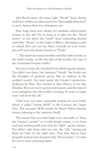Like flood waters, the same Light "floods" those desires and forces within you that need to be "thoroughly drenched" so as to cleanse them for subsequent use.

How long must your desires for spiritual advancement remain in the ark? For as long as it takes for the "flood waters" to rise above the "earth" (your remaining desires) until they "drown" in the Light of Mercy, cleansing to such an extent that you can use them correctly for your inner, personal and only desire, known as "Noah."

"…The water decreased steadily until the tenth month; in the tenth month, on the first day of the month, the tops of the mountains became visible."

You were in the ark, detached from all the egoistic desires. You didn't use them, but remained "inside" the books and the thoughts of spiritual ascent, like an embryo in the mother's womb. You were under the Creator's protection, sheltered by Him. You reveled in that silence; it was like Paradise. But now you're grown and mature, and the time of your emergence into the world is nearing. It's time to begin your "exit from the ark."

Until now, you were constantly praying for your birth, which is called "raising *MAN*" to the Creator, the Upper One. The acronym *MAN* stands for *Mayin Nukvin* (female waters, referring to the amniotic fluid).

This means that you must begin your own path, to "leave the Creator's womb," as if with female waters, to be born and start working with your thus far "light" egoistic desires. You didn't take them with you into the "ark," having put them on hold for the right time. Now that they've been properly washed and cleansed with "flood waters," it's time for you to start correcting them.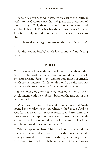In doing so you become increasingly closer to the spiritual world, to the Creator, since the end goal is the correction of the entire ego. Only then will you feel free, immortal, and absolutely blissful. This is what the Creator wants for you. This is the only condition under which you can be close to Him.

You have already begun traversing this path. Now don't stop!

So, the "waters break," much like amniotic fluid during labor.

# **BIRTH**

"And the waters decreased continually until the tenth month." And then the "earth appears," meaning you draw to yourself the first egoistic desires, the lightest and most superficial, which are mountains. "In the tenth month, on the first day of the month, were the tops of the mountains are seen."

(Here they are, after the nine months of intrauterine development, with the embryo's birth on the first day of the tenth month.)

"And it came to pass at the end of forty days, that Noah opened the window of the ark which he had made. And he sent forth a raven, and it went forth to and fro, until the waters were dried up from off the earth. And he sent forth a dove… But the dove found no rest for the sole of her foot, and she returned unto him to the ark."

What's happening here? Think back to what you did the moment you were disconnected from the material world, having returned to it afterward with a specific program of correction. You took the light egoistic desires, known as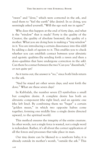"raven" and "dove," which were corrected in the ark, and used them to "feel the earth" (the desire). In so doing, you seemingly asked yourself, "Will the ego suck me in again?"

Why does this happen at the end of forty days, and what is the "window" that is made? Forty is the quality of the Creator, the quality of absolute bestowal, the quality of a mother. What you are doing here is making a "tiny window" in it. You are introducing a certain dissonance into this idyll by adding a dash of egoism to it. This enables you to check whether you can establish contact between your altruistic and egoistic qualities (by sending forth a raven and then a dove—qualities that have undergone correction in the ark). Can there be contact between the two? Can you "disembark," or not quite yet?

As it turns out, the answer is "no," since both birds return to the ark.

"And he stayed yet other seven days; and sent forth the dove." What are these seven days?

In Kabbalah, the number seven (7) symbolizes a small but complete desire. A complete desire has both an altruistic component (the right line), and an egoistic one (the left line). By combining them we "beget" a certain "golden mean," in which two opposite halves come together, forming one middle line: a single desire directed upward, to the spiritual world.

This method ensures the integrity of the entire creature. In other words, not a single force is wasted, not a single word is redundant. Rather, it's all about the correct application of all the forces and processes that take place in man.

Our tiny desire can be likened to a newborn baby; it is already outside its mother's womb, "outside the ark." This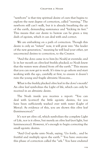"newborn" is that tiny spiritual desire of ours that begins to explore the next degree of correction, called "nursing." The newborn still can't walk, but it is already breathing the air of the earth, demanding sustenance and "kicking its feet." This means that our desire to bestow can be given a tiny dash of egoism, which it can deal with and correct.

We are embarking on a path of correction. Though this desire is only an "infant" now, it will grow into "the leader of the new generation," meaning he will lead your other, yet uncorrected desires to correction, to the Creator.

"And the dove came in to him [to Noah] at eventide; and lo in her mouth an olive-leaf freshly plucked; so Noah knew that the waters were abated from off the earth." This means that you can now get to work. It's time to go ashore and start working with the ego, carefully at first, to ensure it doesn't ruin the young and fragile altruistic blossoms…

What is the freshly plucked olive leaf in the dove's mouth? An olive leaf symbolizes the Light of life, which can only be received in an altruistic desire.

The Noah inside you receives a report: "You can deal with (correct) the little egoistic desires, for you have been sufficiently washed over with water (Light of Mercy). As evidence of this, you are shown this olive leaf (luminescence)."

It's not yet olive oil, which symbolizes the complete Light of Life, nor is it olives, but merely an olive leaf (not light, but luminescence). However, it's enough to begin correcting the small egoistic desires.

"And God spoke unto Noah, saying, 'Go forth… and be fruitful and multiply upon the earth.'" You have overcome this phase of correction called the "ark." You have endured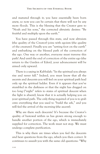and matured through it; you have essentially been born anew, so now you can be certain that there will not be any more floods. This is the blessing that the Creator gave to "Noah and his sons," the corrected altruistic desires: "Be fruitful and multiply upon the earth."

You have passed through this state, and now altruism (the quality of the Creator) joins with egoism (the quality of the creature). Finally you are "setting foot on the earth" and embarking on the blessed path of the correction of the ego. One way or another, everyone must traverse this path! And until the end of correction of the entire ego (the return to the Garden of Eden), your advancement will be aimed only upward.

There is a saying in Kabbalah: "In the spiritual you always rise and never fall." Indeed, you must know that all the ascents and descents you will feel on your spiritual path lead only up the spiritual ladder. Even if it appears that you've stumbled in the darkness or that the night has dragged on too long ("night" refers to states of spiritual descent when the light is absent), know that it is actually helping you on your spiritual path. The only thing required of you is to grab onto everything that you used to "build the ark," and you will feel the arrival of the morning (the ascent).

Why are there such descents? It's because the Creator's quality of bestowal within us has grown strong enough to handle another portion of the ego, which is immediately supplied for correction. The work must not stop. We must undergo complete purification.

This is why there are times when you feel the descents and hear questions from the ego, which you then correct. It continues to assault you with the same old questions: "Why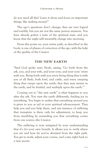do you need all this? Leave it alone and focus on important things, like making money!"

The ego's questions don't change; they are very logical and earthly, but you are not the same person anymore. You have already gotten a taste of the spiritual state, and you know that the night will invariably change into morning.

From this point on, your entire path, as described in the book, is one of phases of correction of the ego, with the help of the quality of the Creator.

#### **THE NEW EARTH**

"And God spoke unto Noah, saying, 'Go forth from the ark, you, and your wife, and your sons, and your sons' wives with you. Bring forth with you every living thing that is with you of all flesh, both fowl, and cattle, and every creeping thing that creeps upon the earth; that they may swarm in the earth, and be fruitful, and multiply upon the earth.'"

Coming out to "the new earth" is what happens to you after the ark. You view the earth differently, finding joy in everything. You begin to realize that everything around you is given to you as aid in your spiritual advancement. They help you and you help them, and any instance of suffering that transpires is there only for adjustment, to keep you from stumbling by reminding you that everything comes from one source—the Creator.

The suffering is now mitigated by your understanding that it's for your own benefit. It allows you to verify where you are and how far you've deviated from the right path. You get to work, adjust your course, and come right back to a new ascent.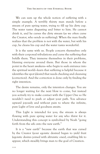We can sum up the whole notion of suffering with a simple example. A terribly thirsty man stands before a stream of pure spring water, trying to fill up his dirty cup. The water tastes disgusting and bitter to him. He cannot drink it, and he curses the dirty stream (as we often curse the Creator, who sends us suffering). When the man finally realizes that the problem is not with the water, but with his cup, he cleans his cup and the water tastes wonderful.

It is the same with us. People concern themselves only with their corporeal tribulations and curse the suffering that befalls them. They immerse themselves in their problems, blaming everyone around them. But those in whom the point in the heart awakens—who begin to seek entrance into the spiritual world—learn that suffering is helpful because it identifies the spot (desire) that needs checking and cleansing (correction). And the correction is done only by finding the right intention.

The desire remains, only the intention changes. You are no longer waiting for the next blow to come, but instead you actively try to make contact with the Upper One so He wouldn't need to push or adjust your path. You advance upward joyously and without pain to where the infinite, pure Light of love and goodness awaits.

This Light is intended for you; the stream is always flowing with pure spring water for any who thirst for it. Understanding this concept is symbolized by Noah "going forth from the ark onto the new earth."

It is a "new earth" because the earth that was cursed by the Creator (your egoistic desires) began to yield fruit (egoistic desires joined with altruistic ones), enabling life to appear, which steadily brings man to the goal of Creation.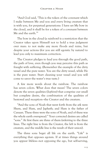"And God said, 'This is the token of the covenant which I make between Me and you and every living creature that is with you, for perpetual generations: I have set My bow in the cloud, and it shall be for a token of a covenant between Me and the earth.'"

The bow in the cloud (a rainbow) is a restriction that the Creator takes upon Himself not to hold a true judgment over man: to not make any more floods and ruins, but despite your actions (for you are still egoistic by nature) to lead you only to maximum correction.

The Creator pledges to lead you through the good path, the path of love, even though you may perceive this path as fraught with suffering. (Remember the example of the dirty vessel and the pure water. You are the dirty vessel, while He is the pure water. Start cleaning your vessel and you will come to savor the water's true taste.)

A few more words about the rainbow. The rainbow has seven colors. What does that mean? The seven colors denote the seven qualities (*Sephirot*) that comprise our small but complete desire, the combination of the qualities of bestowal and reception—the Creator and the creature.

"And the sons of Noah that went forth from the ark were Shem, and Ham, and Japheth; and Ham is the father of Canaan. These three were the sons of Noah, and of these was the whole earth overspread." Your corrected desires are called "sons." At first there are three of them (referring to the three lines. The right line is from the Creator, the left is from the creature, and the middle line is the result of their union).

The three sons beget all life on the earth. "Life" is everything that opposes egoism. If at times things around you appear lifeless—not opposing the ego, but self-serving,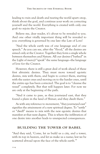leading to ruin and death and tearing the world apart—stop, think about the goal, and continue your work on correcting yourself and the world. Everything is created with only one goal—to rejoin the Creator.

Believe me, dear reader, it's about to be revealed to you. And one other vitally important thing will be revealed to you: everything is governed by one law—the Law of Love!

"And the whole earth was of one language and of one speech." As you can see, after the "flood," all the desires are aimed only at the Creator. Together they form a single whole between themselves and Nature. All our desires ("bathed" in the Light of mercy) "speak" the same language—the language of love for the Creator.

However, there is still a great deal of work ahead of these first altruistic desires. They must move toward egoistic desires, mix with them, and begin to correct them, starting with the easier ones and moving on to the harder ones, until the entire ego has been corrected. The goal is to "cleanse the vessel" completely. But that will happen later. For now we are only at the beginning of the path.

"And it came to pass, as they journeyed east, that they found a plain in the land of Shinar; and they dwelt there."

As with any reference to movement, "they journeyed east" signifies the attainment of a new spiritual degree. To "settle" or "dwell" means to mix with the new egoistic desires that manifest at that next degree. This is where the infiltration of one desire into another leads to unexpected consequences.

#### **BUILDING THE TOWER OF BABEL**

"And they said, 'Come, let us build us a city, and a tower, with its top in heaven, and let us make us a name; lest we be scattered abroad upon the face of the whole earth.'"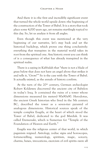And there it is—the first and incredibly significant event that turned the whole world upside down—the beginning of the construction of the Tower of Babel. It is a story that took place some 4,000 years ago, yet remains startlingly topical to this day. So, let us analyze it from all angles.

Even though this event was mentioned at the very beginning of our narrative, let's step back and set the historical backdrop, which proves one thing conclusively: everything that transpires in the material world takes its root from the spiritual one. Any historic event you can think of is a consequence of what has already transpired in the spiritual realm.

There is a saying in Kabbalah that "there is not a blade of grass below that does not have an angel above that strikes it and tells it, 'Grow!'" So is the case with the Tower of Babel. It actually existed, as the annals of history confirm.

At the turn of the  $20<sup>th</sup>$  century, German archeologist Robert Koldewey discovered the ancient city of Babylon in today's Iraq. It contained the ruins of a tower whose dimensions measured (in meters) 90x90x90. Herodotus, the ancient Greek historian who lived in the 5th century BC, described the tower as a seven-tier pyramid of analogous dimensions. Historical sources speak of the temple complex Esagila, at the heart of which stood the Tower of Babel, dedicated to the god Marduk. It was called Etemenaki, which is Sumerian for "Temple of the Foundation of Heaven and Earth."

Esagila was the religious center of that world, in which paganism reigned. Astrology, zodiac signs and horoscopes, fortune-telling, numerology, spiritism, magic, sorcery, charms, hexes, invocations, exorcism of evil spirits—were all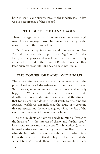born in Esagila and survive through the modern age. Today, we see a resurgence of these beliefs.

### **THE BIRTH OF LANGUAGES**

There is a hypothesis that Indo-European languages originated from a language spoken by humanity at the age of the construction of the Tower of Babel.

Dr. Russell Gray from Auckland University in New Zealand calculated the approximate "age" of 87 Indo-European languages and concluded that they most likely arose in the period of the Tower of Babel, from which they later migrated west into Europe and east into India.

#### **THE TOWER OF BABEL WITHIN US**

The above findings are actually hypotheses about the physical evidence of the existence of the Tower of Babel. We, however, are more interested in the roots of what really happened. We strive to understand the cause, correlate it with our inner world, and make sure that the division that took place then doesn't repeat itself. By attaining the spiritual worlds we can influence the cause of everything that transpires, and thereby change our fate, the fate of the world, and the fate of humanity as a whole.

So the residents of Babylon decide to build a "tower to the heavens." In the interest of clarity and further proof, let us refer to the words of the oral Torah (Midrash), which is based entirely on interpreting the written Torah. This is what the Midrash tells us on the subject: The Babylonians knew the story of the flood. They lived in fear that the same fate might befall them. Thus, they sought a place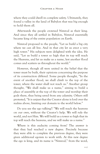where they could dwell in complete safety. Ultimately, they found a valley in the land of Babylon that was big enough to hold them all.

Afterwards the people crowned Nimrod as their king. And since they all settled in Babylon, Nimrod essentially became king of the entire population on Earth.

Nimrod proposed to the people, "Let us build a big city where we can all live. And in that city let us erect a very high tower." His subjects were delighted with the idea. He said, "Let us build a tower so high that its top will reach the Heavens, and let us make us a name, lest another flood comes and scatters us throughout the world."

However, though all were united in the belief that the tower must be built, their opinions concerning the purpose of its construction differed. Some people thought, "In the event of another flood, we shall climb to the top of the tower, where the water shall not reach us." Another group thought, "We shall make us a name," aiming to build a place of assembly at the top of the tower and worship their gods there, thus being saved from any calamity. Others still protested, "It is unjust that the Creator alone is lord over the realms above, limiting our domain to the world below."

Do you see the ego talking?! "We will reach the heavens on our own, without the Creator's help. We will rule the world, and not Him. We will build us a tower so high that its top will reach the heavens, and we will make us a name."

Where is this audacity coming from? The answer is that they had reached a new degree. Precisely because they were able to complete the previous degree, they were given additional egoism to work with. At this new degree the ego is king, and its name is "Nimrod," from the word,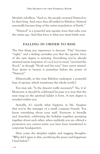*Meridah*—rebellion. "And so, the people crowned Nimrod to be their king. And since they all settled in Babylon, Nimrod essentially became king of the entire population of Earth."

"Nimrod" is a powerful new egoistic force that rules over the entire ego. And that force is what you must battle now.

# **FALLING IN ORDER TO RISE**

The first thing you experience is descent. "Day" becomes "night," and a feeling overtakes you that the egoistic force of the new degree is winning. Everything you've already attained seems forgotten: it's as if you've never "survived the flood," as though "Noah and his sons" have never existed. Your desire to bestow is powerless before the power of "Nimrod."

(Historically, at this time Babylon undergoes a powerful leap of egoism, which transforms the whole world.)

You may ask, "Is the descent really necessary?" Yes, it is! Moreover, it should be celebrated because it is now that the next rung on the spiritual ladder is born. A new degree is revealed within you.

Actually, it's exactly what happens in life. Imagine that you're the manager of a small company branch. You know everything about your staff. Everyone is friendly and close-knit, celebrating the holidays together, gossiping together about each other, when suddenly you are offered a promotion you cannot resist: you have been transferred to corporate headquarters.

Here come the sleepless nights and nagging thoughts: "Why did I agree to this, sacrificing the peace and happiness I had before?"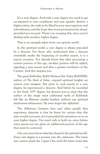It's a new degree. And with a new degree you need to get accustomed to new conditions and new egoistic desires: a higher salary, the wish to be liked by your new superiors and subordinates, and the hope that more promotions lie ahead, provided you succeed. There's no escaping this, since you're dealing with another, higher degree.

That is an example taken from our egoistic world.

In the spiritual world, a new degree is always preceded by a descent. For those who understand that a descent essentially marks the beginning of another ascent, it is a joyous occasion. You already know that after processing a certain portion of the ego, another portion will be added, signaling a new ascent and thus a greater revelation of the Creator. And this inspires you.

The great Kabbalist, Rabbi Shimon Bar Yohai (RASHBI), author of *The Book of Zohar*, enjoyed spiritual heights we cannot even imagine. But prior to each ascent to a new degree, he experienced a descent. And before he ascended to the final, 125th degree, his descent was so deep that the author of the single most celebrated work of Kabbalah felt like an illiterate market hawker, without any spiritual attainment whatsoever. He even forgot the alphabet!

The difference between him and other people that experience descents is that he knew for certain that this state would soon pass, for it preceded his transition on to an even higher degree. You need only to hold on, since before every ascent you are given an additional portion of the ego that must be corrected.

One can never know what lies ahead in the spiritual world. Every new degree is a journey into the unknown. The lower one cannot attain the Upper One until the latter raises him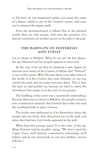to His level. As was mentioned earlier, you attain the name of a degree, which is one of the Creator's names, only once you've attained the degree itself.

From the aforementioned, it follows that in the spiritual worlds there are only ascents. And even the sensation of a descent constitutes yet another ascent on the path to the goal.

## **THE BABYLON OF YESTERDAY AND TODAY**

Let us return to Babylon. What do we see? At first glance, the ego (Nimrod and his people) appears to have won.

By the way, if we say that by attaining a new degree we discover new names of the Creator, it follows that "Nimrod" is one of His names. Why? Because there is no other force in the world. It is the Creator who puts obstacles on our way toward the goal, and we must overcome them. This is how He rears us and purifies us, because we need to merit the abundance that awaits us at the end of our journey.

The building of the tower was a mammoth undertaking. Because there was no stone in Babylon, the people created a new construction material: they burned clay in fire and used the resulting bricks in place of stone.

The bricks were fashioned as if by themselves: when the people laid one brick, they discovered two in the wall, and when they laid two, four bricks appeared in the wall.

What does this passage mean? It is the voice of the ego (King Nimrod and his people), saying, "We don't need the Upper Force, we'll develop construction technology, we'll believe only in our own hands, in our own intellect, and we will win."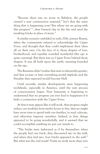"Because there was no stone in Babylon, the people created a new construction material." Isn't that the same thing that is happening now? But where are we going with this progress? "…they burned clay in the fire and used the resulting bricks in place of stone."

A similar scenario unfolded in early 20th century Russia, when the communists refused to acknowledge the Upper Force, and thought that they could implement their ideas all on their own. On the face of it, those slogans of love, brotherhood, and equality sounded wonderful (the ego is quite cunning). But there was no Upper Force behind those slogans. It was all built upon the earth, meaning founded on the ego.

The Russians didn't realize that man is inherently egoistic, and that sooner or later everything would implode and the Paradise they expected would become Hell.

Until recently, similar developments were happening worldwide, especially in America, until the new process of consciousness began. Now humanity is beginning to understand that no progress can ever lead to happiness if it lacks a connection with the Upper Force.

At first it may appear like it will work, that progress might reduce our workday from twelve hours to five, that we might have more time to spend with our families, to read, educate, and otherwise improve ourselves. Indeed, at first, things appeared to be going wonderfully, and it seemed that we could accomplish anything we put our minds to.

"The bricks were fashioned as if by themselves: when the people laid one brick, they discovered two in the wall, and when they laid two, four bricks appeared in the wall." But what was the end result? Today we work more than ever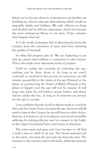before; we've become slaves to corporations; our families are breaking up, divorce rates are skyrocketing, which results in miserable adults and children. We seek oblivion in drugs and alcohol and we fall into depression, which has become the most widespread illness of our time. Truly, cavemen were happier than we!

It is the result of progress that is disconnected from the Creator, from the correction of man, and from achieving the quality of bestowal.

So what did progress give us? We are beginning to see that we cannot exist without a connection to the Creator. This is the single most important result of progress.

Until we realize the necessity of correcting the ego, nothing can be done about it. As long as we aren't corrected or involved in the process of correction, we will remain susceptible to the tricks of the ego (Nimrod at the phase of constructing the Tower of Babel, Pharaoh at the phase of Egypt), and the ego will not be denied. It will wage war, push the red button, accept bribes, and throw anyone under the bus, as long as its interests are served, for the ego is corrupt.

I am confident that the world is almost ready to conclude that only the Upper Force can tame the ego. Soon we will all need to turn to the Creator, for we will have no other choice. And yet, it is better to do it in advance and avoid incredible suffering by realizing that we need to connect to the Light, to the Upper Governing Force, and secure its direction.

The tower grew and grew, and soon became so tall that it took a year to climb to its top. Two broad staircases led to the tower, one from the east and one from the west. The staircase to the east was used to lift loads, while the staircase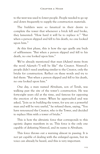to the west was used to lower people. People needed to go up and down frequently to supply the construction materials.

The builders were so fanatical in their desire to complete the tower that whenever a brick fell and broke, they lamented: "How hard it will be to replace it." "But when a person slipped and fell to his death, no one looked upon him."

At this first phase, this is how the ego quells any buds of selflessness: "But when a person slipped and fell to his death, no one looked upon him."

We've already mentioned that man (Adam) stems from the word *Adameh*—"I will be like" the Creator. Nimrod's people didn't need anything similar to the Creator, only the bricks for construction. Reflect on these words and try to feel them: "But when a person slipped and fell to his death, no one looked upon him."

One day, a man named Abraham, son of Terah, was walking past the site of the tower's construction. He was forty-eight years old at the time, and famous for opposing the erection of the tower. When he approached and was asked, "Join us in building the tower, for you are a powerful man and will be very useful," he refused them, saying, "You have renounced the Creator, who is the Tower, and decided to replace Him with a tower of bricks."

This is how the altruistic force that corresponds to this egoistic degree manifests in us. This force is the only one capable of defeating Nimrod, and its name is Abraham.

This force throws out a warning almost in passing. It is not yet capable of dealing with the enlarged egoism, but its voice can already be heard, and this is very important.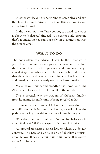In other words, you are beginning to come alive and exit the state of descent. Armed with new altruistic powers, you are getting to work.

In the meantime, the affair is coming to a head—the tower is about to "collapse." (Indeed, you cannot build anything that's founded on egoism, but only on a connection with the Upper One.)

#### **WHAT TO DO**

The book offers this advice: "Listen to the Abraham in you." Find him amidst the egoistic madness and give him the freedom to act. Let the ego squeal and resist any changes aimed at spiritual advancement, but it must be understood that there is no other way. Everything else has been tried and tested, and we can clearly see that it hasn't worked.

Make up your mind, and everything will work out. The Abraham of today will reveal himself to the world.

This is precisely why the wisdom of Kabbalah, hidden from humanity for millennia, is being revealed today.

If humanity listens, we will follow the constructive path of unification with Nature. If it doesn't, we will follow the path of suffering. But either way, we will reach the goal.

What does it mean to unite with Nature? Kabbalists wrote about it almost 4,000 years ago in *The Book of Creation*.

All around us exists a single law, to which we do not conform. The Law of Nature is one of absolute altruism, absolute love. It acts all around us in full force. It is known as the Creator's Law.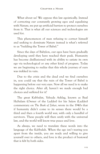What about us? We oppose this law egoistically. Instead of correcting our constantly growing egos and equalizing with Nature, we put up artificial barriers to protect ourselves from it. That is what all our sciences and technologies are used for.

This phenomenon of man refusing to correct himself and seeking to dominate Nature instead is what's referred to as "building the Tower of Babel."

Since the days of Babylon, our egos have been gradually developing until they have reached their peak. Humanity has become disillusioned with its ability to satiate its own ego via technological or any other kind of progress. Today we are beginning to realize that this whole journey of ours was trekked in vain.

Due to the crisis and the dead end we find ourselves in, you could say that the ruin of the Tower of Babel is happening before our very eyes. Now all we need is to make the right choice. After all, haven't we made enough bad choices and suffered for it?

The great Kabbalist, Yehuda Ashlag, known as Baal HaSulam (Owner of the Ladder) for his *Sulam* (Ladder) commentary on *The Book of Zohar*, wrote in the 1940s that if humanity didn't come to its senses there would be a third and then a fourth world war, with only a handful of survivors. These people will then unify with the universal law, and the world will know true peace and love.

As always, we need to translate these words into the language of the Kabbalah. When the ego isn't tearing you apart from the inside, you are ready and willing to give yourself over to others, and love is the product of bestowal that is felt by both sides.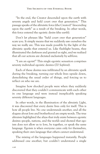"In the end, the Creator descended upon the earth with seventy angels and held court over that generation." This passage speaks of the altruistic force (the Creator) "descending upon the earth" as a result of the breaking. In other words, this force entered the egoistic desire (the earth).

Don't let phrases like "held court over that generation" scare you. It simply means that we suddenly saw ourselves the way we really are. This was made possible by the light of the altruistic sparks that entered us. Like flashlight beams, they illuminated the darkness and granted us sight, and we realized that all our actions are dictated exclusively by self-love.

"I am an egoist!" This single egoistic sensation comprises seventy individual egoistic desires (70 *Sephirot*).

Each of these desires was infiltrated by an altruistic spark during the breaking, turning our whole lives upside down, demolishing the usual order of things, and forcing us to reflect on who we are.

Imagine how shocked people were when they suddenly discovered that they couldn't communicate with each other in one language and were instead inexplicably speaking seventy different languages.

In other words, in the illumination of the altruistic Light, it was discovered that every desire lives only for itself. This is how all people live. No one understands another, and all the slogans about love and brotherhood are empty words. The true altruism highlighted the abyss that truly exists between egoistic desires—people, nations, and the world—and showed that egoism does not allow us to love, be together, or speak the same language. Egoism is when everyone cares only for themselves, speaking their own language that others cannot understand.

The mixing of the languages happened instantly. People addressed one another, but couldn't understand a single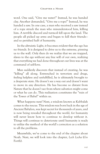word. One said, "Give me water!" Instead, he was handed clay. Another demanded, "Give me a rope!" Instead, he was handed a saw. In one case, a man who received a saw instead of a rope struck the man who misunderstood him, killing him. A terrible discord and turmoil fell upon the land. The people all picked up arms and began to kill their friends and so perished half of humanity.

In the altruistic Light, it becomes evident that the ego has no friends. It is designed to drive us to the extreme, pinning us to the wall. Only then do we realize that we are trapped, slaves to the ego without any free will of our own, realizing that everything we had done throughout our lives was at the command of self-love.

Man suddenly discovers that instead of creating, he was "killing" all along. Entrenched in terrorism and drugs, feeling helpless and unfulfilled, he is ultimately brought to a desperate state. He doesn't see a way out and doesn't want to move in any direction. He has become so distant from Nature that he doesn't see from where salvation might come or what he can do. This realization constitutes the "ruin of the Tower of Babel" within us.

What happens next? Next, a wisdom known as Kabbalah comes to the rescue. This wisdom was born back in the age of Ancient Babylon, was kept secret for thousands of years, and is now being revealed throughout the world, for humanity will never know how to continue to develop without it. Things will continue to deteriorate until humanity is ready to utilize the method of the world's correction as a solution to all the problems.

Meanwhile, we've come to the end of the chapter about Noah. Next, we will look into the chapter, *Lech Lecha* (Go Forth).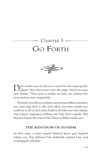# CHAPTER 3 GO FORTH



Dear reader, you are about to ascend to the next egoistic degree. New characters enter the stage, which are your new desires. Their goal is simple—to help you achieve the most perfect state imaginable.

However, in order to continue our journey within ourselves, you must step back to the time when you were certain you could do it all on your own, build it all with your own hands, and achieve happiness without any help from outside. But that was before the ruin of the Tower of Babel inside you.

#### **THE KINGDOM OF EGOISM**

At that time, a king named Nimrod (your ego) reigned within you. You followed him faithfully, trusted him, and worshipped only him.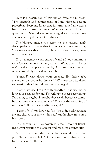Here is a description of this period from the Midrash: "The strength and cunningness of King Nimrod became proverbial. Everyone knew that his arm, aimed at a deer's heart, never missed its target. Woe was he who dared to question that Nimrod was a self-made god, for an executioner always stood by the side of his throne."

The Nimrod inside you refers to the natural, fairly developed egoism that wishes for, and can achieve, anything: "Everyone knew that his arm, aimed at a deer's heart, never missed its target."

If you remember, your entire life and all your intentions were focused exclusively on yourself. "What does it do for me" was the principle you lived by. All of your relations with others essentially came down to this.

"Nimrod" was always your essence. He didn't take anyone into account but himself: "Woe was he who dared to question that Nimrod was a self-made god."

In other words, "I'm OK with everything else existing, as long as it exists under me! I'm willing to accept everything, I'm willing to pay, but I must be above it all! Because it cannot be that someone has created me!" This was the reasoning of your ego: "Nimrod was a self-made god."

"I come first" was how you felt. You didn't acknowledge anyone else, as your inner "Nimrod" ran the show from atop his throne.

The "throne" signifies power. It is the "Tower of Babel" inside you resisting the Creator and rebelling against Him.

At the time, you didn't know that it wouldn't last, that your Nimrod would fail, "…for an executioner always stood by the side of his throne."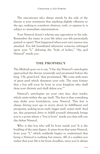The executioner who always stands by the side of the throne is your sentiment that anything slightly offensive to the ego, seeking to somehow obstruct, curb, or oppress it, is subject to immediate extermination.

Your Nimrod doesn't tolerate any opposition to his rule. Remember the times in your life when you felt particularly pained or upset? That happened when your very essence was attacked. You felt humiliated whenever someone infringed upon your "I," debasing the "holy of holies," "the god Nimrod" inside you.

#### **THE PROPHECY**

The Midrash goes on to say, "One day Nimrod's astrologists approached the throne reverently and prostrated before the king. 'Oh, great lord,' they proclaimed, 'We come with news of great peril which threatens your rule. The stars foresee that a boy will soon be born in your kingdom who shall deny your divinity and shall defeat you.'"

Nimrod's astrologists are your own fear, dear reader, which exists within the ego itself. The fear is that something may shake your foundation, your Nimrod. This fear is always driving your ego to worry about its fulfillment and prosperity, seeking more stuff, bigger stuff, newer stuff. And yet, this perpetual drive to fulfill yourself ultimately brings you to a point where a "boy is born" inside you that will one day defeat Nimrod.

Who is this boy who will be born inside you? It is the budding of the next degree. It arises from that same Nimrod, from your "I," which suddenly begins to understand that being a Nimrod is nothing but misery. All of a sudden you realize that your life is far from cloudless, since you're always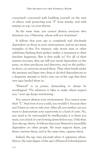concerned: concerned with building yourself on the ruin of others, with protecting your "I" from attacks, and with staying on top, on your throne.

At the same time, you cannot destroy everyone who threatens you. Otherwise, whom will you dominate?

It follows that your ego is completely and absolutely dependent on those in your environment, and we see many examples of this. For instance, take movie stars or other celebrities flashing their perfect smiles—a testament to their absolute happiness. But is that really so? For all of their massive incomes, they are still very much dependent on the press, on their producers and directors, and on the public in short, on everyone around them. They often break under the pressure and lapse into drug or alcohol dependencies in a desperate attempt to find a way out of the cage that their own egos landed them in.

"Nimrod" is in power, demanding to always be worshipped. "Do whatever it takes to make others respect you," your ego keeps murmuring.

You cannot destroy your environment. You cannot erase their "I." And even if you could, you wouldn't, because then you'd have no one to rule over. After all, you neither can nor want to demonstrate your superiority to a herd of cows. No, you need to be surrounded by intellectuals; it is them you want, not a herd of cows bowing down before you. Only then does the ego thrive. It follows that your Nimrod is incredibly dependent on other people. He must support them, pay them, nurture them, and at the same time, oppress them.

Indeed, the ego rises precisely when it oppresses others. Hence, the next degree of the ego's (Nimrod's) development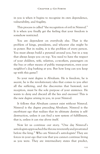in you is when it begins to recognize its own dependence, vulnerability, and fragility.

This process is called "the recognition of evil in Nimrod." It is when you finally get the feeling that your freedom is somehow restricted.

You are dependent on everybody else. That is the problem of kings, presidents, and whoever else might be in power. But in reality, it is the problem of every person. You must always build a pyramid around you, but in a way that always keeps you on top. You need to have the respect of your children, wife, relatives, co-workers, passengers on the bus or other means of public transportation, even your neighbor's dog barking at you. But how long can you keep up with this game?!

So your next degree is Abraham. He is freedom, he is ascent, he is the revolutionary idea that comes to you after all the suffering, and the discoveries that bestowal, not reception, must be the sole purpose of your existence. He wants to deny and discard all the lies and excesses! This is the new degree arising in you, in your Nimrod.

It follows that Abraham cannot exist without Nimrod. Nimrod is the degree preceding Abraham. Nimrod is the exorbitant ego that realizes that its ultimate destiny is selfdestruction, unless it can find a new system of fulfillment, that is, unless it can rise above itself.

Now let us continue our story. "One day Nimrod's astrologists approached the throne reverently and prostrated before the king." Who are Nimrod's astrologists? They are forces in your ego that vow that you cannot continue living as you were. They are intermediary states that predict,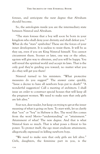foresee, and anticipate the next degree that Abraham should become.

So, the astrologists inside you are the intermediary state between Nimrod and Abraham.

"The stars foresee that a boy will soon be born in your kingdom who shall deny your divinity and shall defeat you." What do the "stars" symbolize? These are the forces of your inner development. It is useless to resist them. It will be as they say, even if you are King Nimrod himself. You cannot circumvent them. Sooner or later, one way or the other, egoism will give way to altruism, and you will be happy. You will reveal the spiritual world and accept its laws. That is the only goal they're guiding you toward, no matter what you do—they will get you there!

Nimrod turned to his ministers. "What protective measures do you suggest?" The answer came quickly, "Issue a decree to have all newborn boys put to death!" "A wonderful suggestion! Call a meeting of architects. I shall issue an order to construct special houses that will keep all the pregnant women. We need to make sure that only girls are left alive."

Fear not, dear reader, but keep on trying to get at the inner meaning of what is going on here. To start with, let us clarify that "son" or "boy" in Hebrew is *Ben*. The word *Ben* comes from the word *Mevin*—"understanding" or "attainment." Attainment of what? The new degree. And that is what Nimrod fears so much. That is what poses a threat to his power. To protect itself, the ego must eradicate attainment, allegorically expressed in killing newborn boys.

"We need to make sure that only girls are left alive." Girls, daughters, the feminine part in you, is the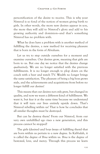personification of the desire to receive. This is why your Nimrod is so fond of the notion of women giving birth to girls. In other words, the more new desires appear in you, the more they will add to Nimrod's glory and add to his growing authority and dominion—and that's something Nimrod has no problem with.

What he does have a problem with is another method of fulfilling the desires, a new method for receiving pleasure that is born in the form of Abraham.

Let us try to step outside ourselves for a moment and examine ourselves. Our desires grow, meaning that girls are born to us. But one day we notice that the desires change *qualitatively*. We are no longer satisfied with the previous fulfillments. It is no longer enough to plop down on the couch with a beer and watch TV. Wealth no longer brings the same satisfaction. The pleasure of being a big boss grows stale, and the achievements and acquisitions from before no longer fulfill our desires!

This means that our desires not only grew, but changed in quality, and now we want a different kind of fulfillment. We want it, but fear it at the same time because we understand that it will turn our lives entirely upside down. That's Nimrod rebelling within us! That is how he concludes that all similar thoughts must be destroyed.

But can he destroy them? From our Nimrod, from our very own unfulfilled ego rises a new generation, and this process cannot be stopped!

The girls (desires) and boys (ways of fulfilling them) that are born within us pertain to a new degree. In Kabbalah, it is called the degree of *Bina* within us. *Bina* is the degree of bestowal, love, and mercy. Through this process we learn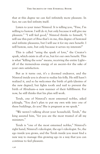that at this degree we can feel infinitely more pleasure. In fact, we can feel infinity itself.

Listen to your inner Nimrod. It is telling you, "Fine, I'm willing to bestow. I will do it, but only because it will give me pleasure." "I will feel good," Nimrod thinks to himself, "I will use this part of *Bina* that's in me, this degree of bestowal and infinite pleasures, but I will use it for my own benefit. I will bestow, sure, but only because it serves *my* interests!"

This is called "using the spark of love," the Creator's spark, which exists in all of us, but for our own benefit. This is what "killing the sons" means, receiving the entire Light all of the tremendous energy of an ascent—for the sake of your own satisfaction.

But as it turns out, it's a doomed endeavor, and the Nimrod inside you is about to realize his folly. He still hasn't realized it, and so he welcomes the birth of girls (desires of the new degree), but fights tooth and nail to prevent the birth of Abraham—a new manner of their fulfillment. For now, he still thinks that his plan will work.

Terah, one of Nimrod's most esteemed nobles, asked jokingly, "You don't plan to put my own wife into one of these buildings, do you? She is pregnant as we speak."

"We weren't talking about your household, Terah," the king assured him, "for you are the most trusted of all my ministers."

Terah is "one of the most esteemed nobles," Nimrod's right hand, Nimrod's ideologist, the ego's ideologist. So, the ego inside you grows, and the Terah inside you must find a new way to manage this growing ego in a way that you can continue to feel pleasure.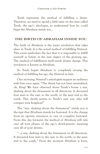Terah represents the method of fulfilling a desire. Therefore, we need to spend a little time on the man called Terah, the ego's ideologist, to understand how he could beget the Abraham inside you.

## **THE BIRTH OF ABRAHAM INSIDE YOU**

The birth of Abraham is the inner revolution that takes place in Terah. It is the actual method of fulfilling Nimrod. This event symbolizes the fact that it is impossible to fulfill yourself as before at the new degree of the growing ego. The method of fulfillment itself needs drastic change. This revolution is known as Abraham.

So Terah begets Abraham to completely revamp the method of fulfilling his ego, the Nimrod in him.

One morning, Nimrod's astrologists request an audience with him once again. "The threat has not been neutralized, oh, King! We have observed above Terah's house a star, dashing about the firmament in all directions. It devoured four stars to the east, to the north, to the west and to the south. This clearly points to Terah's new son, who will conquer your kingdom!"

The "star, dashing about the firmament" inside you is the sign that Abraham stands for bestowal. It is the change from an egoistic intention to one of complete bestowal. From this day forward, the method of Abraham will rule over all four phases of the ego's development, meaning over all of your desires.

"…a star, dashing about the firmament in all directions. It devoured four stars to the east, to the north, to the west, and to the south." From the moment Abraham is born,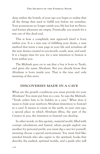deep within the bowels of your ego you begin to realize that all the things that used to fulfill you before are senseless. Your possessions no longer satisfy you; life has lost its flavor, and former pleasures are empty. Frantically, you search for a way out of this dead end.

This is how a completely new approach (star) is born within you. It is a new way of fulfilling your desire, a new method that turns a new page in your life and actualizes all the new desires created in you (north, south, west, and east). It is a happy time for you, for a new intention to bestow is born within you.

The Midrash goes on to say that a boy is born to Terah, and given the name Abraham. But you already know that Abraham is born inside you. That is the true and only meaning of this story.

#### **DISCOVERIES MADE IN A CAVE**

What are the growth conditions you must provide for your Abraham? You must put him in a cave. So says the Midrash: "Terah orders him to be hidden in a cave." What does it mean to hide your newborn Abraham (intention to bestow) in a cave? It means to create in the earth, in your own ego, a special place in which Abraham (*Bina*, the part of the Creator in you, the intention to bestow) can develop.

In other words, in this egoistic, material world, filled with corrupt calculations and hatred, where people exploit one another for personal profit, you must dig a cave for yourself, meaning choose a special environment. You must find likeminded friends who also aspire to the spiritual, books that describe the exalted, spiritual worlds, and a guide who will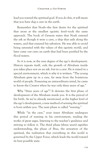lead you toward the spiritual goal. If you do this, it will mean that you have dug a cave in the earth.

Remember that Noah—the first desire for the spiritual that arose at the smallest egoistic level—took the same approach. The book of Genesis states that Noah entered the ark as though it were a cave, a ship that sails along the waters, and that ensured his salvation. He was able to avoid being saturated with the values of this egoistic world, and later came out onto an earth that had been purified by the flood waters.

So it is now, at the new degree of the ego's development. History repeats itself, only the growth of Abraham inside you takes place not on an ark, but in a cave. He is raised in a special environment, which is why it is written: "The young Abraham grew up in a cave, far away from the boisterous world of people. Possessing an extraordinary mind, he came to know the Creator when he was only three years of age."

Why "three years of age"? It denotes the first phase of development of the Abraham inside you. It is the period of his birth. As we've already mentioned, at the higher level of the ego's development, a new method of sensing the spiritual is born within you. The next phase is called "nursing."

While "in the cave," your inner Abraham undergoes this period of nursing in his environment, reading the works of great sages, listening to the teacher's guidance and striving to follow it. The third phase (three years) signifies understanding, the phase of *Bina*, the sensation of the spiritual, the realization that everything in this world is governed by the Upper Force, which leads the world toward its best possible state.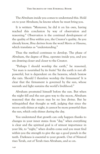The Abraham inside you comes to understand this. Hold on to your Abraham; he knows where he must bring you.

It is written: "Moreover, he did it on his own, having reached this conclusion by way of observation and reasoning." Observation is the continual development of the quality of *Bina* within you, the Creator's quality. As you already know, *Bina* derives from the word *Mevin* or *Havana*, which translates as "understanding."

Thus the method continues to develop. The phase of Abraham, the degree of *Bina*, operates inside you, and you are drawing closer and closer to the Creator.

"Perhaps I should worship the earth," he reasoned, "for man is nourished by its fruits? Yet the earth is not allpowerful, but is dependent on the heavens, which bestow the rain. Should I therefore worship the firmament? It is clear that the firmament is governed by the sun, whose warmth and light sustains the world's livelihood."

Abraham prostrated himself before the sun. But when the night fell and the sun gave way to the moon, Abraham reasoned that the moon may be no less divine. But he relinquished that thought as well, judging that since the moon only shines at night, it cannot be more powerful than the sun, which only shines during the day.

You understand that growth can only happen thanks to changes in your inner states: from "day," when everything is clear and the spiritual goal is of utmost importance in your life, to "night," when doubts come and you must find within you the strength to give the ego a good punch in the teeth. Darkness is essential to your growth. Out of Nimrod rises Terah, out of Terah rises Abraham, and so on.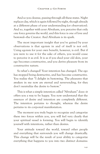And so you cleanse, passing through all these states. Night replaces day, which is again followed by night, though already at a different phase of your understanding (or observation). And so, together with your Abraham, you perceive that only one force governs the world, and this force is one of love and bestowal—the Creator. And Abraham is its spark.

The most important insight that you've gained by your observations is that egoism in and of itself is not evil. Using egoism for your own benefit, however, is evil. But if you were to use it for the sake of others, you would cease to perceive it as evil. It is as if you shed your old skin, your ego becomes constructive, and you derive pleasure from its constructive nature.

So what's changed? Your intention has changed. The ego has stopped being destructive, and has become constructive. You realize that "I delight in bestowing. The pleasures that awaken in me now are eternal and never-ending, for they don't neutralize the desire to bestow."

This is what a simple intention called "Abraham" does—it offers you a way to be happy. You now understand that the essences of desire and intention are completely different. The intention pertains to thought, whereas the desire pertains to its corporeal manifestation.

The moment you truly begin to recognize and categorize these two forces within you, you will feel very clearly that your spiritual vessel is forming. You will begin to identify yourself with intentions, rather than desires.

Your attitude toward the world, toward other people and everything that surrounds you will change drastically. This change will be the result of your ability to categorize everything that happens to you into two distinct domains: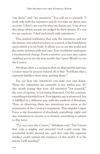"my desire" and "my intention." You will say to yourself, "I work only with the intention and do not take my desire into account. I don't care one bit what my desires are. I rise above this plane where people are judged by their desires. It's not for me anymore. I deal exclusively with intentions."

This gradual realization that only the intention, and not the desires, over which you have no control, is the foundation upon which you are built. It allows you to see the world and the entire universe with new eyes. Your worldview undergoes a fundamental change. From a receiver, you turn into a giver enabling you to see the true world—the Upper World—to see the Creator.

Abraham drew a conclusion that an all-powerful and wise Creator must be present behind all of this: "It follows that a supernal Intellect must exist, guiding them."

You see how two intentions can exist over one desire. These two intentions are currently at war within you. It's also worth noting that your old intention "for yourself," the root of egoism, is not being destroyed. On the contrary, everything is founded on it. Your gigantic ego is preserved, but is fulfilled in a different way, with the method of Abraham. Thus, in observing these two intentions you arrive at the attainment of the Creator's singularity. This singular Upper Force is the foundation of absolutely everything: night and day, intentions to receive or to bestow—everything is subject to this force.

"I've not seen the Creator," Abraham said, "but I know that only a mighty and merciful God could create this wonderful world around me, and that only His supernal intellect could sustain the existence of this world. It is He whom I will worship!"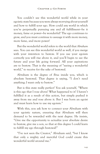You couldn't see this wonderful world while in your egoistic state because you were always worrying about yourself and how to fulfill your ego. How could any world in which you're perpetually pursuing any and all fulfillment—be it money, fame or power—be wonderful? The ego continues to grow, and you must continue to assuage it with more money, more fame, and more power!

But the wonderful world refers to the world that *Abraham* sees. You can see this wonderful world as well, if you merge with your intention to bestow. If you use your egoism correctly you will rise above it, and you'll begin to see the future and your life going forward. All your aspirations are to bestow. That is the meaning of "seeing a wonderful world," to receive for the sake of bestowal.

Abraham is the degree of *Bina* inside you, which is absolute bestowal. That degree is saying, "I don't need anything; I want only to bestow."

But is this state really perfect? You ask yourself, "Where is this ego that I rose above? What happened to it? I haven't fulfilled it as a result of this action, but simply pushed it away from me and rose above it. But I was born an egoist and must learn how to use my egoism."

With this, you ask how to connect your Abraham with your egoistic nature, ensuring that Abraham will then demand to be rewarded with the next degree. He insists, "Give me the opportunity to actualize your absolute desire to bestow, give me a son, so that at this degree I could learn to fulfill my ego through bestowal!"

"I've not seen the Creator," Abraham said, "but I know that only a mighty and merciful God could create this wonderful world around me."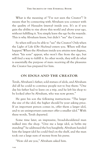What is the meaning of "I've not seen the Creator"? It means that by connecting with Abraham you connect with the quality of *Hassadim* (mercy) inside you. It's as if you gain the ability to rise above this world and above your ego, without fulfilling it. You simply leave the ego by the wayside. This is why Abraham knew, but didn't "see" the Creator.

So when will you be able to "see" the Creator? Only when the Light of Life (*Ohr Hochma*) enters you. When will that happen? When the Abraham inside you attains new degrees, when "his sons" appear, who won't flee from the ego, but will find a way to fulfill it. In other words, they will do what is essentially the purpose of man: receiving all the pleasures the Creator has prepared for him.

#### **ON IDOLS AND THE CREATOR**

Terah, Abraham's father, sold statues of idols, and Abraham did all he could to convince people not to buy them: "One day his father had to leave on a trip, and he left his shop to be looked after by Abraham, who was now grown."

He gave his son the following instructions: "The larger the size of the idol, the higher should be your asking price. If an important person comes in, offer them a larger idol, and to an unimportant customer offer a smaller idol." With these words, Terah departed.

Some time later, an impressive, broad-shouldered man walked into the shop. "Give me a large idol, as befits my standing!" he addressed the boy haughtily. Abraham handed him the largest idol he could find on the shelf, and the man took out a large sum of money from his purse.

"How old are you," Abraham asked him.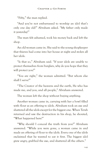"Fifty," the man replied.

"And you're not embarrassed to worship an idol that's only one day old?" Abraham asked. "My father only made it yesterday!"

The man felt ashamed, took his money back and left the shop.

An old woman came in. She said to the young shopkeeper that thieves had come into her house at night and stolen all her idols.

"Is that so," Abraham said. "If your idols are unable to protect themselves from burglars, why do you hope that they will protect you?"

"You are right," the woman admitted. "But whom else shall I serve?"

"The Creator of the heavens and the earth, He who has made me, and you, and all people," Abraham answered.

The woman left the shop without buying anything.

Another woman came in, carrying with her a bowl filled with flour as an offering to idols. Abraham took an axe and shattered all the idols except for the biggest one. When Terah returned and saw the destruction in his shop, he shouted, "What happened here?"

"Why should I conceal the truth from you?" Abraham answered. "While you were gone, a woman came in and made an offering of flour to the idols. Every one of the idols exclaimed that he wanted to eat it first. The biggest idol grew angry, grabbed the axe, and shattered all the others."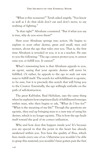"What is this nonsense?" Terah asked angrily, "You know as well as I do that idols don't eat and don't move, to say nothing of fighting."

"Is that right?" Abraham countered. "But if what you say is true, why do you serve them?"

Here your Abraham springs into action. He begins to explain to your other desires, great and small, men and women, about the ego that rules over you. That is, the first time Abraham is revealed in you, it is as a teacher. He says to you the following: "The ego cannot protect you; it cannot raise you or fulfill you. It cannot!"

What's interesting here is that Abraham appeals to you, an egoist, saying that your egoistic desires will never be fulfilled. Or rather, he appeals to the ego to seek out new ways to fulfill itself. The search for self-fulfillment is egoistic, to be sure, but it is precisely this search that will bring you to the Creator. Essentially, the ego willingly embarks on the path of self-destruction.

The great Kabbalist, Baal HaSulam, says the same thing when he explains how emptiness (lack of fulfillment) emerges within man, who then begins to ask, "What do I live for?" "What is the meaning of my life?" Though the questions are egoistic, they end up bringing man to a new way of using his desires, which is no longer egoistic. This is how the ego leads itself toward the goal of its correct utilization.

Why and how does this happen inside you? It's because you are special in that the point in the heart has already awakened within you. You have the quality of *Bina*, which lives inside every one of us. Otherwise you wouldn't be able to grasp this material; you wouldn't have gotten past the first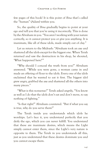few pages of this book! It is this point of *Bina* that's called the "human" (Adam) within you.

So, the quality of *Bina* gradually begins to point at your ego and tell you that you're using it incorrectly. This is done by the Abraham in you. "You aren't working with your nature correctly, so it cannot protect you or give you anything. It is inanimate, like all of these idols, made simply out of clay."

Let us return to the Midrash: "Abraham took an axe and shattered all the idols except for the biggest one. When Terah returned and saw the destruction in his shop, he shouted, 'What happened here?'"

"Why should I conceal the truth from you?" Abraham answered. "While you were gone, a woman came in and made an offering of flour to the idols. Every one of the idols exclaimed that he wanted to eat it first. The biggest idol grew angry, grabbed the axe and shattered all the others into many pieces."

"What is this nonsense?" Terah asked angrily, "You know as well as I do that the idols don't eat and don't move, to say nothing of fighting."

"Is that right?" Abraham countered. "But if what you say is true, why do you serve them?"

The Terah inside you understands which idols he worships. Let's face it, you understand perfectly that you deify the ego, which you can never fulfill. You understand that these are inanimate desires, which means the Light simply cannot enter them, since the Light's very nature is opposite to them. The Terah in you understands all this, just as you understand that these desires dominate you and you cannot escape them.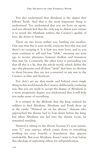You also understand that Abraham is the degree that follows Terah. And that is the most important thing to understand. You understand that you are born an egoist, and you already feel that the only way to defeat your nature is to reveal the Abraham within, the Creator's quality of love, the desire to bestow.

There are two forces within you, battling one another. One says that this is your world, everyone lives this way and there's no escaping it. It is how you were born, and so you must continue to sell and buy "idols," meaning use your ego to receive pleasures, however shallow and transitory they may be. Conversely, the other force is persuading you that all this is a lie, that the whole world, which deifies the ego—the pleasures and all these "idols" that have no divinity to them because they are not connected in any way to the Creator—is false and fictitious.

You don't yet see that inside and behind every single thing in this world stands the Creator, deliberately confusing you. But you are ready to accept the degree of Abraham as a more progressive degree; you understand that it will help you make sense of everything.

It is written in the Midrash that the king ordered his soldiers to find Abraham. Abraham and Terah show up at the castle. "Nimrod sat on his throne." Anyone who approached the throne had to bow down before the king, but when Abraham was led into the throne room, he remained standing.

Nimrod is sitting on the throne because it's your nature, your "I," your essence, which comes down to everything working for your benefit, a foundation that appears unshakable. But your Abraham doesn't want to bow before this ideology of exploiting others for self-gratification.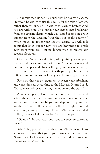He admits that his nature is such that he desires pleasure. However, he wishes to use this desire for the sake of others, rather than for himself. He wishes to learn to bestow. And you are with him. This marks your step-by-step breakaway from the egoistic desire, which will later become an order directly from the Creator: "Get thee out of thy country," which means to reject your egoistic desire. We will talk about that later, but for now you are beginning to break away from your ego. You no longer wish to receive any egoistic pleasures.

Once you've achieved this goal by rising above your nature, and have connected with your Abraham, a new and far more complicated phase will begin, but no less necessary. In it, you'll need to reconnect with your ego, but with a different intention. You will delight in bestowing to others.

For now there is an argument between your Abraham and your Nimrod. According to the Midrash, Nimrod said, "My rule extends over the sun, the moon and the stars!"

Abraham replied, "Every day the sun rises in the east and sets in the west. Order the sun tomorrow to rise in the west and set in the east… or [if you are all-powerful] grant me another request. Tell me what I'm thinking right now and what I'm planning on doing." Finally, Abraham concluded in the presence of all the nobles: "You are no god!"

"Guards!" Nimrod cried out, "put this rebel in prison at once!"

What's happening here is that your Abraham wants to show your Nimrod that your ego controls neither itself nor Nature. For all of its confidence in being a god, it knows not the forces that govern it.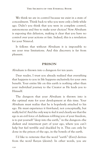We think we are in control because we exist in a state of concealment. Think back to who you were only a little while ago. Didn't you think that you were in complete control, autonomous and free to make your choices? Now Abraham is exposing this delusion, making it clear that you have no control over your actions or fate. Indeed, this is a revelation for your Nimrod.

It follows that without Abraham it is impossible to see your true limitations. And this discovery is far from pleasant.

#### **PRISON**

Abraham is thrown into a dungeon for ten years.

Dear reader, I trust you already realized that everything that happens to you in life happens exclusively for your own benefit. Your entire life on this earth is nothing other than your individual journey to the Creator as He leads you to Himself.

The dungeon that your Abraham is thrown into is the optimal state for your development at this time. Your Abraham must realize that he is hopelessly attached to his ego. He must experience it first-hand, not conceptually, but really feel it! And the only way to feel it and clearly see that the ego is an evil force of darkness robbing you of your freedom, is to put yourself "deep into the earth," in the dungeon—the darkest and innermost part of your ego, where you can't help but feel terrible and shackled by it. This can only be done in the prison of the ego, in the bowels of the earth.

I'd like to reiterate that the word "earth" (*Eretz*) derives from the word *Ratzon* (desire). In other words, you are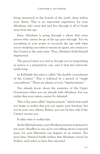being immersed in the bowels of the earth, deep within your desire. This is an important experience for your Abraham, who must feel and live through it all to break away from the ego.

Here, Abraham is going through a phase that every person who cannot let go of his ego goes through. You try everything in your power to reconcile the ego with what you're studying; you wish to remain an egoist, yet connect to the Creator at the same time. Thus, Abraham finds himself imprisoned.

The period when you feel as though you're languishing in prison is a preparatory one, and it may feel extraordinarily long.

In Kabbalah this state is called "the double concealment of the Creator." This is followed by a period of "single concealment." These are phases of your "imprisonment."

You already know about the existence of the Upper Governance when you are already with Abraham, but you realize that your nature cannot be defeated.

This is the state called "imprisonment," which lasts until you begin to realize that you can regain your freedom, but not by your own efforts. Rather, you can be free only if the Creator rescues you.

It takes time to realize this.

As the Midrash states, your Abraham remains in prison for ten years. Needless to say, we're not talking about corporeal years, for your liberation can happen in an instant. Ten years later, Nimrod finally realizes that Abraham cannot be broken, and orders to have him executed.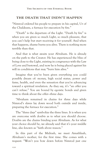#### **THE DEATH THAT DIDN'T HAPPEN**

"Nimrod ordered his people to prepare in his capital, Ur of the Chaldeans, a furnace for execution by fire."

"Death" is the departure of the Light. "Death by fire" is when you are given so much Light, so much pleasure, that you can't help but start receiving it for yourself. And when that happens, shame burns you alive. There is nothing more terrible than that.

And that is what awaits your Abraham. He is already on the path to the Creator. He has experienced the bliss of being close to the Light, existing in congruence with the Law of Love and bestowal, and now he is being placed against his will in conditions that may "burn him alive."

Imagine that you've been given everything you could possibly dream of: money, high social status, power and fame, health, and even the sensation that you're advancing toward a spiritual revelation. As they say, it's "an offer you can't refuse." You are bound by egoistic bonds and given time to think about the offer—three days.

"Abraham remained in chains for three days while Nimrod's slaves lay down wood both outside and inside, preparing the furnace for execution."

The "three days" symbolize the three lines. It is when you are overcome with doubts as to what you should choose. Doubts are the chains binding your Abraham. As for what your choice should be, we already said that it's your middle line, also known as "faith above reason."

In this part of the Midrash, we meet Amathlaah, Abraham's mother, for the first time. She comes with a request: "Won't you bow down before Nimrod just one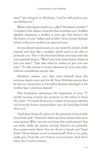time?" she whispers to Abraham, "and he will pardon you, my darling son."

What is this degree inside you, called "Abraham's mother"? A mother is the degree of egoism that nourishes you. A father signifies intention; a mother is your ego. You haven't left the home of your "father and mother" (your innate desires), which is why your mother can approach you.

As was already mentioned, you are visited by doubts, both natural and dear like a mother, which used to be able to persuade you. This is the final test before your leap onto the next spiritual degree. "Won't you bow down before Nimrod just one time?" "Just take what he wishes to give you one time." To take means to receive pleasure for your own sake, without considering anyone else.

Abraham refuses, and thus tears himself from the previous degree once and for all. Your Abraham proves that he has no connection to his father (former ideology) or his mother (ego's previous degree).

This breakaway epitomizes the beginning of your "I" swiftly moving toward the moment in life when it hears the order: "Go forth from your country, from your relatives and from the home of your father, into the land that I shall show you."

"And then Nimrod's slaves set the pyramid of wood afire from both ends." Nimrod's slaves are those desires that serve your egoism. Who can save you from this predicament? You are weak, while the desires serving Nimrod are powerful. You cannot resist them! You are about to break and "burn down" (from shame, as we've mentioned). And so you pray, really pray, from the very bottom of your heart. And that's when the Creator answers.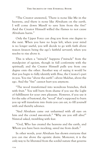"The Creator answered, 'There is none like Me in the heavens, and there is none like Abraham on the earth. I will come down Myself to save him from the fire!' And the Creator Himself willed the flames to not cause Abraham harm."

Only the Upper Force can drag you from one degree to the next. When you have no hope left, when your mind is no longer useful, you will decide to go with faith above reason (reason being the ego's faithful servant), when you resolve to rise above it.

This is when a "miracle" happens ("miracle" from the standpoint of egoism, though in full conformity with the spiritual), and the Creator Himself pulls you from one degree onto the other. Another way of saying it would be that you begin to fully identify with *Bina*, the Creator's part in you. You rise "above the earth"—above *Malchut*, above the ego. And the "fire" cannot hurt you anymore.

"The wood transformed into wondrous branches, thick with fruit." You will burn from shame if you use the Light of fulfillment for your own pleasure. However, if you use it for the sake of bestowal, the "wood" that's supposed to burn you up will transform into fruits you can eat, to fill yourself with and thereby advance.

"And Abraham came out unharmed with all eyes on him and the crowd awe-struck." "Why are you still alive?" Nimrod asked, trembling with fear.

"God, Who has created the heavens and the earth, and Whom you have been mocking, saved me from death."

In other words, your Abraham has shown everyone that you can rise above the egoistic desire. Moreover, it is the only way to be liberated from the sordid nature that governs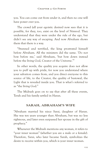you. You can come out from under it, and then no one will have power over you.

The crowd (all your egoistic desires) now sees that it is possible, for they, too, exist on the level of Nimrod. They understand that they were under the rule of the ego, but didn't see any way of escaping. And now Abraham shows them that there is a way.

"Stunned and terrified, the king prostrated himself before Abraham. All the ministers did the same. 'Do not bow before me,' said Abraham, 'but bow down instead before the living God, Creator of the Universe.'"

In other words, the quality you acquire does not allow you to puff up with pride, for now you understand where your salvation comes from, and you direct everyone to this source of life, to the Creator, the quality of bestowal, the Light that is revealed inside you. That is what's referred to as "the living God."

The Midrash goes on to say that after all these events, Terah and his family settled in Haran.

# **SARAH, ABRAHAM'S WIFE**

"Abraham married his niece Sarai, daughter of Haran. She was ten years younger than Abraham, but was no less righteous, and later even surpassed her spouse in the gift of prophecy."

Whenever the Midrash mentions any woman, it refers to "your inner woman" (whether you are a male or a female). Therefore, Sarai, who later became Sarah, symbolizes the desire to receive within you, which is your inner woman.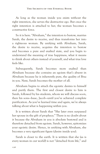As long as the woman inside you exists without the right intention, she serves the destructive ego. But once the right intention is attached to her, the woman becomes a constructive force.

So it is here. "Abraham," the intention to bestow, marries Sarah, the desire to receive, and thus transforms her into a righteous woman. By unifying with Abraham, Sarah, the desire to receive, acquires the intention to bestow and becomes a pure and exalted state, and you begin to understand the meaning of true happiness, what it means to think about others instead of yourself, and what true love feels like.

Subsequently, Sarah becomes more exalted than Abraham because she contains an egoism that's absent in Abraham because he is inherently pure, the quality of *Bina* in you. Next, Sarah becomes the mother of all.

Abraham begins to attach the egoistic desires to himself and purify them. The first and closest desire to him is Sarah, followed by his students, whom we will discuss soon, then his sons—Isaac, Jacob—until you've achieved complete purification. As you've learned time and again, we're always talking about what is happening within you.

It is written about Sarah that "She later even surpassed her spouse in the gift of prophecy." There is no doubt about it because the Abraham in you is absolute bestowal and is therefore detached from egoism. Sarah, however, epitomizes your egoistic desire. Hence, in unifying with Abraham, she becomes a very significant figure (desire inside you).

Sarah is closer to the earth. It is written that she (as is every woman in our world) is not "detached from life," and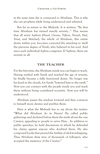at the same time she is connected to Abraham. This is why she can prophesy while being understood and admired.

But let us return to the Midrash. It is written, "By that time Abraham has turned exactly seventy…" This means that all seven *Sephirot* (*Hesed*, *Gevura*, *Tifferet*, *Netzah*, *Hod*, *Yesod*, and *Malchut*), the whole of Abraham, this entire desire within you, becomes corrected (by attaching to itself the previous degree of Terah, who believed in his son). And since each individual *Sephira* comprises 10 *Sephirot*, there are seventy in all.

#### **THE TEACHER**

For the first time, the Abraham inside you can begin to teach. Having unified with Sarah and reached the age of seventy, he finally became a fully functional desire. No longer was his head in the clouds, for Sarah "lowered him to the earth." Now you can connect with the people inside you and teach them without being considered eccentric. Now you will be understood.

Abraham passes the wisdom forward and thus connects to himself more desires and purifies them.

Here is what the Midrash has to say about the matter: "What did Abraham do in Haran? He called public gatherings and declared before them the truth about the one Creator, appealing to people to serve Him… In addition to public speeches, he held discussions in which he defended his claims against anyone who doubted them. He also composed books that proved the futility of idol-worshipping. Thus Abraham drew tens of thousands of followers, who accepted the existence of the Creator."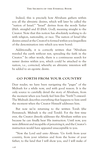Indeed, this is precisely how Abraham gathers within you all the altruistic desires, which will later be called the "nation of Israel." "Israel" derives from the words *Yashar* (Heb. straight) and *El* (Heb. God), meaning straight to the Creator. Note that this notion has absolutely nothing to do with religion, nationality, or race. The nation of Israel (the desires aimed at the Creator) is formed within you (regardless of the denomination into which you were born).

Additionally, it is correctly written that "Abraham traveled the earth without rest, spreading the faith in the Creator." In other words, there is a continuous search for newer desires within you, which could be attached to the nation, i.e., corrected, whereby an altruistic intention will be added to an egoistic desire.

#### **GO FORTH FROM YOUR COUNTRY**

Dear reader, we have been navigating the "pages" of the Midrash for a while now, and with good reason. It is the only source to carefully detail the story of Abraham, from the moment when you barely feel him (his "birth") onward. The Midrash describes everything that happens to him until the moment when the Creator Himself addresses him.

But now we're returning to the written Torah (the Pentateuch. Midrash is the oral Torah). For the first time ever, the Creator directly addresses the Abraham within you because he can finally hear His instruction. Until now, you were different and incapable of perceiving it, and the Creator's instruction would have appeared unacceptable to you.

"Now the Lord said unto Abram: 'Go forth from your country, from your relatives and from the home of your father, to the land that I will show you, and I will make of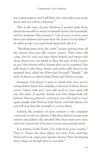you a great nation, and I will bless you, and make your name great; and you will be a blessing.'"

This is the start of your Abraham's journey with those desires he was able to attach to himself: Sarah, his household, and his students. The journey is "out of your country, away from your relatives and away from the home of your father." In other words, you must break away from all of it.

"Breaking away from the earth" means parting from all the desires that you still cannot correct. Their time will come, but for now you leave them behind and retain only those desires you can attach to *Bina*, the part of the Creator in you, this fervent will to bestow that you've acquired. You will need to take these desires and arrive with them at the spiritual level called the (First and Second) "Temple," the level of desires at which kings David and Solomon exist.

Jumping a bit ahead, I want to clarify that once you've attained their level—the complete correction of those desires you've "taken with you"—you will need to once again fall into the abyss of egoistic desires you have temporarily left behind. Having achieved correction, you will need to once again mingle with Nimrod, with Terah, and with Haran, for you will now have the strength to correct them.

Indeed, the purpose of your creation is the complete correction of all your desires. Only then will you merge with infinity and achieve the absolute bliss that exists even now, only you cannot feel it because of your uncorrected vessel.

It is written in the Torah, "Go forth from your country." That is, "Leave the place where you were born and have lived until now, reject your egoistic desires. Start developing above them, as though they do not exist."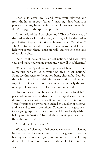That is followed by: "…and from your relatives and from the home of your father…" meaning "Part from your previous degree, leave behind your old environment that didn't engage in the spiritual pursuit."

"…to the land that I will show you." That is, "Make use of the desires that will awaken in you. They will be the desires you'll attach to your intention to bestow, called 'Abraham.'" The Creator will awaken these desires in you, and He will help you correct them. Thus He will lead you into the land of absolute bliss.

"And I will make of you a great nation, and I will bless you, and make your name great; and you will be a blessing."

What is the "great nation" spoken of here? There are numerous conjectures surrounding this "great nation." Some say this refers to the nation being chosen by God, but this is incorrect. In fact, this kind of separation and sense of superiority of one nation over another is precisely the root of all problems, as we can clearly see in our world.

However, everything becomes clear and takes its rightful place when we realize that the Torah speaks only about desires that exist within us. It follows that the notion of "great" refers to one who has reached the quality of bestowal and learned to truly love others. Therein lies true greatness. Once you grasp that concept, you will immediately wish to belong to this "nation." Indeed, the ultimate goal is to make the entire world "great."

"… and I will bless you …"

What is a "blessing"? Whenever we receive a blessing in life, we are absolutely certain that it's given to keep us healthy, successful at our jobs, and so on. In truth, a blessing does not pertain to our egoistic world at all; it is a spiritual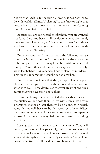notion that leads us to the spiritual world. It has nothing to do with worldly affairs. A "blessing" is the force or Light that descends to us and corrects our intentions, transforming them from egoistic to altruistic.

Because you are connected to Abraham, you are granted this force. Once you have it, all the desires you've identified, those you've taken with you "from your country" and those you have yet to meet on your journey, are all corrected with this force called "blessing."

But let us continue. Look how harsh the following passage from the Midrash sounds: "I free you from the obligation to honor your father. You may leave him without a second thought. Your father and brother, who appear very friendly, are in fact hatching evil schemes. They're planning murder…" This reads like something straight out of a thriller.

But by now you know that the passage references your old states, which you've lived with before and which cannot agree with you. These desires see that you are right and thus admit that you have risen above them.

However, being the uncorrected desires that they are, the quality you propose them to live with seems like death. Therefore, sooner or later there will be a conflict in which some desires will have to be destroyed by others. When that time comes, you will have only one option—to separate yourself from these coarse egoistic desires to avoid quarreling with them.

Leaving them will preserve them for a time. They will remain, and you will live peacefully, only to return later and correct them. However, you will only return once you've gained sufficient strength and become a "great nation," capable of defeating (correcting) all the desires you have left behind.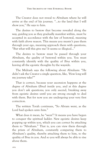The Creator does not reveal to Abraham where he will arrive at the end of his journey. "…to the land that I will show you," He says to him.

The desires to bestow that become revealed along the way, guiding you as they gradually manifest within, must be accepted in accordance with the law of bestowal, meaning with faith above reason. This means you mustn't pass them through your ego, meaning approach them with questions, "But what will this give me? It seems so illogical…"

The desires to bestow must be passed through your Abraham, the quality of bestowal within you. You must constantly identify with the quality of *Bina* within you, leaving all the egoistic thoughts by the wayside.

The Midrash says the following about Abraham: "He didn't ask the Creator a single question, like, 'How long will my journey take?'"

That is correct, because your ascension happens at the degree of Abraham (*Bina*) inside you, and at this degree you don't ask questions; you only ascend, breaking away from egoistic desires until you are strong enough to deal with them. But for now you are undergoing your very first correction.

The written Torah continues, "So Abram went, as the Lord had spoken unto him."

What does it mean, he "went"? It means you have begun to conquer the spiritual ladder. New egoistic desires keep popping up within you, which you can correct by attaching them to "Abraham." That is, you can view them through the prism of Abraham, constantly comparing them to Abraham's quality, thereby attaching them to him, to the quality of *Bina* in you. And so you will always be able to rise above them.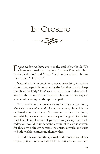# $\approx$ IN CLOSING



Naturally, it is impossible to cover everything in such a short book, especially considering the fact that I had to keep the discourse fairly "light" to ensure that you understand it and are able to relate it to yourself. This book is for anyone who's only starting on the spiritual path.

For those who are already en route, there is the book, *The Zohar: annotations to the Ashlag commentary*, in which the explanation of the chapter *Beresheet* covers the entire book, and which presents the commentary of the great Kabbalist, Baal HaSulam. However, if you were to pick up that book today, you wouldn't understand a word of it, as it is written for those who already perceive the spiritual world and exist in both worlds, connecting them within.

If the desire to attain the spiritual world sincerely awakens in you, you will remain faithful to it. You will seek out any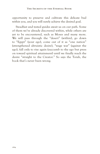opportunity to preserve and cultivate this delicate bud within you, and you will surely achieve the desired goal.

Steadfast and tested guides await us on our path. Some of them we've already discovered within, while others are yet to be encountered, such as Moses and many more. We will pass through the "desert" (within), go down to "Egypt" (your ego), come out of it as "one nation" (strengthened altruistic desire), "wage war" (against the ego), fall only to rise again (succumb to the ego but press on toward spiritual attainment) until we finally reach the desire "straight to the Creator." So says the Torah, the book that's never been wrong.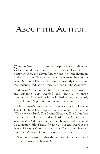# ABout the Author

Semion Vinokur is a prolific script writer and director.<br>He has directed and written for at least seventy documentaries, and eleven feature films. He is the chairman of the School for Talented Young Cinematographers in the Israeli Ministry of Absorption, and is currently in charge of the student's graduation projects at "Sapir" film Academy.

Many of Mr. Vinokur's films (producing, script writing and directing) were awarded and screened in major International film festivals in the United States, Italy, Israel, Russia, China, Argentina, and many other countries.

Mr. Vinokur's films have won numerous awards. He won The Gold Medal at Flagstaff International Film Festival (*What fire can't burn*), The Bronze Plaque at The Columbus International Film & Video Festival (*Kalik in Black, White, and Color*), First Prize at the Shanghai International Documentary Film Festival (*Magnolia*), a special award at the *National Geographic International Film Contest* for his short film, *Toward Integral Consciousness*, and many more.

Semion Vinokur is also the author of the celebrated cinematic novel, *The Kabbalist*.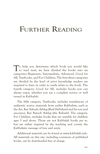# FURTHER READING

To help you determine which book you would like<br>to read next, we have divided the books into six categories—Beginners, Intermediate, Advanced, Good for All, Textbooks, and For Children. The first three categories are divided by the level of prior knowledge readers are required to have in order to easily relate to the book. The fourth category, Good for All, includes books you can always enjoy, whether you are a complete novice or well versed in Kabbalah.

The fifth category, Textbooks, includes translations of authentic source materials from earlier Kabbalists, such as the Ari, Rav Yehuda Ashlag (Baal HaSulam) and his son and successor, Rav Baruch Ashlag (the Rabash). The category, For Children, includes books that are suitable for children ages 3 and above. Those are not Kabbalah books per se, but are rather inspired by the teaching and convey the Kabbalistic message of love and unity.

Additional material can be found at www.kabbalah.info. All materials on this site, including e-versions of published books, can be downloaded free of charge.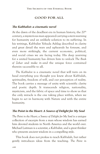#### **GOOD FOR ALL**

#### *The Kabbalist: a cinematic novel*

At the dawn of the deadliest era in human history, the  $20<sup>th</sup>$ century, a mysterious man appeared carrying a stern warning for humanity and an unlikely solution to its suffering. In his writings, Kabbalist Yehuda Ashlag described in clarity and great detail the wars and upheavals he foresaw, and even more strikingly, the current economic, political, and social crises we are facing today. His deep yearning for a united humanity has driven him to unlock *The Book of Zohar* and make it—and the unique force contained therein—accessible to all.

*The Kabbalist* is a cinematic novel that will turn on its head everything you thought you knew about Kabbalah, spirituality, freedom of will, and our perception of reality. The book carries a message of unity with scientific clarity and poetic depth. It transcends religion, nationality, mysticism, and the fabric of space and time to show us that the only miracle is the one taking place within, when we begin to act in harmony with Nature and with the entire humanity.

#### *The Point in the Heart: A Source of Delight for My Soul*

*The Point in the Heart; a Source of Delight for My Soul* is a unique collection of excerpts from a man whose wisdom has earned him devoted students in North America and the world over. Michael Laitman is a scientist, a Kabbalist, and a great thinker who presents ancient wisdom in a compelling style.

This book does not profess to teach Kabbalah, but rather gently introduces ideas from the teaching. *The Point in*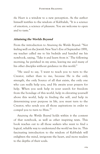*the Heart* is a window to a new perception. As the author himself testifies to the wisdom of Kabbalah, "It is a science of emotion, a science of pleasure. You are welcome to open and to taste."

# *Attaining the Worlds Beyond*

From the introduction to *Attaining the Worlds Beyond*: "Not feeling well on the Jewish New Year's Eve of September 1991, my teacher called me to his bedside and handed me his notebook, saying, 'Take it and learn from it.' The following morning, he perished in my arms, leaving me and many of his other disciples without guidance in this world."

"He used to say, 'I want to teach you to turn to the Creator, rather than to me, because He is the only strength, the only Source of all that exists, the only one who can really help you, and He awaits your prayers for help. When you seek help in your search for freedom from the bondage of this world, help in elevating yourself above this world, help in finding the self, and help in determining your purpose in life, you must turn to the Creator, who sends you all those aspirations in order to compel you to turn to Him.'"

*Attaining the Worlds Beyond* holds within it the content of that notebook, as well as other inspiring texts. This book reaches out to all those seekers who want to find a logical, reliable way to understand the world we live in. This fascinating introduction to the wisdom of Kabbalah will enlighten the mind, invigorate the heart, and move readers to the depths of their souls.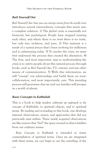# *Bail Yourself Out*

*Bail Yourself Out: how you can emerge strong from the world crisis* introduces several extraordinary concepts that weave into a complete solution: 1) The global crisis is essentially not financial, but *psychological*: People have stopped trusting each other, and where there is no trust there is no trade, but only war, isolation, and pain. 2) This mistrust is a result of a *natural process* that's been evolving for millennia and is culminating today. 3) To resolve the crisis, we must first *understand* the process that created the alienation. 4) The first, and most important, step to understanding the crisis is to *inform* people about this natural process through books, such as *Bail Yourself Out*, TV, cinema, and any other means of communication. 5) With this information, we will "*revamp*" our relationships and build them on trust, collaboration, and most importantly, care. This mending process will guarantee that we and our families will prosper in a world of plenty.

# *Basic Concepts in Kabbalah*

This is a book to help readers cultivate an *approach to the concepts* of Kabbalah, to spiritual objects, and to spiritual terms. By reading and re-reading in this book, one develops internal observations, senses, and approaches that did not previously exist within. These newly acquired observations are like sensors that "feel" the space around us that is hidden from our ordinary senses.

*Basic Concepts in Kabbalah* is intended to foster contemplation of spiritual terms. Once we are integrated with these terms, we can begin to see the unveiling of the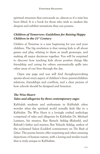spiritual structure that surrounds us, almost as if a mist has been lifted. It is a book for those who wish to awaken the deepest and subtlest sensations they can possess.

# *Children of Tomorrow: Guidelines for Raising Happy Children in the 21st Century*

*Children of Tomorrow* is a new beginning for you and your children. The big revelation is that raising kids is all about games and play, relating to them as small grownups, and making all major decisions together. You will be surprised to discover how teaching kids about positive things like friendship and caring for others automatically spills into other areas of our lives through the day.

Open any page and you will find thought-provoking quotes about every aspect of children's lives: parent-children relations, friendships and conflicts, and a clear picture of how schools should be designed and function.

# *The Wise Heart: Tales and allegories by three contemporary sages*

Kabbalah students and enthusiasts in Kabbalah often wonder what the spiritual world actually feels like to a Kabbalist. *The Wise Heart* is a lovingly crafted anthology comprised of tales and allegories by Kabbalist Dr. Michael Laitman, his mentor, Rav Baruch Ashlag (Rabash), and Rabash's father and mentor, Rav Yehuda Ashlag, author of the acclaimed *Sulam* (Ladder) commentary on *The Book of Zohar*. The poems herein offer surprising and often amusing depictions of human nature, with a loving and tender touch that is truly unique to Kabbalists.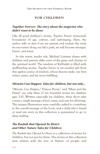# **FOR CHILDREN**

### *Together Forever: The story about the magician who didn't want to be alone*

Like all good children's stories, *Together Forever* transcends boundaries of age, culture, and upbringing. Here, the author tells us that if we are patient and endure the trials we encounter along our life's path, we will become stronger, braver, and wiser.

In this warm, tender tale, Michael Laitman shares with children and parents alike some of the gems and charms of the spiritual world. The wisdom of Kabbalah is filled with spellbinding stories. *Together Forever* is yet another gift from this ageless source of wisdom, whose lessons make our lives richer, easier, and far more fulfilling.

#### *Miracles Can Happen: Tales for children, but not only...*

"*Miracles Can Happen*," Princes Peony," and "Mary and the Paints" are only three of ten beautiful stories for children ages 3-10. Written especially for children, these short tales convey a single message of love, unity, and care for all beings. The unique illustrations were carefully crafted to contribute to the overall message of the book, and a child who's heard or read any story in this collection is guaranteed to go to sleep smiling.

# *The Baobab that Opened Its Heart: and Other Nature Tales for Children*

*The Baobab that Opened Its Heart* is a collection of stories for children, but not just for them. The stories in this collection were written with the love of Nature, of people, and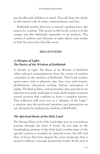specifically with children in mind. They all share the desire to tell nature's tale of unity, connectedness, and love.

Kabbalah teaches that love is nature's guiding force, the reason for creation. The stories in this book convey it in the unique way that Kabbalah engenders in its students. The variety of authors and diversity of styles allows each reader to find the story that they like most.

#### **BEGINNERS**

# *A Glimpse of Light: The Basics of the Wisdom of Kabbalah*

*A Glimpse of Light: The Basics of the Wisdom of Kabbalah* offers selected contemplations from the ocean of wisdom contained in the wisdom of Kabbalah. This book touches upon topics such as pleasure, ego, love, men and women, globalization, education, ecology, Nature, perception of reality, *The Book of Zohar*, and spirituality. Just open the book wherever you wish, and begin to read. Each chapter contains several sections that combine to form a complete picture. This collection will serve you as a "glimpse of the Light," a window into the profound emotions and perceptions we can all attain by studying the wisdom of Kabbalah.

# *The Spiritual Roots of the Holy Land*

*The Spiritual Roots of the Holy Land* takes you on a wondrous journey through the land of Israel. As you take in the breathtaking pictures of the holy land, another layer of the age-old country is revealed—its spiritual roots, the ebb and flow of forces that have shaped the curvy landscape that is sacred to billions of people around the world. At the end of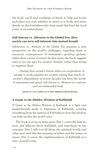the book, you'll find roadmaps of Israel, to help you locate each place you visit, whether in mind or in body, and more details on the forefathers who have made this land the focal point of an entire planet.

# *Self-Interest vs. Altruism in the Global Era: How society can turn self-interests into mutual benefit*

*Self-Interest vs. Altruism in the Global Era* presents a new perspective on the world's challenges, regarding them as necessary consequences of humanity's growing egotism, rather than a series of errors. In that spirit, the book suggests ways to *use* our egos for society's benefit, rather than trying to suppress them.

...Stating that society's future relies on cooperation of people to work together for society, stating that much of society's degradation in recent decades has been the result of narcissism and greed, *Self Interest vs. Altruism* is a curious and recommended read.

#### James A. Cox, Editor-in-Chief, *Midwest Book Review*

# *A Guide to the Hidden Wisdom of Kabbalah*

*A Guide to the Hidden Wisdom of Kabbalah* is a light and reader-friendly guide to beginners in Kabbalah, covering everything from the history of Kabbalah to how this wisdom can help resolve the world crisis.

The book is set up in three parts: Part 1 covers the history, facts, and fallacies about Kabbalah, and introduces its key concepts. Part 2 tells you all about the spiritual worlds and other neat stuff like the meaning of letters and the power of music. Part 3 covers the implementation of Kabbalah at a time of world crisis.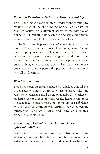#### *Kabbalah Revealed: A Guide to a More Peaceful Life*

This is the most clearly written, reader-friendly guide to making sense of the surrounding world. Each of its six chapters focuses on a different aspect of the wisdom of Kabbalah, illuminating its teachings and explaining them using various examples from our day-to-day lives.

The first three chapters in *Kabbalah Revealed* explain why the world is in a state of crisis, how our growing desires promote progress as well as alienation, and why the biggest deterrent to achieving positive change is rooted in our own spirits. Chapters Four through Six offer a prescription for positive change. In these chapters, we learn how we can use our spirits to build a personally peaceful life in harmony with all of Creation.

#### *Wondrous Wisdom*

This book offers an initial course on Kabbalah. Like all the books presented here, *Wondrous Wisdom* is based solely on authentic teachings passed down from Kabbalist teacher to student over thousands of years. At the heart of the book is a sequence of lessons revealing the nature of Kabbalah's wisdom and explaining how to attain it. For every person questioning 'Who am I really?' and 'Why am I on this planet?' this book is a must.

# *Awakening to Kabbalah: The Guiding Light of Spiritual Fulfillment*

A distinctive, personal, and awe-filled introduction to an ancient wisdom tradition. In this book, Rav Laitman offers a deeper understanding of the fundamental teachings of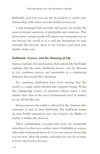Kabbalah, and how you can use its wisdom to clarify your relationship with others and the world around you.

Using language both scientific and poetic, he probes the most profound questions of spirituality and existence. This provocative, unique guide will inspire and invigorate you to see beyond the world as it is and the limitations of your everyday life, become closer to the Creator, and reach new depths of the soul.

#### *Kabbalah, Science, and the Meaning of Life*

Science explains the mechanisms that sustain life; Kabbalah explains why life exists. *Kabbalah, Science, and the Meaning of Life* combines science and spirituality in a captivating dialogue that reveals life's meaning.

For centuries, Kabbalists have been writing that the world is a single entity divided into separate beings. Today the cutting-edge science of quantum physics states a very similar idea: that at the most fundamental level of matter, we are all literally one.

Science proves that reality is affected by the observer who examines it; and so does Kabbalah. But Kabbalah makes an even bolder statement: even the Creator, the Maker of reality, is within the observer.

These earthshaking concepts and more are eloquently introduced so that even readers new to Kabbalah or science will easily understand them. So if you are curious about why you are here, what life means, and what you can do to enjoy it more, this book is for you.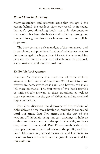#### *From Chaos to Harmony*

Many researchers and scientists agree that the ego is the reason behind the perilous state our world is in today. Laitman's groundbreaking book not only demonstrates that egoism has been the basis for all suffering throughout human history, but also shows how we can turn our plight to pleasure.

The book contains a clear analysis of the human soul and its problems, and provides a "roadmap" of what we need to do to once again be happy. *From Chaos to Harmony* explains how we can rise to a new level of existence on personal, social, national, and international levels.

#### *Kabbalah for Beginners*

*Kabbalah for Beginners* is a book for all those seeking answers to life's essential questions. We all want to know why we are here, why there is pain, and how we can make life more enjoyable. The four parts of this book provide us with reliable answers to these questions, as well as clear explanations of the gist of Kabbalah and its practical implementations.

Part One discusses the discovery of the wisdom of Kabbalah, and how it was developed, and finally concealed until our time. Part Two introduces the gist of the wisdom of Kabbalah, using ten easy drawings to help us understand the structure of the spiritual worlds, and how they relate to our world. Part Three reveals Kabbalistic concepts that are largely unknown to the public, and Part Four elaborates on practical means you and I can take, to make our lives better and more enjoyable for us and for our children.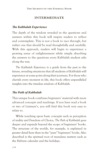# **INTERMEDIATE**

## *The Kabbalah Experience*

The depth of the wisdom revealed in the questions and answers within this book will inspire readers to reflect and contemplate. This is not a book to race through, but rather one that should be read thoughtfully and carefully. With this approach, readers will begin to experience a growing sense of enlightenment while simply absorbing the answers to the questions every Kabbalah student asks along the way.

*The Kabbalah Experience* is a guide from the past to the future, revealing situations that all students of Kabbalah will experience at some point along their journeys. For those who cherish every moment in life, this book offers unparalleled insights into the timeless wisdom of Kabbalah.

# *The Path of Kabbalah*

This unique book combines beginners' material with more advanced concepts and teachings. If you have read a book or two of Laitman's, you will find this book very easy to relate to.

While touching upon basic concepts such as perception of reality and Freedom of Choice, *The Path of Kabbalah* goes deeper and expands beyond the scope of beginners' books. The structure of the worlds, for example, is explained in greater detail here than in the "pure" beginners' books. Also described is the spiritual root of mundane matters such as the Hebrew calendar and the holidays.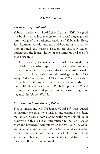# **ADVANCED**

#### *The Science of Kabbalah*

Kabbalist and scientist Rav Michael Laitman, PhD, designed this book to introduce readers to the special language and terminology of the authentic wisdom of Kabbalah. Here, Rav Laitman reveals authentic Kabbalah in a manner both rational and mature. Readers are gradually led to understand the logical design of the Universe and the life that exists in it.

*The Science of Kabbalah*, a revolutionary work unmatched in its clarity, depth, and appeal to the intellect, will enable readers to approach the more technical works of Baal HaSulam (Rabbi Yehuda Ashlag), such as *The Study of the Ten Sefirot* and *The Book of Zohar*. Readers of this book will enjoy the satisfying answers to the riddles of life that only authentic Kabbalah provides. Travel through the pages and prepare for an astonishing journey into the Upper Worlds.

#### *Introduction to the Book of Zohar*

This volume, along with *The Science of Kabbalah*, is a required preparation for those who wish to understand the hidden message of *The Book of Zohar*. Among the many helpful topics dealt with in this text is an introduction to the "language of roots and branches," without which the stories in *The Zohar*  are mere fable and legend. *Introduction to the Book of Zohar*  will provide readers with the necessary tools to understand authentic Kabbalah as it was originally meant to be—as a means to attain the Upper Worlds.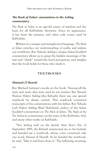## *The Book of Zohar: annotations to the Ashlag commentary*

*The Book of Zohar* is an age-old source of wisdom and the basis for all Kabbalistic literature. Since its appearance, it has been the primary, and often only source used by Kabbalists.

Written in a unique and metaphorical language, *The Book of Zohar* enriches our understanding of reality and widens our worldview. Rav Yehuda Ashlag's unique *Sulam* (Ladder) commentary allows us to grasp the hidden meanings of the text and "climb" toward the lucid perceptions and insights that the book holds for those who study it.

#### **TEXTBOOKS**

#### *Shamati (I Heard)*

Rav Michael Laitman's words on the book: "Among all the texts and notes that were used by my teacher, Rav Baruch Shalom Halevi Ashlag (the Rabash), there was one special notebook he always carried. This notebook contained transcripts of his conversations with his father, Rav Yehuda Leib Halevi Ashlag (Baal HaSulam), author of the *Sulam* (Ladder) commentary on *The Book of Zohar*, *The Study of the Ten Sefirot* (a commentary on the texts of the Kabbalist, Ari), and many other works on Kabbalah.

"Not feeling well on the Jewish New Year's Eve of September 1991, the Rabash summoned me to his bedside and handed me a notebook, whose cover contained only one word, *Shamati* (I Heard). As he handed the notebook, he said, 'Take it and learn from it.' The following morning,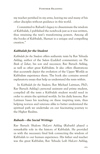my teacher perished in my arms, leaving me and many of his other disciples without guidance in this world.

Committed to Rabash's legacy to disseminate the wisdom of Kabbalah, I published the notebook just as it was written, thus retaining the text's transforming powers. Among all the books of Kabbalah, *Shamati* is a unique and compelling creation."

# *Kabbalah for the Student*

*Kabbalah for the Student* offers authentic texts by Rav Yehuda Ashlag, author of the *Sulam* (Ladder) commentary on *The Book of Zohar*, his son and successor, Rav Baruch Ashlag, as well as other great Kabbalists. It also offers illustrations that accurately depict the evolution of the Upper Worlds as Kabbalists experience them. The book also contains several explanatory essays that help us understand the texts within.

In *Kabbalah for the Student*, Rav Michael Laitman, PhD, Rav Baruch Ashlag's personal assistant and prime student, compiled all the texts a Kabbalah student would need in order to attain the spiritual worlds. In his daily lessons, Rav Laitman bases his teaching on these inspiring texts, thus helping novices and veterans alike to better understand the spiritual path we undertake on our fascinating journey to the Higher Realms.

## *Rabash—the Social Writings*

Rav Baruch Shalom HaLevi Ashlag (Rabash) played a remarkable role in the history of Kabbalah. He provided us with the necessary final link connecting the wisdom of Kabbalah to our human experience. His father and teacher was the great Kabbalist, Rav Yehuda Leib HaLevi Ashlag,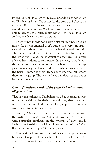known as Baal HaSulam for his *Sulam* (Ladder) commentary on *The Book of Zohar*. Yet, if not for the essays of Rabash, his father's efforts to disclose the wisdom of Kabbalah to all would have been in vain. Without those essays, few would be able to achieve the spiritual attainment that Baal HaSulam so desperately wanted us to obtain.

The writings in this book aren't just for reading. They are more like an experiential user's guide. It is very important to work with them in order to see what they truly contain. The reader should try to put them into practice by living out the emotions Rabash so masterfully describes. He always advised his students to summarize the articles, to work with the texts, and those who attempt it discover that it always yields new insights. Thus, readers are advised to work with the texts, summarize them, translate them, and implement them in the group. Those who do so will discover the power in the writings of Rabash.

## *Gems of Wisdom: words of the great Kabbalists from all generations*

Through the millennia, Kabbalists have bequeathed us with numerous writings. In their compositions, they have laid out a structured method that can lead, step by step, unto a world of eternity and wholeness.

*Gems of Wisdom* is a collection of selected excerpts from the writings of the greatest Kabbalists from all generations, with particular emphasis on the writings of Rav Yehuda Leib HaLevi Ashlag (Baal HaSulam), author of the *Sulam* [Ladder] commentary of *The Book of Zohar*.

The sections have been arranged by topics, to provide the broadest view possible on each topic. This book is a useful guide to any person desiring spiritual advancement.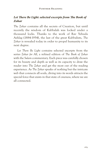## *Let There Be Light: selected excerpts from The Book of Zohar*

*The Zohar* contains all the secrets of Creation, but until recently the wisdom of Kabbalah was locked under a thousand locks. Thanks to the work of Rav Yehuda Ashlag (1884-1954), the last of the great Kabbalists, *The Zohar* is revealed today in order to propel humanity to its next degree.

*Let There Be Light* contains selected excerpts from the series *Zohar for All*, a refined edition of *The Book of Zohar* with the *Sulam* commentary. Each piece was carefully chosen for its beauty and depth as well as its capacity to draw the reader into *The Zohar* and get the most out of the reading experience. As *The Zohar* speaks of nothing but the intricate web that connects all souls, diving into its words attracts the special force that exists in that state of oneness, where we are all connected.